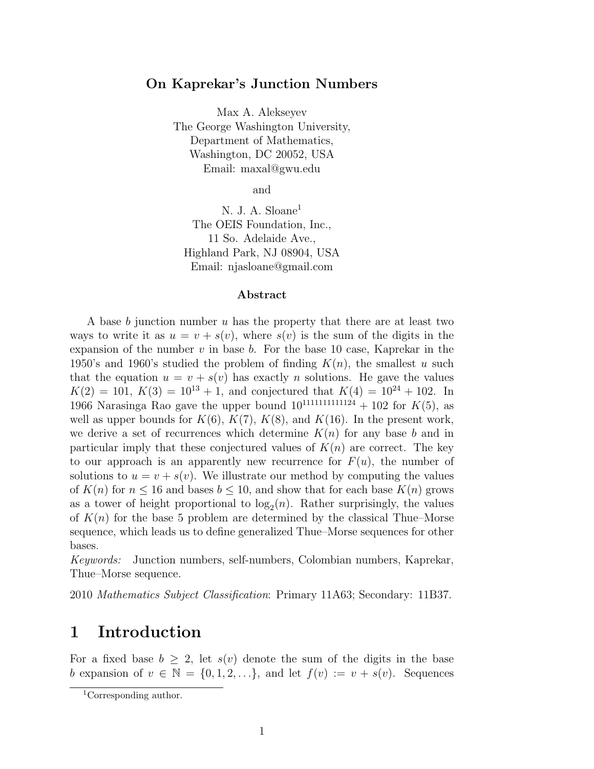#### **On Kaprekar's Junction Numbers**

Max A. Alekseyev The George Washington University, Department of Mathematics, Washington, DC 20052, USA Email: maxal@gwu.edu

and

N. J. A. Sloane<sup>[1](#page-0-0)</sup> The OEIS Foundation, Inc., 11 So. Adelaide Ave., Highland Park, NJ 08904, USA Email: njasloane@gmail.com

#### **Abstract**

A base *b* junction number *u* has the property that there are at least two ways to write it as  $u = v + s(v)$ , where  $s(v)$  is the sum of the digits in the expansion of the number  $v$  in base  $b$ . For the base 10 case, Kaprekar in the 1950's and 1960's studied the problem of finding  $K(n)$ , the smallest *u* such that the equation  $u = v + s(v)$  has exactly *n* solutions. He gave the values  $K(2) = 101, K(3) = 10^{13} + 1$ , and conjectured that  $K(4) = 10^{24} + 102$ . In 1966 Narasinga Rao gave the upper bound  $10^{1111111111124} + 102$  for  $K(5)$ , as well as upper bounds for  $K(6)$ ,  $K(7)$ ,  $K(8)$ , and  $K(16)$ . In the present work, we derive a set of recurrences which determine  $K(n)$  for any base *b* and in particular imply that these conjectured values of  $K(n)$  are correct. The key to our approach is an apparently new recurrence for  $F(u)$ , the number of solutions to  $u = v + s(v)$ . We illustrate our method by computing the values of  $K(n)$  for  $n \leq 16$  and bases  $b \leq 10$ , and show that for each base  $K(n)$  grows as a tower of height proportional to  $log_2(n)$ . Rather surprisingly, the values of  $K(n)$  for the base 5 problem are determined by the classical Thue–Morse sequence, which leads us to define generalized Thue–Morse sequences for other bases.

*Keywords:* Junction numbers, self-numbers, Colombian numbers, Kaprekar, Thue–Morse sequence.

2010 *Mathematics Subject Classification*: Primary 11A63; Secondary: 11B37.

## **1 Introduction**

For a fixed base  $b \geq 2$ , let  $s(v)$  denote the sum of the digits in the base *b* expansion of  $v \in \mathbb{N} = \{0, 1, 2, \ldots\}$ , and let  $f(v) := v + s(v)$ . Sequences

<span id="page-0-0"></span><sup>1</sup>Corresponding author.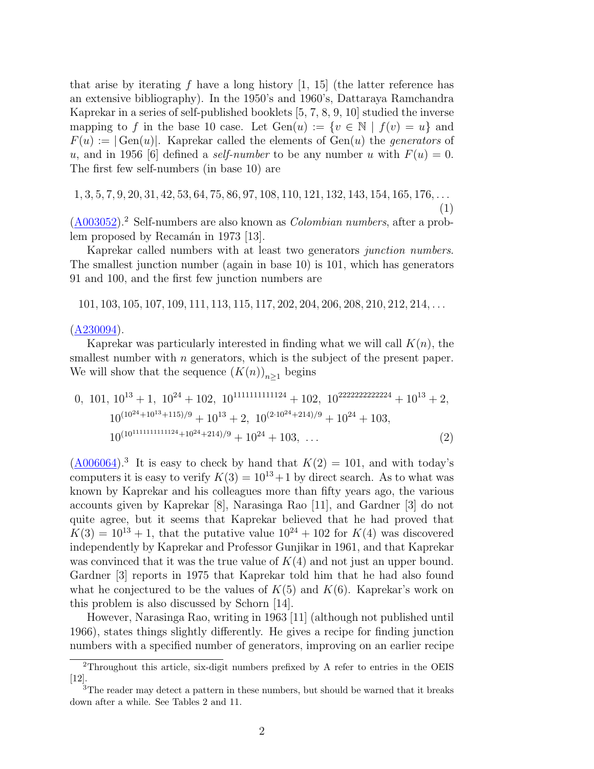that arise by iterating  $f$  have a long history  $[1, 15]$  $[1, 15]$  $[1, 15]$  (the latter reference has an extensive bibliography). In the 1950's and 1960's, Dattaraya Ramchandra Kaprekar in a series of self-published booklets [[5,](#page-32-1) [7,](#page-33-1) [8,](#page-33-2) [9,](#page-33-3) [10\]](#page-33-4) studied the inverse mapping to f in the base 10 case. Let  $Gen(u) := \{v \in \mathbb{N} \mid f(v) = u\}$  and  $F(u) := |\text{Gen}(u)|$ . Kaprekar called the elements of  $\text{Gen}(u)$  the *generators* of *u*, and in 1956 [[6\]](#page-33-5) defined a *self-number* to be any number *u* with  $F(u) = 0$ . The first few self-numbers (in base 10) are

 $1, 3, 5, 7, 9, 20, 31, 42, 53, 64, 75, 86, 97, 108, 110, 121, 132, 143, 154, 165, 176, \ldots$ 

<span id="page-1-2"></span>(1)

([A003052](http://oeis.org/A003052)).[2](#page-1-0) Self-numbers are also known as *Colombian numbers*, after a prob-lem proposed by Recamán in 1973 [\[13](#page-33-6)].

Kaprekar called numbers with at least two generators *junction numbers*. The smallest junction number (again in base 10) is 101, which has generators 91 and 100, and the first few junction numbers are

101*,* 103*,* 105*,* 107*,* 109*,* 111*,* 113*,* 115*,* 117*,* 202*,* 204*,* 206*,* 208*,* 210*,* 212*,* 214*, . . .*

([A230094](http://oeis.org/A230094)).

Kaprekar was particularly interested in finding what we will call *K*(*n*), the smallest number with *n* generators, which is the subject of the present paper. We will show that the sequence  $(K(n))_{n\geq 1}$  begins

0, 101, 
$$
10^{13} + 1
$$
,  $10^{24} + 102$ ,  $10^{111111111124} + 102$ ,  $10^{22222222224} + 10^{13} + 2$ ,  
\n $10^{(10^{24}+10^{13}+115)/9} + 10^{13} + 2$ ,  $10^{(2\cdot10^{24}+214)/9} + 10^{24} + 103$ ,  
\n $10^{(10^{111111111124}+10^{24}+214)/9} + 10^{24} + 103$ , ... (2)

 $(\underline{A006064})$  $(\underline{A006064})$  $(\underline{A006064})$ .<sup>[3](#page-1-1)</sup> It is easy to check by hand that  $K(2) = 101$ , and with today's computers it is easy to verify  $K(3) = 10^{13} + 1$  by direct search. As to what was known by Kaprekar and his colleagues more than fifty years ago, the various accounts given by Kaprekar [\[8](#page-33-2)], Narasinga Rao [\[11\]](#page-33-7), and Gardner [[3](#page-32-2)] do not quite agree, but it seems that Kaprekar believed that he had proved that  $K(3) = 10^{13} + 1$ , that the putative value  $10^{24} + 102$  for  $K(4)$  was discovered independently by Kaprekar and Professor Gunjikar in 1961, and that Kaprekar was convinced that it was the true value of *K*(4) and not just an upper bound. Gardner [\[3](#page-32-2)] reports in 1975 that Kaprekar told him that he had also found what he conjectured to be the values of  $K(5)$  and  $K(6)$ . Kaprekar's work on this problem is also discussed by Schorn [[14](#page-33-8)].

However, Narasinga Rao, writing in 1963 [[11\]](#page-33-7) (although not published until 1966), states things slightly differently. He gives a recipe for finding junction numbers with a specified number of generators, improving on an earlier recipe

<span id="page-1-0"></span><sup>2</sup>Throughout this article, six-digit numbers prefixed by A refer to entries in the OEIS [[12\]](#page-33-9).

<span id="page-1-1"></span><sup>&</sup>lt;sup>3</sup>The reader may detect a pattern in these numbers, but should be warned that it breaks down after a while. See Tables [2](#page-7-0) and [11.](#page-30-0)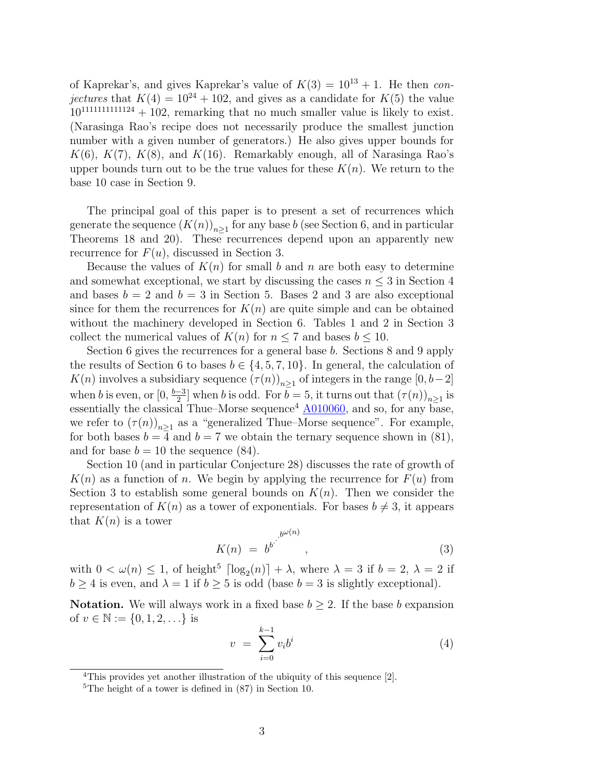of Kaprekar's, and gives Kaprekar's value of  $K(3) = 10^{13} + 1$ . He then *conjectures* that  $K(4) = 10^{24} + 102$ , and gives as a candidate for  $K(5)$  the value  $10^{111111111124} + 102$ , remarking that no much smaller value is likely to exist. (Narasinga Rao's recipe does not necessarily produce the smallest junction number with a given number of generators.) He also gives upper bounds for  $K(6)$ ,  $K(7)$ ,  $K(8)$ , and  $K(16)$ . Remarkably enough, all of Narasinga Rao's upper bounds turn out to be the true values for these  $K(n)$ . We return to the base 10 case in Section [9.](#page-28-0)

The principal goal of this paper is to present a set of recurrences which generate the sequence  $(K(n))_{n\geq 1}$  for any base *b* (see Section [6,](#page-13-0) and in particular Theorems [18](#page-15-0) and [20\)](#page-18-0). These recurrences depend upon an apparently new recurrence for *F*(*u*), discussed in Section [3.](#page-6-0)

Because the values of *K*(*n*) for small *b* and *n* are both easy to determine and somewhat exceptional, we start by discussing the cases  $n \leq 3$  in Section [4](#page-8-0) and bases  $b = 2$  and  $b = 3$  in Section [5](#page-11-0). Bases 2 and 3 are also exceptional since for them the recurrences for  $K(n)$  are quite simple and can be obtained without the machinery developed in Section [6](#page-13-0). Tables [1](#page-7-1) and [2](#page-7-0) in Section [3](#page-6-0) collect the numerical values of  $K(n)$  for  $n \leq 7$  and bases  $b \leq 10$ .

Section [6](#page-13-0) gives the recurrences for a general base *b*. Sections [8](#page-25-0) and [9](#page-28-0) apply the results of Section [6](#page-13-0) to bases  $b \in \{4, 5, 7, 10\}$ . In general, the calculation of *K*(*n*) involves a subsidiary sequence  $(\tau(n))_{n\geq 1}$  of integers in the range  $[0, b-2]$ when *b* is even, or  $[0, \frac{b-3}{2}]$  when *b* is odd. For  $\overline{b} = 5$ , it turns out that  $(\tau(n))_{n \geq 1}$  is essentially the classical Thue–Morse sequence<sup>[4](#page-2-0)</sup>  $\underline{\text{A}010060}$ , and so, for any base, we refer to  $(\tau(n))_{n\geq 1}$  as a "generalized Thue–Morse sequence". For example, for both bases  $b = 4$  and  $b = 7$  we obtain the ternary sequence shown in [\(81](#page-27-0)), and for base  $b = 10$  the sequence  $(84)$ .

Section [10](#page-30-2) (and in particular Conjecture [28](#page-31-0)) discusses the rate of growth of  $K(n)$  as a function of *n*. We begin by applying the recurrence for  $F(u)$  from Section [3](#page-6-0) to establish some general bounds on  $K(n)$ . Then we consider the representation of  $K(n)$  as a tower of exponentials. For bases  $b \neq 3$ , it appears that  $K(n)$  is a tower

$$
K(n) = b^{b^{j}}^{b^{\omega(n)}},
$$
\n(3)

with  $0 < \omega(n) \leq 1$ , of height<sup>[5](#page-2-1)</sup>  $\lceil \log_2(n) \rceil + \lambda$ , where  $\lambda = 3$  if  $b = 2$ ,  $\lambda = 2$  if  $b \ge 4$  is even, and  $\lambda = 1$  if  $b \ge 5$  is odd (base  $b = 3$  is slightly exceptional).

**Notation.** We will always work in a fixed base  $b \geq 2$ . If the base *b* expansion of  $v \in \mathbb{N} := \{0, 1, 2, \ldots\}$  is

<span id="page-2-2"></span>
$$
v = \sum_{i=0}^{k-1} v_i b^i
$$
 (4)

<span id="page-2-0"></span><sup>&</sup>lt;sup>4</sup>This provides yet another illustration of the ubiquity of this sequence [[2](#page-32-3)].

<span id="page-2-1"></span><sup>5</sup>The height of a tower is defined in [\(87](#page-31-1)) in Section [10.](#page-30-2)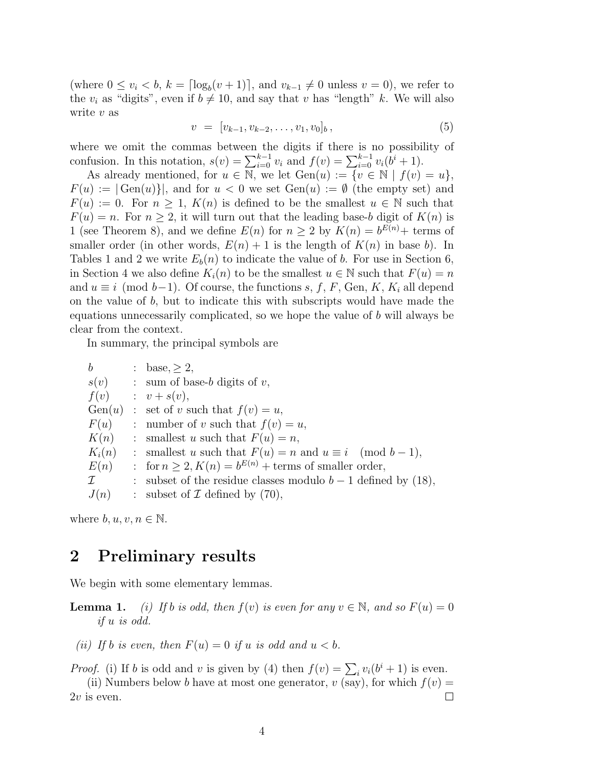(where  $0 \le v_i < b$ ,  $k = \lceil \log_b(v+1) \rceil$ , and  $v_{k-1} \neq 0$  unless  $v = 0$ ), we refer to the  $v_i$  as "digits", even if  $b \neq 10$ , and say that *v* has "length" *k*. We will also write *v* as

$$
v = [v_{k-1}, v_{k-2}, \dots, v_1, v_0]_b, \tag{5}
$$

where we omit the commas between the digits if there is no possibility of confusion. In this notation,  $s(v) = \sum_{i=0}^{k-1} v_i$  and  $f(v) = \sum_{i=0}^{k-1} v_i(b^i + 1)$ .

As already mentioned, for  $u \in \mathbb{N}$ , we let  $Gen(u) := \{v \in \mathbb{N} \mid f(v) = u\}$ ,  $F(u) := |\text{Gen}(u)|$ , and for  $u < 0$  we set  $\text{Gen}(u) := \emptyset$  (the empty set) and  $F(u) := 0$ . For  $n \geq 1$ ,  $K(n)$  is defined to be the smallest  $u \in \mathbb{N}$  such that  $F(u) = n$ . For  $n \geq 2$ , it will turn out that the leading base-*b* digit of  $K(n)$  is 1 (see Theorem [8](#page-8-1)), and we define  $E(n)$  for  $n \geq 2$  by  $K(n) = b^{E(n)} +$  terms of smaller order (in other words,  $E(n) + 1$  is the length of  $K(n)$  in base *b*). In Tables [1](#page-7-1) and [2](#page-7-0) we write  $E_b(n)$  to indicate the value of *b*. For use in Section [6,](#page-13-0) in Section [4](#page-8-0) we also define  $K_i(n)$  to be the smallest  $u \in \mathbb{N}$  such that  $F(u) = n$ and  $u \equiv i \pmod{b-1}$ . Of course, the functions *s*, *f*, *F*, Gen, *K*, *K<sub>i</sub>* all depend on the value of *b*, but to indicate this with subscripts would have made the equations unnecessarily complicated, so we hope the value of *b* will always be clear from the context.

In summary, the principal symbols are

| $\boldsymbol{b}$ | : base, > 2,                                                    |
|------------------|-----------------------------------------------------------------|
|                  | $s(v)$ : sum of base-b digits of v,                             |
| f(v)             | $\therefore$ $v + s(v)$ ,                                       |
|                  | Gen(u) : set of v such that $f(v) = u$ ,                        |
| F(u)             | : number of v such that $f(v) = u$ ,                            |
| K(n)             | : smallest u such that $F(u) = n$ ,                             |
| $K_i(n)$         | : smallest u such that $F(u) = n$ and $u \equiv i \pmod{b-1}$ , |
| E(n)             | : for $n \geq 2$ , $K(n) = b^{E(n)} +$ terms of smaller order,  |
| $\mathcal{I}$    | : subset of the residue classes modulo $b-1$ defined by (18),   |
| J(n)             | : subset of $\mathcal I$ defined by (70),                       |

where  $b, u, v, n \in \mathbb{N}$ .

## **2 Preliminary results**

We begin with some elementary lemmas.

**Lemma 1.** *(i)* If *b is odd, then*  $f(v)$  *is even for any*  $v \in \mathbb{N}$ *, and so*  $F(u) = 0$ *if u is odd.*

*(ii)* If *b is even, then*  $F(u) = 0$  *if*  $u$  *is odd and*  $u < b$ *.* 

*Proof.* (i) If *b* is odd and *v* is given by [\(4](#page-2-2)) then  $f(v) = \sum_i v_i(b^i + 1)$  is even.

(ii) Numbers below *b* have at most one generator,  $v$  (say), for which  $f(v) =$  $\Box$ 2*v* is even.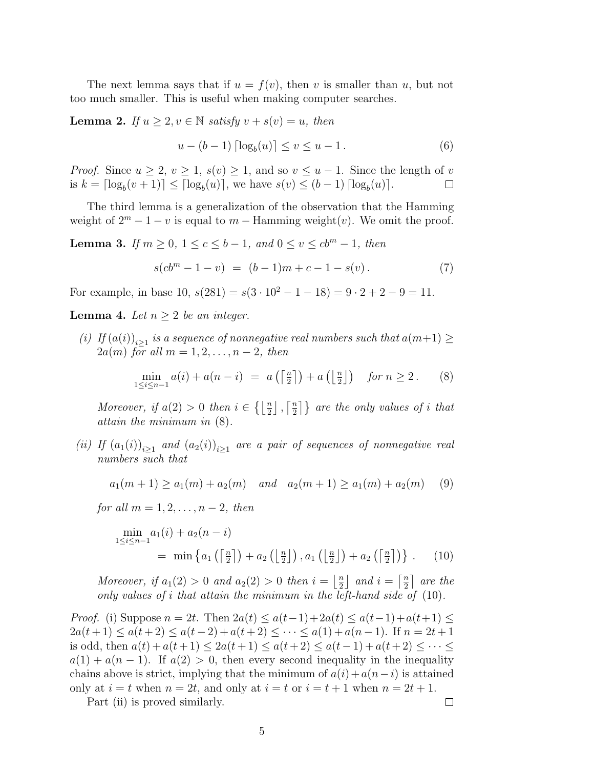The next lemma says that if  $u = f(v)$ , then *v* is smaller than *u*, but not too much smaller. This is useful when making computer searches.

**Lemma 2.** *If*  $u \geq 2, v \in \mathbb{N}$  *satisfy*  $v + s(v) = u$ *, then* 

<span id="page-4-2"></span>
$$
u - (b - 1) \lceil \log_b(u) \rceil \le v \le u - 1. \tag{6}
$$

*Proof.* Since  $u \geq 2$ ,  $v \geq 1$ ,  $s(v) \geq 1$ , and so  $v \leq u - 1$ . Since the length of *v* is  $k = \lceil \log_b(v+1) \rceil \leq \lceil \log_b(u) \rceil$ , we have  $s(v) \leq (b-1) \lceil \log_b(u) \rceil$ .  $\Box$ 

The third lemma is a generalization of the observation that the Hamming weight of  $2^m - 1 - v$  is equal to  $m -$  Hamming weight $(v)$ . We omit the proof.

<span id="page-4-3"></span>**Lemma 3.** *If*  $m \ge 0$ , 1 ≤  $c$  ≤  $b$  − 1*, and*  $0 \le v \le cb^m - 1$ *, then* 

$$
s(cbm - 1 - v) = (b - 1)m + c - 1 - s(v).
$$
 (7)

For example, in base  $10$ ,  $s(281) = s(3 \cdot 10^2 - 1 - 18) = 9 \cdot 2 + 2 - 9 = 11$ .

<span id="page-4-4"></span>**Lemma 4.** *Let*  $n \geq 2$  *be an integer.* 

*(i) If*  $(a(i))_{i \geq 1}$  *is a sequence of nonnegative real numbers such that*  $a(m+1) ≥$  $2a(m)$  *for all*  $m = 1, 2, \ldots, n-2$ *, then* 

<span id="page-4-0"></span>
$$
\min_{1 \le i \le n-1} a(i) + a(n-i) = a\left(\left\lceil \frac{n}{2} \right\rceil\right) + a\left(\left\lfloor \frac{n}{2} \right\rfloor\right) \quad \text{for } n \ge 2. \tag{8}
$$

*Moreover, if*  $a(2) > 0$  *then*  $i \in \{ \lfloor \frac{n}{2} \rfloor, \lceil \frac{n}{2} \rceil \}$  $\left\{ \frac{n}{2} \right\}$  are the only values of *i* that *attain the minimum in* [\(8](#page-4-0))*.*

*(ii) If*  $(a_1(i))_{i\geq 1}$  and  $(a_2(i))_{i\geq 1}$  are a pair of sequences of nonnegative real *numbers such that*

 $a_1(m+1) \ge a_1(m) + a_2(m)$  *and*  $a_2(m+1) \ge a_1(m) + a_2(m)$  (9)

*for all*  $m = 1, 2, ..., n - 2$ *, then* 

$$
\min_{1 \le i \le n-1} a_1(i) + a_2(n-i) = \min \left\{ a_1 \left( \left\lceil \frac{n}{2} \right\rceil \right) + a_2 \left( \left\lfloor \frac{n}{2} \right\rfloor \right), a_1 \left( \left\lfloor \frac{n}{2} \right\rfloor \right) + a_2 \left( \left\lceil \frac{n}{2} \right\rceil \right) \right\} . \tag{10}
$$

*Moreover, if*  $a_1(2) > 0$  *and*  $a_2(2) > 0$  *then*  $i = \frac{n}{2}$  $\frac{n}{2}$  and  $i = \left\lceil \frac{n}{2} \right\rceil$  $\frac{n}{2}$  are the *only values of i that attain the minimum in the left-hand side of* ([10\)](#page-4-1)*.*

*Proof.* (i) Suppose  $n = 2t$ . Then  $2a(t) \leq a(t-1) + 2a(t) \leq a(t-1) + a(t+1) \leq$  $2a(t+1) \le a(t+2) \le a(t-2) + a(t+2) \le \cdots \le a(1) + a(n-1)$ . If  $n = 2t+1$ is odd, then  $a(t) + a(t+1) \leq 2a(t+1) \leq a(t+2) \leq a(t-1) + a(t+2) \leq \cdots \leq$  $a(1) + a(n-1)$ . If  $a(2) > 0$ , then every second inequality in the inequality chains above is strict, implying that the minimum of  $a(i) + a(n-i)$  is attained only at  $i = t$  when  $n = 2t$ , and only at  $i = t$  or  $i = t + 1$  when  $n = 2t + 1$ .

Part (ii) is proved similarly.

<span id="page-4-1"></span> $\Box$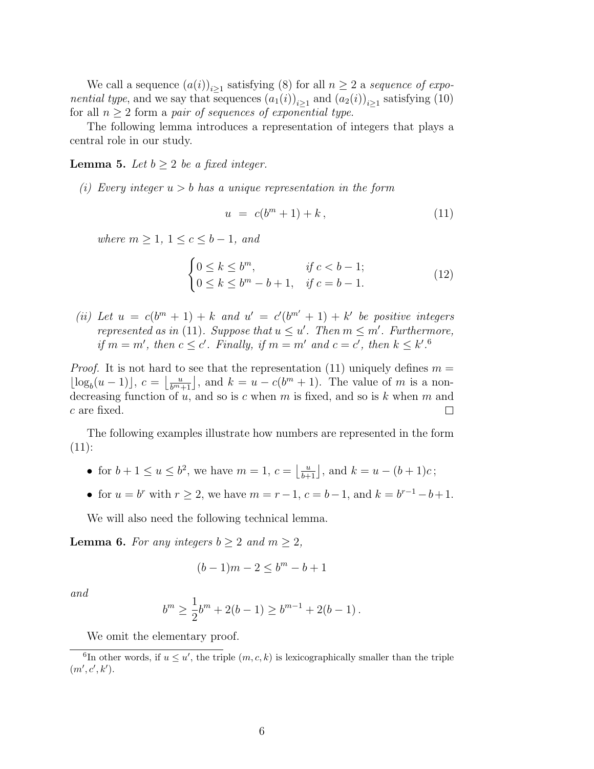We call a sequence  $(a(i))_{i\geq 1}$  satisfying [\(8](#page-4-0)) for all  $n \geq 2$  a *sequence of exponential type*, and we say that sequences  $(a_1(i))_{i\geq 1}$  and  $(a_2(i))_{i\geq 1}$  satisfying ([10](#page-4-1)) for all  $n \geq 2$  form a *pair of sequences of exponential type.* 

The following lemma introduces a representation of integers that plays a central role in our study.

<span id="page-5-2"></span>**Lemma 5.** *Let*  $b \geq 2$  *be a fixed integer.* 

*(i) Every integer u > b has a unique representation in the form*

<span id="page-5-0"></span>
$$
u = c(b^m + 1) + k, \tag{11}
$$

*where*  $m \ge 1$ ,  $1 \le c \le b-1$ , and

<span id="page-5-4"></span>
$$
\begin{cases} 0 \le k \le b^m, & \text{if } c < b - 1; \\ 0 \le k \le b^m - b + 1, & \text{if } c = b - 1. \end{cases} \tag{12}
$$

*(ii)* Let  $u = c(b^m + 1) + k$  and  $u' = c'(b^{m'} + 1) + k'$  be positive integers *represented as in* [\(11\)](#page-5-0)*. Suppose that*  $u \leq u'$ *. Then*  $m \leq m'$ *. Furthermore,* if  $m = m'$ , then  $c \leq c'$ . Finally, if  $m = m'$  and  $c = c'$ , then  $k \leq k'$ .<sup>[6](#page-5-1)</sup>

*Proof.* It is not hard to see that the representation ([11](#page-5-0)) uniquely defines  $m =$  $\lfloor \log_b(u-1) \rfloor$ ,  $c = \lfloor \frac{u}{b^{m+1}} \rfloor$ , and  $k = u - c(b^m + 1)$ . The value of *m* is a nondecreasing function of *u*, and so is *c* when *m* is fixed, and so is *k* when *m* and *c* are fixed.  $\Box$ 

The following examples illustrate how numbers are represented in the form  $(11)$  $(11)$  $(11)$ :

- for  $b + 1 \le u \le b^2$ , we have  $m = 1$ ,  $c = \left\lfloor \frac{u}{b+1} \right\rfloor$ , and  $k = u (b+1)c$ ;
- for  $u = b^r$  with  $r \geq 2$ , we have  $m = r 1$ ,  $c = b 1$ , and  $k = b^{r-1} b + 1$ .

We will also need the following technical lemma.

<span id="page-5-3"></span>**Lemma 6.** *For any integers*  $b \geq 2$  *and*  $m \geq 2$ *,* 

$$
(b-1)m-2\leq b^m-b+1
$$

*and*

$$
b^{m} \ge \frac{1}{2}b^{m} + 2(b - 1) \ge b^{m-1} + 2(b - 1).
$$

<span id="page-5-1"></span>We omit the elementary proof.

<sup>&</sup>lt;sup>6</sup>In other words, if  $u \leq u'$ , the triple  $(m, c, k)$  is lexicographically smaller than the triple  $(m', c', k').$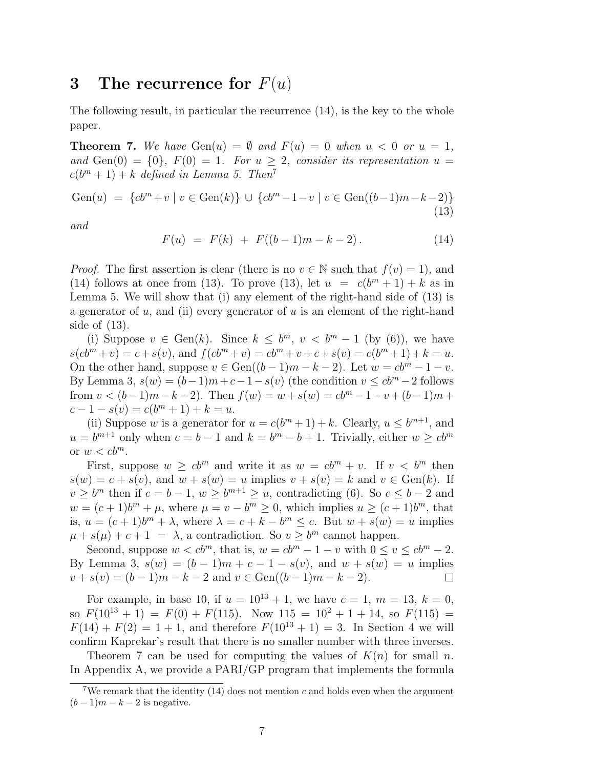## <span id="page-6-0"></span>**3 The recurrence for** *F*(*u*)

The following result, in particular the recurrence ([14\)](#page-6-1), is the key to the whole paper.

<span id="page-6-4"></span>**Theorem 7.** We have  $Gen(u) = \emptyset$  and  $F(u) = 0$  when  $u < 0$  or  $u = 1$ , and Gen(0) =  $\{0\}$ *,*  $F(0) = 1$ *. For*  $u \geq 2$ *, consider its representation*  $u =$  $c(b^m + 1) + k$  *defined in Lemma [5.](#page-5-2) Then*<sup>[7](#page-6-2)</sup>

<span id="page-6-3"></span>Gen(u) = {cb<sup>m</sup>+v | v ∈ Gen(k)} 
$$
\cup
$$
 {cb<sup>m</sup>-1-v | v ∈ Gen((b-1)m-k-2)} (13)

*and*

<span id="page-6-1"></span>
$$
F(u) = F(k) + F((b-1)m - k - 2).
$$
 (14)

*Proof.* The first assertion is clear (there is no  $v \in \mathbb{N}$  such that  $f(v) = 1$ ), and ([14](#page-6-1)) follows at once from ([13](#page-6-3)). To prove ([13\)](#page-6-3), let  $u = c(b^m + 1) + k$  as in Lemma [5.](#page-5-2) We will show that (i) any element of the right-hand side of ([13\)](#page-6-3) is a generator of *u*, and (ii) every generator of *u* is an element of the right-hand side of [\(13\)](#page-6-3).

(i) Suppose  $v \in Gen(k)$ . Since  $k \leq b^m$ ,  $v < b^m - 1$  (by ([6](#page-4-2))), we have  $s(cb<sup>m</sup> + v) = c + s(v)$ , and  $f(cb<sup>m</sup> + v) = cb<sup>m</sup> + v + c + s(v) = c(b<sup>m</sup> + 1) + k = u$ . On the other hand, suppose  $v \in Gen((b-1)m-k-2)$ . Let  $w = cb^m-1-v$ . By Lemma [3,](#page-4-3)  $s(w) = (b-1)m+c-1-s(v)$  (the condition  $v \leq cb^m-2$  follows from  $v < (b-1)m-k-2$ ). Then  $f(w) = w + s(w) = cb^m - 1 - v + (b-1)m + c$  $c - 1 - s(v) = c(b^m + 1) + k = u.$ 

(ii) Suppose *w* is a generator for  $u = c(b^m + 1) + k$ . Clearly,  $u \le b^{m+1}$ , and  $u = b^{m+1}$  only when  $c = b - 1$  and  $k = b^m - b + 1$ . Trivially, either  $w \geq cb^m$ or  $w < cb^m$ .

First, suppose  $w \geq cb^m$  and write it as  $w = cb^m + v$ . If  $v < b^m$  then  $s(w) = c + s(v)$ , and  $w + s(w) = u$  implies  $v + s(v) = k$  and  $v \in Gen(k)$ . If  $v \ge b^m$  then if  $c = b - 1$ ,  $w \ge b^{m+1} \ge u$ , contradicting [\(6](#page-4-2)). So  $c \le b - 2$  and  $w = (c+1)b^m + \mu$ , where  $\mu = v - b^m \geq 0$ , which implies  $u \geq (c+1)b^m$ , that is,  $u = (c+1)b^{m} + \lambda$ , where  $\lambda = c + k - b^{m} \leq c$ . But  $w + s(w) = u$  implies  $\mu + s(\mu) + c + 1 = \lambda$ , a contradiction. So  $v \ge b^m$  cannot happen.

Second, suppose  $w < cb^m$ , that is,  $w = cb^m - 1 - v$  with  $0 \le v \le cb^m - 2$ . By Lemma [3,](#page-4-3)  $s(w) = (b-1)m + c - 1 - s(v)$ , and  $w + s(w) = u$  implies  $v + s(v) = (b-1)m - k - 2$  and  $v \in Gen((b-1)m - k - 2)$ .  $\Box$ 

For example, in base 10, if  $u = 10^{13} + 1$ , we have  $c = 1$ ,  $m = 13$ ,  $k = 0$ , so  $F(10^{13} + 1) = F(0) + F(115)$ . Now  $115 = 10^2 + 1 + 14$ , so  $F(115) =$  $F(14) + F(2) = 1 + 1$  $F(14) + F(2) = 1 + 1$  $F(14) + F(2) = 1 + 1$ , and therefore  $F(10^{13} + 1) = 3$ . In Section 4 we will confirm Kaprekar's result that there is no smaller number with three inverses.

Theorem [7](#page-6-4) can be used for computing the values of  $K(n)$  for small *n*. In [Appendix A,](#page-33-10) we provide a PARI/GP program that implements the formula

<span id="page-6-2"></span><sup>7</sup>We remark that the identity ([14\)](#page-6-1) does not mention *c* and holds even when the argument  $(b-1)m - k - 2$  is negative.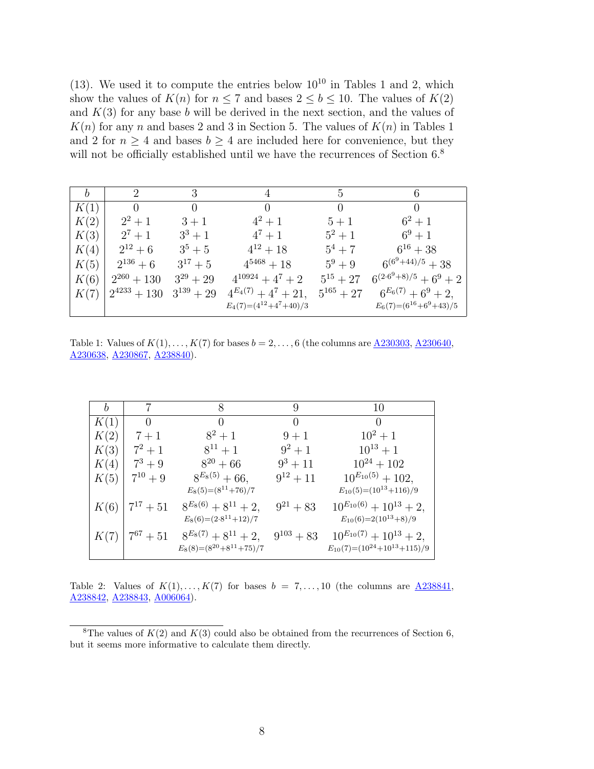$(13)$  $(13)$  $(13)$ . We used it to compute the entries below  $10^{10}$  $10^{10}$  in Tables 1 and [2,](#page-7-0) which show the values of  $K(n)$  for  $n \leq 7$  and bases  $2 \leq b \leq 10$ . The values of  $K(2)$ and  $K(3)$  for any base *b* will be derived in the next section, and the values of  $K(n)$  for any *n* and bases 2 and 3 in Section [5.](#page-11-0) The values of  $K(n)$  in Tables [1](#page-7-1) and [2](#page-7-0) for  $n \geq 4$  and bases  $b \geq 4$  are included here for convenience, but they will not be officially established until we have the recurrences of Section [6.](#page-13-0)<sup>[8](#page-7-2)</sup>

<span id="page-7-1"></span>

| $\boldsymbol{b}$ | $\mathcal{D}_{\mathcal{L}}$ | 3            |                            | 5             | 6                            |
|------------------|-----------------------------|--------------|----------------------------|---------------|------------------------------|
| K(1)             | $\theta$                    | $\theta$     | $\left( \right)$           |               | $\theta$                     |
| K(2)             | $2^2 + 1$                   | $3+1$        | $4^2 + 1$                  | $5+1$         | $6^2 + 1$                    |
| K(3)             | $2^7 + 1$                   | $3^3 + 1$    | $4^7 + 1$                  | $5^2 + 1$     | $6^9 + 1$                    |
| K(4)             | $2^{12} + 6$                | $3^5 + 5$    | $4^{12} + 18$              | $5^4 + 7$     | $6^{16}+38$                  |
| K(5)             | $2^{136}+6$                 | $3^{17}+5$   | $4^{5468}+18$              | $5^9 + 9$     | $6^{(6^9+44)/5}+38$          |
| K(6)             | $2^{260} + 130$             | $3^{29}+29$  | $4^{10924} + 4^7 + 2$      | $5^{15} + 27$ | $6^{(2\cdot 6^9+8)/5}+6^9+2$ |
| K(7)             | $2^{4233}+130$              | $3^{139}+29$ | $4^{E_4(7)} + 4^7 + 21,$   | $5^{165}+27$  | $6^{E_6(7)} + 6^9 + 2$ ,     |
|                  |                             |              | $E_4(7)=(4^{12}+4^7+40)/3$ |               | $E_6(7)=(6^{16}+6^9+43)/5$   |

Table 1: Values of  $K(1), ..., K(7)$  for bases  $b = 2, ..., 6$  (the columns are  $\underline{A230303}, \underline{A230640},$  $\underline{A230303}, \underline{A230640},$  $\underline{A230303}, \underline{A230640},$ [A230638](http://oeis.org/A230638), [A230867,](http://oeis.org/A230867) [A238840](http://oeis.org/A238840)).

<span id="page-7-0"></span>

| b    | 7              | 8                             | 9              | 10                                  |
|------|----------------|-------------------------------|----------------|-------------------------------------|
| K(1) | $\theta$       | $\theta$                      | $\theta$       | $\theta$                            |
| K(2) | $7+1$          | $8^2 + 1$                     | $9+1$          | $10^2 + 1$                          |
| K(3) | $7^2 + 1$      | $8^{11}+1$                    | $9^2 + 1$      | $10^{13}+1$                         |
| K(4) | $7^3 + 9$      | $8^{20} + 66$                 | $9^3 + 11$     | $10^{24} + 102$                     |
| K(5) | $7^{10} + 9$   | $8^{E_8(5)} + 66,$            | $9^{12}+11$    | $10^{E_{10}(5)} + 102,$             |
|      |                | $E_8(5)=(8^{11}+76)/7$        |                | $E_{10}(5)=(10^{13}+116)/9$         |
| K(6) | $17^{17} + 51$ | $8^{E_8(6)} + 8^{11} + 2,$    | $9^{21} + 83$  | $10^{E_{10}(6)} + 10^{13} + 2,$     |
|      |                | $E_8(6)=(2.8^{11}+12)/7$      |                | $E_{10}(6)=2(10^{13}+8)/9$          |
| K(7) | $7^{67} + 51$  | $8^{E_8(7)} + 8^{11} + 2,$    | $9^{103} + 83$ | $10^{E_{10}(7)} + 10^{13} + 2,$     |
|      |                | $E_8(8)=(8^{20}+8^{11}+75)/7$ |                | $E_{10}(7)=(10^{24}+10^{13}+115)/9$ |
|      |                |                               |                |                                     |

Table 2: Values of  $K(1), \ldots, K(7)$  for bases  $b = 7, \ldots, 10$  (the columns are  $\underline{A238841}$  $\underline{A238841}$  $\underline{A238841}$ , [A238842](http://oeis.org/A238842), [A238843,](http://oeis.org/A238843) [A006064](http://oeis.org/A006064)).

<span id="page-7-2"></span><sup>&</sup>lt;sup>8</sup>The values of  $K(2)$  and  $K(3)$  could also be obtained from the recurrences of Section [6](#page-13-0), but it seems more informative to calculate them directly.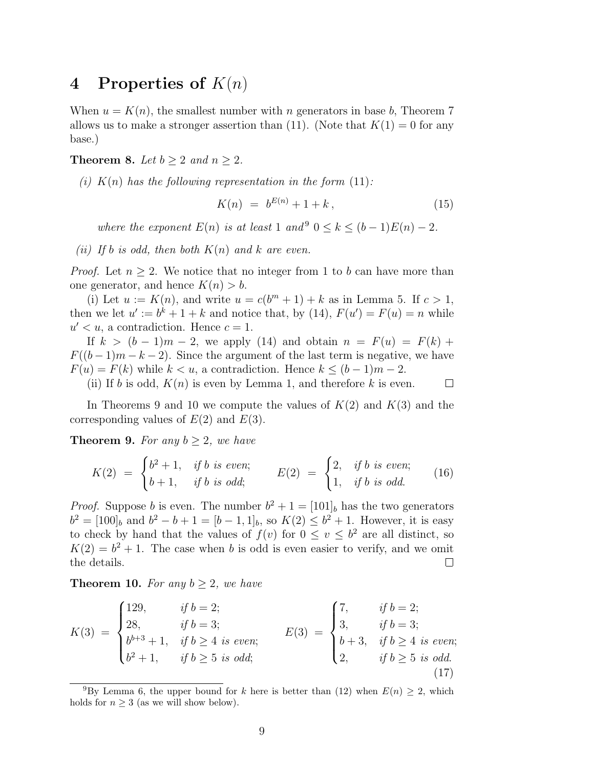## <span id="page-8-0"></span>**4 Properties of** *K*(*n*)

When  $u = K(n)$ , the smallest number with *n* generators in base *b*, Theorem [7](#page-6-4) allows us to make a stronger assertion than ([11](#page-5-0)). (Note that  $K(1) = 0$  for any base.)

<span id="page-8-1"></span>**Theorem 8.** *Let*  $b \geq 2$  *and*  $n \geq 2$ *.* 

 $(i)$   $K(n)$  has the following representation in the form  $(11)$  $(11)$  $(11)$ :

<span id="page-8-5"></span>
$$
K(n) = b^{E(n)} + 1 + k, \tag{15}
$$

*where the exponent*  $E(n)$  *is at least* 1 *and*<sup>[9](#page-8-2)</sup>  $0 \le k \le (b-1)E(n) - 2$ .

*(ii)* If *b is odd, then both*  $K(n)$  *and*  $k$  *are even.* 

*Proof.* Let  $n \geq 2$ . We notice that no integer from 1 to *b* can have more than one generator, and hence  $K(n) > b$ .

(i) Let  $u := K(n)$ , and write  $u = c(b^m + 1) + k$  as in Lemma [5.](#page-5-2) If  $c > 1$ , then we let  $u' := b^k + 1 + k$  and notice that, by ([14\)](#page-6-1),  $F(u') = F(u) = n$  while  $u' < u$ , a contradiction. Hence  $c = 1$ .

If  $k > (b-1)m - 2$ , we apply [\(14\)](#page-6-1) and obtain  $n = F(u) = F(k) +$  $F((b-1)m-k-2)$ . Since the argument of the last term is negative, we have  $F(u) = F(k)$  while  $k < u$ , a contradiction. Hence  $k < (b-1)m-2$ .  $\Box$ 

(ii) If *b* is odd,  $K(n)$  is even by Lemma 1, and therefore *k* is even.

In Theorems [9](#page-8-3) and [10](#page-8-4) we compute the values of *K*(2) and *K*(3) and the corresponding values of *E*(2) and *E*(3).

<span id="page-8-3"></span>**Theorem 9.** For any  $b \geq 2$ , we have

$$
K(2) = \begin{cases} b^2 + 1, & \text{if } b \text{ is even;} \\ b + 1, & \text{if } b \text{ is odd;} \end{cases} \qquad E(2) = \begin{cases} 2, & \text{if } b \text{ is even;} \\ 1, & \text{if } b \text{ is odd.} \end{cases} \qquad (16)
$$

*Proof.* Suppose *b* is even. The number  $b^2 + 1 = [101]_b$  has the two generators  $b^2 = [100]_b$  and  $b^2 - b + 1 = [b - 1, 1]_b$ , so  $K(2) \leq b^2 + 1$ . However, it is easy to check by hand that the values of  $f(v)$  for  $0 \le v \le b^2$  are all distinct, so  $K(2) = b^2 + 1$ . The case when *b* is odd is even easier to verify, and we omit the details.  $\Box$ 

<span id="page-8-4"></span>**Theorem 10.** For any  $b \geq 2$ , we have

$$
K(3) = \begin{cases} 129, & if \ b = 2; \\ 28, & if \ b = 3; \\ b^{b+3} + 1, & if \ b \ge 4 \ is \ even; \\ b^2 + 1, & if \ b \ge 5 \ is \ odd; \end{cases} \qquad E(3) = \begin{cases} 7, & if \ b = 2; \\ 3, & if \ b = 3; \\ b+3, & if \ b \ge 4 \ is \ even; \\ 2, & if \ b \ge 5 \ is \ odd. \end{cases}
$$
(17)

<span id="page-8-2"></span><sup>&</sup>lt;sup>9</sup>By Lemma [6](#page-5-3), the upper bound for *k* here is better than [\(12](#page-5-4)) when  $E(n) \geq 2$ , which holds for  $n \geq 3$  (as we will show below).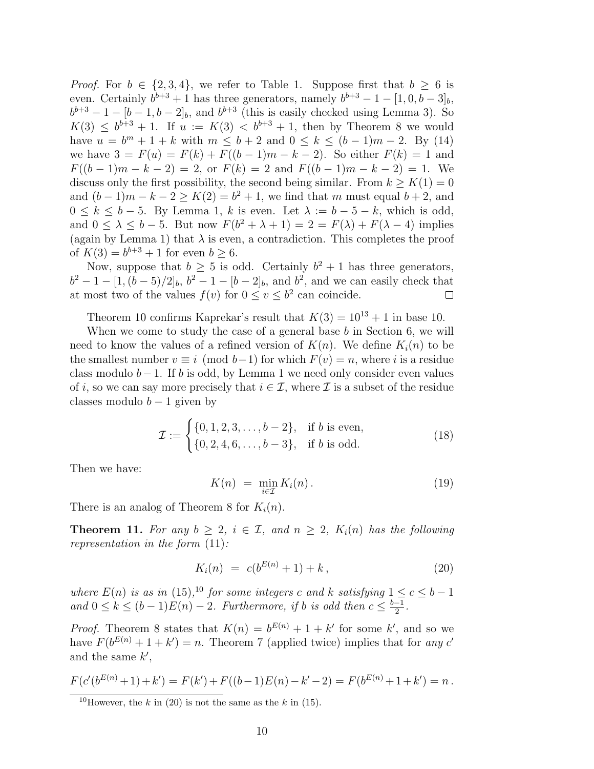*Proof.* For  $b \in \{2, 3, 4\}$ , we refer to Table [1.](#page-7-1) Suppose first that  $b \ge 6$  is even. Certainly  $b^{b+3} + 1$  has three generators, namely  $b^{b+3} - 1 - [1, 0, b - 3]_b$ ,  $b^{b+3} - 1 - [b-1, b-2]_b$  $b^{b+3} - 1 - [b-1, b-2]_b$  $b^{b+3} - 1 - [b-1, b-2]_b$ , and  $b^{b+3}$  (this is easily checked using Lemma 3). So  $K(3) \leq b^{b+3} + 1$ . If  $u := K(3) < b^{b+3} + 1$ , then by Theorem [8](#page-8-1) we would have  $u = b^m + 1 + k$  with  $m \le b + 2$  and  $0 \le k \le (b - 1)m - 2$ . By ([14](#page-6-1)) we have  $3 = F(u) = F(k) + F((b-1)m - k - 2)$ . So either  $F(k) = 1$  and  $F((b-1)m-k-2) = 2$ , or  $F(k) = 2$  and  $F((b-1)m-k-2) = 1$ . We discuss only the first possibility, the second being similar. From  $k \geq K(1) = 0$ and  $(b-1)m - k - 2 \ge K(2) = b^2 + 1$ , we find that *m* must equal  $b + 2$ , and  $0 \leq k \leq b-5$ . By Lemma 1, *k* is even. Let  $\lambda := b-5-k$ , which is odd, and  $0 \leq \lambda \leq b-5$ . But now  $F(b^2 + \lambda + 1) = 2 = F(\lambda) + F(\lambda - 4)$  implies (again by Lemma 1) that  $\lambda$  is even, a contradiction. This completes the proof of  $K(3) = b^{b+3} + 1$  for even  $b \ge 6$ .

Now, suppose that  $b \geq 5$  is odd. Certainly  $b^2 + 1$  has three generators,  $b^2 - 1 - [1, (b-5)/2]_b$ ,  $b^2 - 1 - [b-2]_b$ , and  $b^2$ , and we can easily check that at most two of the values  $f(v)$  for  $0 \le v \le b^2$  can coincide.  $\Box$ 

Theorem [10](#page-8-4) confirms Kaprekar's result that  $K(3) = 10^{13} + 1$  in base 10.

When we come to study the case of a general base *b* in Section [6,](#page-13-0) we will need to know the values of a refined version of  $K(n)$ . We define  $K_i(n)$  to be the smallest number  $v \equiv i \pmod{b-1}$  for which  $F(v) = n$ , where *i* is a residue class modulo *b−* 1. If *b* is odd, by Lemma 1 we need only consider even values of *i*, so we can say more precisely that  $i \in \mathcal{I}$ , where  $\mathcal{I}$  is a subset of the residue classes modulo  $b-1$  given by

$$
\mathcal{I} := \begin{cases} \{0, 1, 2, 3, \dots, b - 2\}, & \text{if } b \text{ is even,} \\ \{0, 2, 4, 6, \dots, b - 3\}, & \text{if } b \text{ is odd.} \end{cases}
$$
(18)

Then we have:

<span id="page-9-2"></span>
$$
K(n) = \min_{i \in \mathcal{I}} K_i(n). \tag{19}
$$

There is an analog of Theorem [8](#page-8-1) for *Ki*(*n*).

<span id="page-9-3"></span>**Theorem 11.** For any  $b \geq 2$ ,  $i \in \mathcal{I}$ , and  $n \geq 2$ ,  $K_i(n)$  has the following *representation in the form* ([11](#page-5-0))*:*

<span id="page-9-1"></span>
$$
K_i(n) = c(b^{E(n)} + 1) + k, \tag{20}
$$

*where*  $E(n)$  *is as in* [\(15](#page-8-5))<sup>, [10](#page-9-0)</sup> *for some integers c and k satisfying*  $1 \leq c \leq b - 1$ *and*  $0 \le k \le (b-1)E(n) - 2$ *. Furthermore, if b is odd then*  $c \le \frac{b-1}{2}$ *.* 

*Proof.* Theorem [8](#page-8-1) states that  $K(n) = b^{E(n)} + 1 + k'$  for some k', and so we have  $F(b^{E(n)} + 1 + k') = n$ . Theorem [7](#page-6-4) (applied twice) implies that for *any c* and the same *k ′* ,

$$
F(c'(b^{E(n)}+1)+k') = F(k') + F((b-1)E(n)-k'-2) = F(b^{E(n)}+1+k') = n.
$$

<span id="page-9-0"></span><sup>&</sup>lt;sup>10</sup>However, the *k* in [\(20](#page-9-1)) is not the same as the *k* in [\(15](#page-8-5)).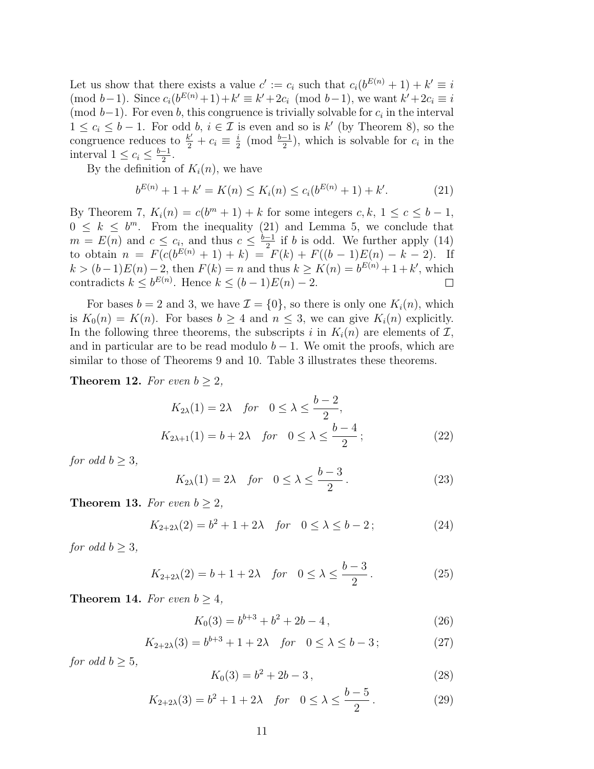Let us show that there exists a value  $c' := c_i$  such that  $c_i(b^{E(n)} + 1) + k' \equiv i$  $\pmod{b-1}$ . Since  $c_i(b^{E(n)}+1)+k' \equiv k'+2c_i \pmod{b-1}$ , we want  $k'+2c_i \equiv i$ (mod  $b-1$ ). For even *b*, this congruence is trivially solvable for  $c_i$  in the interval 1 ≤  $c_i$  ≤ *b* − 1. For odd *b*,  $i \in \mathcal{I}$  is even and so is *k'* (by Theorem [8\)](#page-8-1), so the congruence reduces to  $\frac{k'}{2} + c_i \equiv \frac{i}{2}$  $\frac{i}{2}$  (mod  $\frac{b-1}{2}$ ), which is solvable for  $c_i$  in the interval  $1 \leq c_i \leq \frac{b-1}{2}$ .

By the definition of  $K_i(n)$ , we have

<span id="page-10-0"></span>
$$
b^{E(n)} + 1 + k' = K(n) \le K_i(n) \le c_i(b^{E(n)} + 1) + k'. \tag{21}
$$

By Theorem [7,](#page-6-4)  $K_i(n) = c(b^m + 1) + k$  for some integers  $c, k, 1 \leq c \leq b - 1$ ,  $0 \leq k \leq b^m$ . From the inequality ([21](#page-10-0)) and Lemma [5,](#page-5-2) we conclude that  $m = E(n)$  and  $c \leq c_i$ , and thus  $c \leq \frac{b-1}{2}$  if *b* is odd. We further apply ([14](#page-6-1))  $\text{to obtain } n = F(c(b^{E(n)} + 1) + k) = F(k) + F((b-1)E(n) - k - 2).$ *k* > (*b*−1) $E(n) - 2$ , then  $F(k) = n$  and thus  $k \ge K(n) = b^{E(n)} + 1 + k'$ , which contradicts  $k \leq b^{E(n)}$ . Hence  $k \leq (b-1)E(n) - 2$ .  $\Box$ 

For bases  $b = 2$  and 3, we have  $\mathcal{I} = \{0\}$ , so there is only one  $K_i(n)$ , which is  $K_0(n) = K(n)$ . For bases  $b \geq 4$  and  $n \leq 3$ , we can give  $K_i(n)$  explicitly. In the following three theorems, the subscripts *i* in  $K_i(n)$  are elements of  $I$ , and in particular are to be read modulo  $b-1$ . We omit the proofs, which are similar to those of Theorems [9](#page-8-3) and [10.](#page-8-4) Table [3](#page-11-1) illustrates these theorems.

<span id="page-10-1"></span>**Theorem 12.** For even  $b \geq 2$ ,

$$
K_{2\lambda}(1) = 2\lambda \quad \text{for} \quad 0 \le \lambda \le \frac{b-2}{2},
$$
\n
$$
K_{2\lambda+1}(1) = b + 2\lambda \quad \text{for} \quad 0 \le \lambda \le \frac{b-4}{2};
$$
\n
$$
(22)
$$

*for odd*  $b > 3$ *,* 

$$
K_{2\lambda}(1) = 2\lambda \quad \text{for} \quad 0 \le \lambda \le \frac{b-3}{2} \,. \tag{23}
$$

<span id="page-10-3"></span>**Theorem 13.** *For even*  $b \geq 2$ *,* 

$$
K_{2+2\lambda}(2) = b^2 + 1 + 2\lambda \quad \text{for} \quad 0 \le \lambda \le b - 2 \tag{24}
$$

*for odd*  $b \geq 3$ *,* 

$$
K_{2+2\lambda}(2) = b + 1 + 2\lambda
$$
 for  $0 \le \lambda \le \frac{b-3}{2}$ . (25)

<span id="page-10-2"></span>**Theorem 14.** For even  $b \geq 4$ ,

$$
K_0(3) = b^{b+3} + b^2 + 2b - 4,
$$
\n(26)

$$
K_{2+2\lambda}(3) = b^{b+3} + 1 + 2\lambda \quad \text{for} \quad 0 \le \lambda \le b - 3 \tag{27}
$$

*for odd*  $b > 5$ *,* 

$$
K_0(3) = b^2 + 2b - 3,
$$
\n(28)

$$
K_{2+2\lambda}(3) = b^2 + 1 + 2\lambda \quad \text{for} \quad 0 \le \lambda \le \frac{b-5}{2} \,. \tag{29}
$$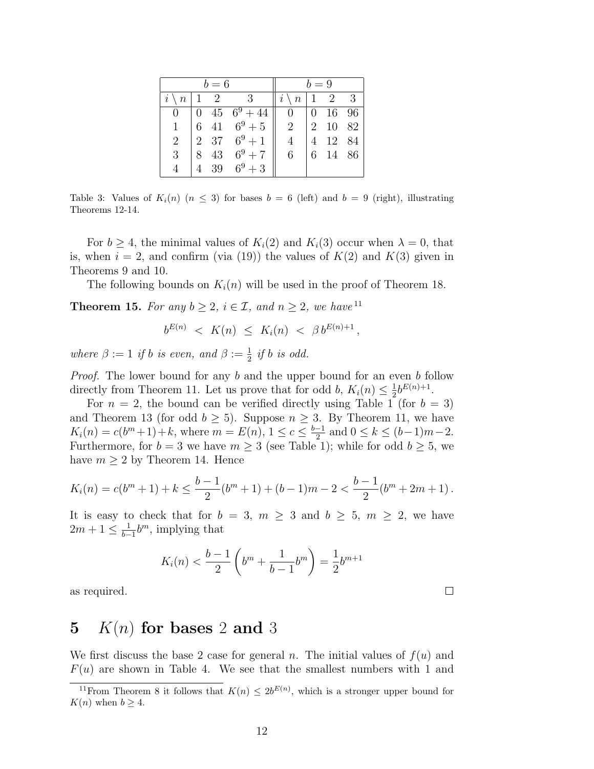<span id="page-11-1"></span>

|                         |   | $b=6$ |                                                                                                      |                         | $b=9$ |         |     |
|-------------------------|---|-------|------------------------------------------------------------------------------------------------------|-------------------------|-------|---------|-----|
| $i \setminus n$   1   2 |   |       | -3                                                                                                   | $i \setminus n$   1   2 |       |         | - 3 |
| $\left( \right)$        |   |       | $\begin{array}{ c c c c c c c c c } \hline 0 & 45 & 6^9 + 44 & 0 & 0 & 16 & 96 \ \hline \end{array}$ |                         |       |         |     |
| $\mathbf{1}$            |   |       | 6 41 $6^9 + 5$                                                                                       | 2                       |       | 2 10 82 |     |
| $\overline{2}$          |   |       | 2 37 $6^9 + 1$                                                                                       | 4                       |       | 12 84   |     |
| 3                       | 8 |       | 43 $6^9 + 7$                                                                                         | 6                       |       | 6 14 86 |     |
|                         |   |       | 39 $6^9 + 3$                                                                                         |                         |       |         |     |

Table 3: Values of  $K_i(n)$  ( $n \leq 3$ ) for bases  $b = 6$  (left) and  $b = 9$  (right), illustrating Theorems [12](#page-10-1)[-14](#page-10-2).

For  $b \geq 4$ , the minimal values of  $K_i(2)$  and  $K_i(3)$  occur when  $\lambda = 0$ , that is, when  $i = 2$ , and confirm (via ([19](#page-9-2))) the values of  $K(2)$  and  $K(3)$  given in Theorems [9](#page-8-3) and [10](#page-8-4).

The following bounds on  $K_i(n)$  will be used in the proof of Theorem [18.](#page-15-0)

<span id="page-11-3"></span>**Theorem 15.** *For any*  $b \geq 2$ *,*  $i \in \mathcal{I}$ *, and*  $n \geq 2$ *, we have*<sup>[11](#page-11-2)</sup>

$$
b^{E(n)} \le K(n) \le K_i(n) < \beta b^{E(n)+1} \,,
$$

*where*  $\beta := 1$  *if b is even, and*  $\beta := \frac{1}{2}$  *if b is odd.* 

*Proof.* The lower bound for any *b* and the upper bound for an even *b* follow directly from Theorem [11](#page-9-3). Let us prove that for odd *b*,  $K_i(n) \leq \frac{1}{2}$  $\frac{1}{2}b^{E(n)+1}$ .

For  $n = 2$ , the bound can be verified directly using Table [1](#page-7-1) (for  $b = 3$ ) and Theorem [13](#page-10-3) (for odd  $b \geq 5$ ). Suppose  $n \geq 3$ . By Theorem [11](#page-9-3), we have  $K_i(n) = c(b^m + 1) + k$ , where  $m = E(n)$ ,  $1 \le c \le \frac{b-1}{2}$  and  $0 \le k \le (b-1)m - 2$ . Furthermore, for  $b = 3$  we have  $m \geq 3$  (see Table [1\)](#page-7-1); while for odd  $b \geq 5$ , we have  $m \geq 2$  by Theorem [14](#page-10-2). Hence

$$
K_i(n) = c(b^m + 1) + k \le \frac{b-1}{2}(b^m + 1) + (b-1)m - 2 < \frac{b-1}{2}(b^m + 2m + 1).
$$

It is easy to check that for  $b = 3$ ,  $m \geq 3$  and  $b \geq 5$ ,  $m \geq 2$ , we have  $2m + 1 \leq \frac{1}{b-1}$  $\frac{1}{b-1}b^m$ , implying that

$$
K_i(n) < \frac{b-1}{2} \left( b^m + \frac{1}{b-1} b^m \right) = \frac{1}{2} b^{m+1}
$$

as required.

## <span id="page-11-0"></span>**5** *K*(*n*) **for bases** 2 **and** 3

We first discuss the base 2 case for general *n*. The initial values of  $f(u)$  and  $F(u)$  are shown in Table [4.](#page-12-0) We see that the smallest numbers with 1 and

 $\Box$ 

<span id="page-11-2"></span><sup>&</sup>lt;sup>11</sup>From Theorem [8](#page-8-1) it follows that  $K(n) \leq 2b^{E(n)}$ , which is a stronger upper bound for *K*(*n*) when  $b \geq 4$ .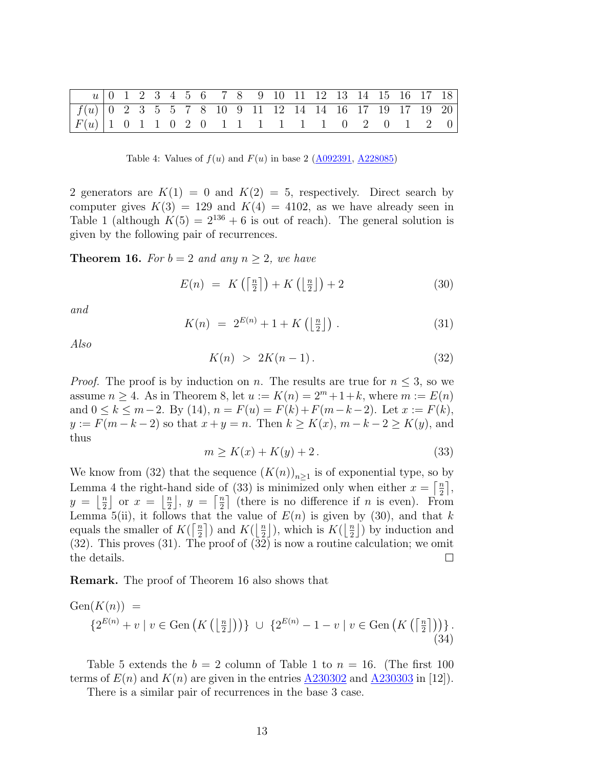<span id="page-12-0"></span>

|                                                         |  |  |  |  |  |  | u 0 1 2 3 4 5 6 7 8 9 10 11 12 13 14 15 16 17 18 |  |  |  |
|---------------------------------------------------------|--|--|--|--|--|--|--------------------------------------------------|--|--|--|
| $f(u)$ 0 2 3 5 5 7 8 10 9 11 12 14 14 16 17 19 17 19 20 |  |  |  |  |  |  |                                                  |  |  |  |
| $ F(u)  1 \t0 1 1 0 2 0 1 1 1 1 1 1 0 2 0 1 2 0$        |  |  |  |  |  |  |                                                  |  |  |  |

Table 4: Values of  $f(u)$  and  $F(u)$  in base 2 [\(A092391,](http://oeis.org/A092391) [A228085](http://oeis.org/A228085))

2 generators are  $K(1) = 0$  and  $K(2) = 5$ , respectively. Direct search by computer gives  $K(3) = 129$  and  $K(4) = 4102$ , as we have already seen in Table [1](#page-7-1) (although  $K(5) = 2^{136} + 6$  is out of reach). The general solution is given by the following pair of recurrences.

<span id="page-12-5"></span>**Theorem 16.** For  $b = 2$  and any  $n \geq 2$ , we have

<span id="page-12-3"></span>
$$
E(n) = K\left(\left\lceil \frac{n}{2} \right\rceil\right) + K\left(\left\lfloor \frac{n}{2} \right\rfloor\right) + 2 \tag{30}
$$

*and*

<span id="page-12-4"></span>
$$
K(n) = 2^{E(n)} + 1 + K\left(\left\lfloor \frac{n}{2} \right\rfloor\right). \tag{31}
$$

*Also*

<span id="page-12-1"></span>
$$
K(n) > 2K(n-1). \tag{32}
$$

*Proof.* The proof is by induction on *n*. The results are true for  $n \leq 3$ , so we assume  $n \geq 4$ . As in Theorem [8,](#page-8-1) let  $u := K(n) = 2^m + 1 + k$ , where  $m := E(n)$ and 0 ≤ *k* ≤ *m* − 2. By [\(14](#page-6-1)), *n* = *F*(*u*) = *F*(*k*) + *F*(*m* − *k* − 2). Let *x* := *F*(*k*), *y* := *F*( $m - k - 2$ ) so that  $x + y = n$ . Then  $k ≥ K(x)$ ,  $m - k - 2 ≥ K(y)$ , and thus

<span id="page-12-2"></span>
$$
m \ge K(x) + K(y) + 2. \tag{33}
$$

We know from ([32](#page-12-1)) that the sequence  $(K(n))_{n\geq 1}$  is of exponential type, so by Lemma [4](#page-4-4) the right-hand side of [\(33\)](#page-12-2) is minimized only when either  $x = \frac{n}{2}$  $\frac{n}{2}$ ,  $y = \frac{n}{2}$  $\frac{n}{2}$  or  $x = \frac{n}{2}$  $\frac{n}{2}$ ,  $y = \left\lceil \frac{n}{2} \right\rceil$  $\frac{n}{2}$  (there is no difference if *n* is even). From Lemma  $5(ii)$  $5(ii)$ , it follows that the value of  $E(n)$  is given by ([30](#page-12-3)), and that *k* equals the smaller of  $K(\frac{n}{2})$  $\frac{n}{2}$ ) and  $K(\frac{n}{2})$  $\frac{n}{2}$ ), which is  $K(\frac{n}{2})$  $\frac{n}{2}$ ) by induction and ([32](#page-12-1)). This proves [\(31\)](#page-12-4). The proof of ([32\)](#page-12-1) is now a routine calculation; we omit the details.  $\Box$ 

**Remark.** The proof of Theorem [16](#page-12-5) also shows that

Gen(*K*(*n*)) = *{*2 *<sup>E</sup>*(*n*) + *v | v ∈* Gen ( *K* (⌊*<sup>n</sup>* 2 ⌋))*} ∪ {*2 *<sup>E</sup>*(*n*) *−* 1 *− v | v ∈* Gen ( *K* (⌈*<sup>n</sup>* 2 ⌉))*} .* (34)

Table [5](#page-13-1) extends the  $b = 2$  column of Table [1](#page-7-1) to  $n = 16$ . (The first 100 terms of  $E(n)$  and  $K(n)$  are given in the entries [A230302](http://oeis.org/A230302) and [A230303](http://oeis.org/A230303) in [\[12\]](#page-33-9).

There is a similar pair of recurrences in the base 3 case.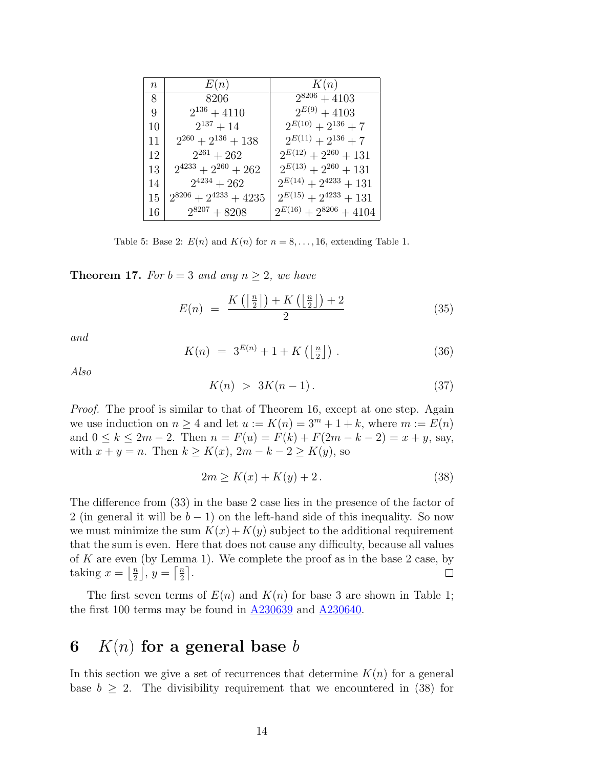<span id="page-13-1"></span>

| $n_{\rm}$ | E(n)                         | K(n)                          |
|-----------|------------------------------|-------------------------------|
| 8         | 8206                         | $2^{8206} + 4103$             |
| 9         | $2^{136} + 4110$             | $2^{E(9)} + 4103$             |
| 10        | $2^{137}+14$                 | $2^{E(10)} + 2^{136} + 7$     |
| 11        | $2^{260} + 2^{136} + 138$    | $2^{E(11)} + 2^{136} + 7$     |
| 12        | $2^{261} + 262$              | $2^{E(12)} + 2^{260} + 131$   |
| 13        | $2^{4233} + 2^{260} + 262$   | $2^{E(13)} + 2^{260} + 131$   |
| 14        | $2^{4234} + 262$             | $2^{E(14)} + 2^{4233} + 131$  |
| 15        | $2^{8206} + 2^{4233} + 4235$ | $2^{E(15)} + 2^{4233} + 131$  |
| 16        | $2^{8207} + 8208$            | $2^{E(16)} + 2^{8206} + 4104$ |

Table 5: Base 2:  $E(n)$  and  $K(n)$  for  $n = 8, \ldots, 16$  $n = 8, \ldots, 16$  $n = 8, \ldots, 16$ , extending Table 1.

**Theorem 17.** For  $b = 3$  and any  $n \geq 2$ , we have

$$
E(n) = \frac{K\left(\left\lceil \frac{n}{2} \right\rceil\right) + K\left(\left\lfloor \frac{n}{2} \right\rfloor\right) + 2}{2} \tag{35}
$$

*and*

$$
K(n) = 3^{E(n)} + 1 + K\left(\frac{n}{2}\right). \tag{36}
$$

*Also*

<span id="page-13-3"></span>
$$
K(n) > 3K(n-1). \tag{37}
$$

*Proof.* The proof is similar to that of Theorem [16](#page-12-5), except at one step. Again we use induction on  $n \geq 4$  and let  $u := K(n) = 3<sup>m</sup> + 1 + k$ , where  $m := E(n)$ and 0 ≤  $k$  ≤ 2*m* − 2. Then  $n = F(u) = F(k) + F(2m - k - 2) = x + y$ , say, with  $x + y = n$ . Then  $k ≥ K(x)$ ,  $2m - k - 2 ≥ K(y)$ , so

<span id="page-13-2"></span>
$$
2m \ge K(x) + K(y) + 2. \tag{38}
$$

The difference from ([33](#page-12-2)) in the base 2 case lies in the presence of the factor of 2 (in general it will be *b −* 1) on the left-hand side of this inequality. So now we must minimize the sum  $K(x) + K(y)$  subject to the additional requirement that the sum is even. Here that does not cause any difficulty, because all values of *K* are even (by Lemma 1). We complete the proof as in the base 2 case, by taking  $x = \frac{n}{2}$  $\frac{n}{2}$ ,  $y = \left\lceil \frac{n}{2} \right\rceil$  $\frac{n}{2}$ .  $\Box$ 

The first seven terms of  $E(n)$  and  $K(n)$  for base 3 are shown in Table [1;](#page-7-1) the first 100 terms may be found in [A230639](http://oeis.org/A230639) and [A230640.](http://oeis.org/A230640)

## <span id="page-13-0"></span>**6** *K*(*n*) **for a general base** *b*

In this section we give a set of recurrences that determine  $K(n)$  for a general base  $b \geq 2$ . The divisibility requirement that we encountered in ([38\)](#page-13-2) for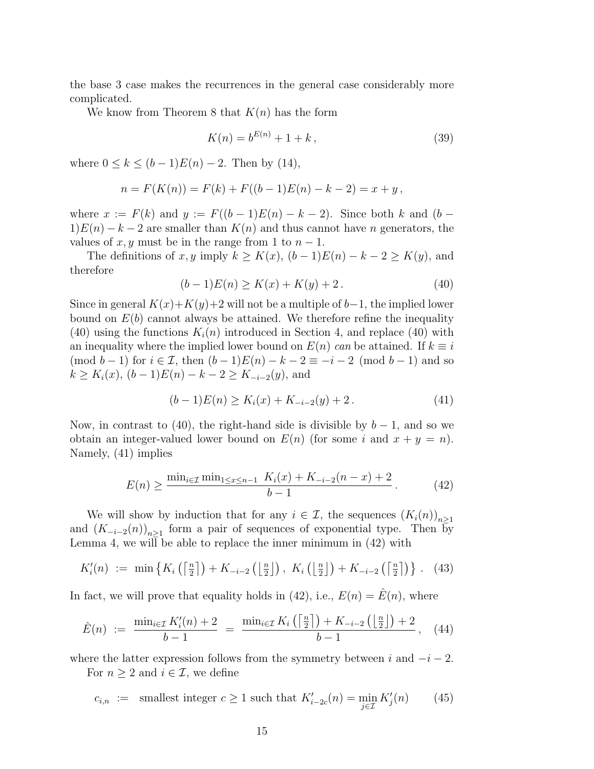the base 3 case makes the recurrences in the general case considerably more complicated.

We know from Theorem [8](#page-8-1) that *K*(*n*) has the form

$$
K(n) = b^{E(n)} + 1 + k, \tag{39}
$$

where  $0 \le k \le (b-1)E(n) - 2$ . Then by ([14](#page-6-1)),

$$
n = F(K(n)) = F(k) + F((b-1)E(n) - k - 2) = x + y,
$$

where  $x := F(k)$  and  $y := F((b-1)E(n) - k - 2)$ . Since both  $k$  and  $(b 1/E(n) - k - 2$  are smaller than  $K(n)$  and thus cannot have *n* generators, the values of *x, y* must be in the range from 1 to  $n-1$ .

The definitions of *x, y* imply  $k \geq K(x)$ ,  $(b-1)E(n) - k - 2 \geq K(y)$ , and therefore

<span id="page-14-0"></span>
$$
(b-1)E(n) \ge K(x) + K(y) + 2.
$$
 (40)

Since in general  $K(x)+K(y)+2$  will not be a multiple of  $b-1$ , the implied lower bound on  $E(b)$  cannot always be attained. We therefore refine the inequality  $(40)$  $(40)$  $(40)$  using the functions  $K_i(n)$  introduced in Section [4,](#page-8-0) and replace ([40\)](#page-14-0) with an inequality where the implied lower bound on  $E(n)$  *can* be attained. If  $k \equiv i$ (mod  $b-1$ ) for  $i \in \mathcal{I}$ , then  $(b-1)E(n) - k - 2 \equiv -i - 2 \pmod{b-1}$  and so *k* ≥  $K_i(x)$ ,  $(b-1)E(n) - k - 2 \ge K_{-i-2}(y)$ , and

<span id="page-14-1"></span>
$$
(b-1)E(n) \ge K_i(x) + K_{-i-2}(y) + 2.
$$
 (41)

Now, in contrast to [\(40](#page-14-0)), the right-hand side is divisible by  $b-1$ , and so we obtain an integer-valued lower bound on  $E(n)$  (for some *i* and  $x + y = n$ ). Namely, ([41](#page-14-1)) implies

<span id="page-14-2"></span>
$$
E(n) \ge \frac{\min_{i \in \mathcal{I}} \min_{1 \le x \le n-1} K_i(x) + K_{-i-2}(n-x) + 2}{b - 1}.
$$
 (42)

We will show by induction that for any  $i \in \mathcal{I}$ , the sequences  $(K_i(n))_{n \geq 1}$ and  $(K_{-i-2}(n))_{n\geq 1}$  form a pair of sequences of exponential type. Then by Lemma [4,](#page-4-4) we will be able to replace the inner minimum in [\(42](#page-14-2)) with

<span id="page-14-4"></span>
$$
K'_{i}(n) := \min\left\{K_{i}\left(\left\lceil \frac{n}{2} \right\rceil\right) + K_{-i-2}\left(\left\lfloor \frac{n}{2} \right\rfloor\right), K_{i}\left(\left\lfloor \frac{n}{2} \right\rfloor\right) + K_{-i-2}\left(\left\lceil \frac{n}{2} \right\rceil\right)\right\}. (43)
$$

In fact, we will prove that equality holds in ([42](#page-14-2)), i.e.,  $E(n) = E(n)$ , where

<span id="page-14-3"></span>
$$
\hat{E}(n) := \frac{\min_{i \in \mathcal{I}} K_i'(n) + 2}{b - 1} = \frac{\min_{i \in \mathcal{I}} K_i\left(\left\lceil \frac{n}{2} \right\rceil\right) + K_{-i-2}\left(\left\lfloor \frac{n}{2} \right\rfloor\right) + 2}{b - 1}, \quad (44)
$$

where the latter expression follows from the symmetry between  $i$  and  $-i-2$ . For  $n \geq 2$  and  $i \in \mathcal{I}$ , we define

<span id="page-14-5"></span>
$$
c_{i,n} := \text{smallest integer } c \ge 1 \text{ such that } K'_{i-2c}(n) = \min_{j \in \mathcal{I}} K'_j(n) \qquad (45)
$$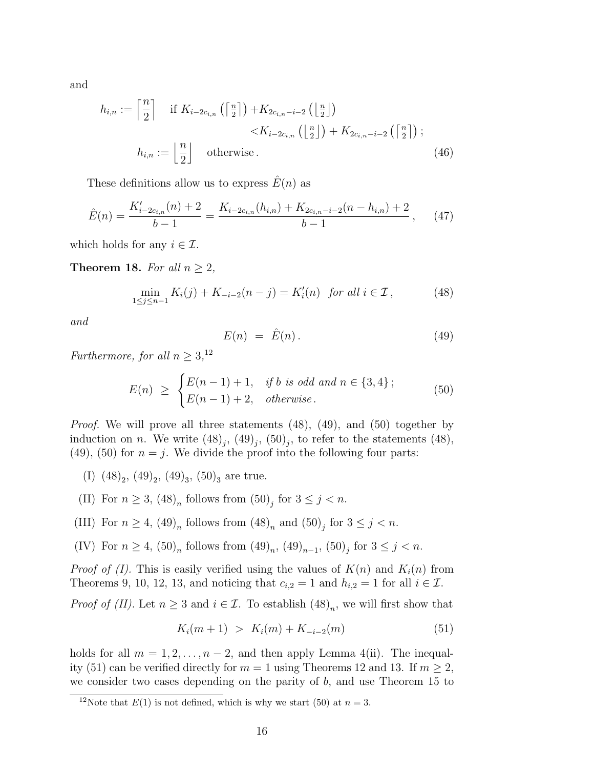and

$$
h_{i,n} := \left\lceil \frac{n}{2} \right\rceil \quad \text{if } K_{i-2c_{i,n}}\left(\left\lceil \frac{n}{2} \right\rceil\right) + K_{2c_{i,n}-i-2}\left(\left\lfloor \frac{n}{2} \right\rfloor\right) \\
\qquad \qquad \le K_{i-2c_{i,n}}\left(\left\lfloor \frac{n}{2} \right\rfloor\right) + K_{2c_{i,n}-i-2}\left(\left\lceil \frac{n}{2} \right\rceil\right); \\
h_{i,n} := \left\lfloor \frac{n}{2} \right\rfloor \quad \text{otherwise} \,.
$$
\n(46)

These definitions allow us to express  $\hat{E}(n)$  as

<span id="page-15-6"></span>
$$
\hat{E}(n) = \frac{K'_{i-2c_{i,n}}(n) + 2}{b-1} = \frac{K_{i-2c_{i,n}}(h_{i,n}) + K_{2c_{i,n}-i-2}(n-h_{i,n}) + 2}{b-1}, \quad (47)
$$

which holds for any  $i \in \mathcal{I}$ .

<span id="page-15-0"></span>**Theorem 18.** *For all*  $n \geq 2$ *,* 

<span id="page-15-2"></span>
$$
\min_{1 \le j \le n-1} K_i(j) + K_{-i-2}(n-j) = K'_i(n) \text{ for all } i \in \mathcal{I},
$$
\n(48)

*and*

<span id="page-15-7"></span><span id="page-15-3"></span>
$$
E(n) = \hat{E}(n). \tag{49}
$$

*Furthermore, for all*  $n \geq 3$ <sup>[12](#page-15-1)</sup>

<span id="page-15-4"></span>
$$
E(n) \geq \begin{cases} E(n-1) + 1, & \text{if } b \text{ is odd and } n \in \{3, 4\}; \\ E(n-1) + 2, & \text{otherwise.} \end{cases}
$$
(50)

*Proof.* We will prove all three statements  $(48)$  $(48)$ ,  $(49)$  $(49)$  $(49)$ , and  $(50)$  together by induction on *n*. We write  $(48)_j$  $(48)_j$ ,  $(49)_j$ ,  $(50)_j$ , to refer to the statements  $(48)$ , ([49](#page-15-3)), ([50](#page-15-4)) for  $n = j$ . We divide the proof into the following four parts:

- (I)  $(48)_2$ ,  $(49)_2$ ,  $(49)_3$ ,  $(50)_3$  are true.
- (II) For  $n \ge 3$ ,  $(48)_n$  follows from  $(50)_j$  for  $3 \le j < n$ .
- (III) For  $n \ge 4$ ,  $(49)_n$  follows from  $(48)_n$  and  $(50)_j$  for  $3 \le j < n$ .
- (IV) For  $n \geq 4$ ,  $(50)_n$  follows from  $(49)_n$ ,  $(49)_{n-1}$ ,  $(50)_j$  for  $3 ≤ j < n$ .

*Proof of (I).* This is easily verified using the values of  $K(n)$  and  $K<sub>i</sub>(n)$  from Theorems [9,](#page-8-3) [10,](#page-8-4) [12,](#page-10-1) [13](#page-10-3), and noticing that  $c_{i,2} = 1$  and  $h_{i,2} = 1$  for all  $i \in \mathcal{I}$ .

*Proof of (II)*. Let  $n \geq 3$  and  $i \in \mathcal{I}$ . To establish  $(48)_n$ , we will first show that

<span id="page-15-5"></span>
$$
K_i(m+1) > K_i(m) + K_{-i-2}(m) \tag{51}
$$

holds for all  $m = 1, 2, \ldots, n-2$ , and then apply Lemma [4](#page-4-4)(ii). The inequal-ity [\(51](#page-15-5)) can be verified directly for  $m = 1$  using Theorems [12](#page-10-1) and [13.](#page-10-3) If  $m \geq 2$ , we consider two cases depending on the parity of *b*, and use Theorem [15](#page-11-3) to

<span id="page-15-1"></span><sup>&</sup>lt;sup>12</sup>Note that  $E(1)$  is not defined, which is why we start [\(50](#page-15-4)) at  $n = 3$ .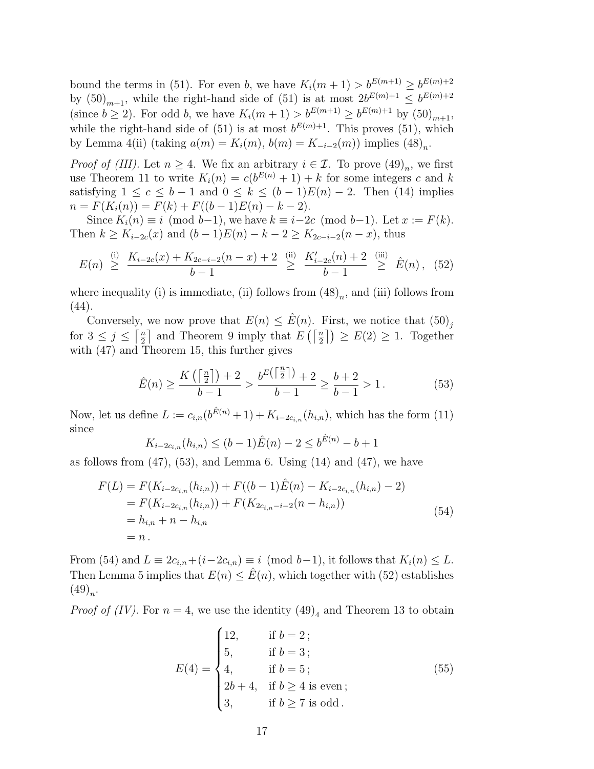bound the terms in [\(51](#page-15-5)). For even *b*, we have  $K_i(m+1) > b^{E(m+1)} \ge b^{E(m)+2}$ by  $(50)_{m+1}$ , while the right-hand side of  $(51)$  $(51)$  is at most  $2b^{E(m)+1} \leq b^{E(m)+2}$ (since  $b \ge 2$ ). For odd *b*, we have  $K_i(m + 1) > b^{E(m+1)} \ge b^{E(m)+1}$  by  $(50)_{m+1}$ , while the right-hand side of  $(51)$  $(51)$  is at most  $b^{E(m)+1}$ . This proves  $(51)$  $(51)$  $(51)$ , which by Lemma [4\(](#page-4-4)ii) (taking  $a(m) = K_i(m)$ ,  $b(m) = K_{-i-2}(m)$ ) implies  $(48)_n$ .

*Proof of (III).* Let  $n \geq 4$ . We fix an arbitrary  $i \in \mathcal{I}$ . To prove  $(49)_n$ , we first use Theorem [11](#page-9-3) to write  $K_i(n) = c(b^{E(n)} + 1) + k$  for some integers *c* and *k* satisfying  $1 \leq c \leq b-1$  and  $0 \leq k \leq (b-1)E(n)-2$ . Then [\(14\)](#page-6-1) implies  $n = F(K_i(n)) = F(k) + F((b-1)E(n) - k - 2).$ 

Since  $K_i(n) \equiv i \pmod{b-1}$ , we have  $k \equiv i-2c \pmod{b-1}$ . Let  $x := F(k)$ . Then  $k \geq K_{i-2c}(x)$  and  $(b-1)E(n) - k - 2 \geq K_{2c-i-2}(n-x)$ , thus

<span id="page-16-2"></span>
$$
E(n) \geq \frac{K_{i-2c}(x) + K_{2c-i-2}(n-x) + 2}{b-1} \geq \frac{K'_{i-2c}(n) + 2}{b-1} \geq \hat{E}(n), \quad (52)
$$

where inequality (i) is immediate, (ii) follows from  $(48)<sub>n</sub>$ , and (iii) follows from ([44](#page-14-3)).

Conversely, we now prove that  $E(n) \leq \hat{E}(n)$ . First, we notice that  $(50)_i$ for  $3 \leq j \leq \lceil \frac{n}{2} \rceil$  $\frac{n}{2}$  and Theorem [9](#page-8-3) imply that  $E\left(\left\lceil \frac{n}{2}\right\rceil\right) \geq E(2) \geq 1$ . Together with [\(47\)](#page-15-6) and Theorem [15](#page-11-3), this further gives

<span id="page-16-0"></span>
$$
\hat{E}(n) \ge \frac{K\left(\left\lceil \frac{n}{2} \right\rceil\right) + 2}{b - 1} > \frac{b^{E\left(\left\lceil \frac{n}{2} \right\rceil\right)} + 2}{b - 1} \ge \frac{b + 2}{b - 1} > 1.
$$
\n(53)

Now, let us define  $L := c_{i,n} (b^{\hat{E}(n)} + 1) + K_{i-2c_{i,n}}(h_{i,n})$ , which has the form ([11](#page-5-0)) since

$$
K_{i-2c_{i,n}}(h_{i,n}) \le (b-1)\hat{E}(n) - 2 \le b^{\hat{E}(n)} - b + 1
$$

as follows from  $(47)$  $(47)$ ,  $(53)$  $(53)$ , and Lemma [6.](#page-5-3) Using  $(14)$  $(14)$  and  $(47)$  $(47)$ , we have

<span id="page-16-1"></span>
$$
F(L) = F(K_{i-2c_{i,n}}(h_{i,n})) + F((b-1)\hat{E}(n) - K_{i-2c_{i,n}}(h_{i,n}) - 2)
$$
  
=  $F(K_{i-2c_{i,n}}(h_{i,n})) + F(K_{2c_{i,n}-i-2}(n - h_{i,n}))$   
=  $h_{i,n} + n - h_{i,n}$   
= n. (54)

From [\(54](#page-16-1)) and  $L \equiv 2c_{i,n}+(i-2c_{i,n}) \equiv i \pmod{b-1}$ , it follows that  $K_i(n) \leq L$ . Then Lemma [5](#page-5-2) implies that  $E(n) \leq E(n)$ , which together with ([52](#page-16-2)) establishes  $(49)_n$ .

*Proof of (IV)*. For  $n = 4$ , we use the identity  $(49)_4$  and Theorem [13](#page-10-3) to obtain

<span id="page-16-3"></span>
$$
E(4) = \begin{cases} 12, & \text{if } b = 2; \\ 5, & \text{if } b = 3; \\ 4, & \text{if } b = 5; \\ 2b + 4, & \text{if } b \ge 4 \text{ is even}; \\ 3, & \text{if } b \ge 7 \text{ is odd}. \end{cases}
$$
(55)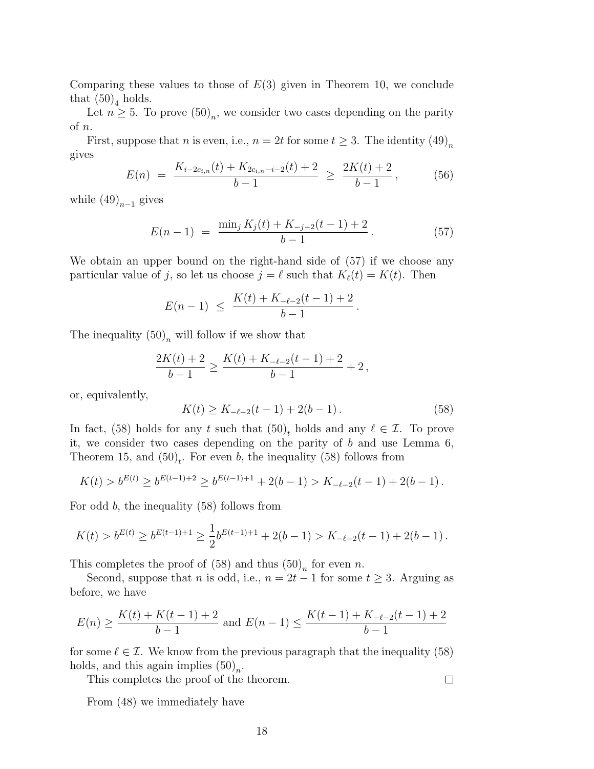Comparing these values to those of  $E(3)$  given in Theorem [10,](#page-8-4) we conclude that  $(50)_4$  holds.

Let  $n \geq 5$ . To prove  $(50)_n$ , we consider two cases depending on the parity of *n*.

First, suppose that *n* is even, i.e.,  $n = 2t$  for some  $t \geq 3$ . The identity  $(49)_n$ gives

$$
E(n) = \frac{K_{i-2c_{i,n}}(t) + K_{2c_{i,n}-i-2}(t) + 2}{b-1} \ge \frac{2K(t) + 2}{b-1},
$$
 (56)

while  $(49)_{n-1}$  gives

<span id="page-17-0"></span>
$$
E(n-1) = \frac{\min_j K_j(t) + K_{-j-2}(t-1) + 2}{b-1}.
$$
 (57)

We obtain an upper bound on the right-hand side of ([57](#page-17-0)) if we choose any particular value of *j*, so let us choose  $j = \ell$  such that  $K_{\ell}(t) = K(t)$ . Then

$$
E(n-1) \le \frac{K(t) + K_{-\ell-2}(t-1) + 2}{b-1}
$$

The inequality  $(50)_n$  will follow if we show that

$$
\frac{2K(t)+2}{b-1} \ge \frac{K(t)+K_{-\ell-2}(t-1)+2}{b-1}+2\,,
$$

or, equivalently,

<span id="page-17-1"></span>
$$
K(t) \ge K_{-\ell-2}(t-1) + 2(b-1).
$$
 (58)

*.*

In fact, [\(58\)](#page-17-1) holds for any *t* such that  $(50)<sub>t</sub>$  holds and any  $\ell \in \mathcal{I}$ . To prove it, we consider two cases depending on the parity of *b* and use Lemma [6,](#page-5-3) Theorem [15](#page-11-3), and  $(50)<sub>t</sub>$ . For even *b*, the inequality ([58\)](#page-17-1) follows from

$$
K(t) > b^{E(t)} \ge b^{E(t-1)+2} \ge b^{E(t-1)+1} + 2(b-1) > K_{-\ell-2}(t-1) + 2(b-1).
$$

For odd *b*, the inequality [\(58](#page-17-1)) follows from

$$
K(t) > b^{E(t)} \ge b^{E(t-1)+1} \ge \frac{1}{2} b^{E(t-1)+1} + 2(b-1) > K_{-\ell-2}(t-1) + 2(b-1).
$$

This completes the proof of  $(58)$  and thus  $(50)<sub>n</sub>$  for even *n*.

Second, suppose that *n* is odd, i.e.,  $n = 2t - 1$  for some  $t \geq 3$ . Arguing as before, we have

$$
E(n) \ge \frac{K(t) + K(t - 1) + 2}{b - 1}
$$
 and  $E(n - 1) \le \frac{K(t - 1) + K_{-\ell - 2}(t - 1) + 2}{b - 1}$ 

for some  $\ell \in \mathcal{I}$ . We know from the previous paragraph that the inequality ([58](#page-17-1)) holds, and this again implies  $(50)_n$ .

This completes the proof of the theorem.

From ([48\)](#page-15-2) we immediately have

 $\Box$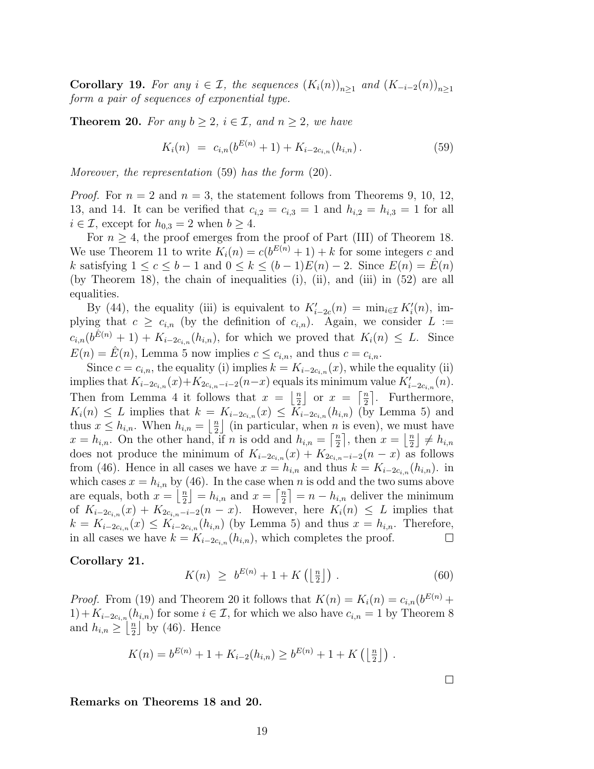**Corollary 19.** For any  $i \in \mathcal{I}$ , the sequences  $(K_i(n))_{n \geq 1}$  and  $(K_{-i-2}(n))_{n \geq 1}$ *form a pair of sequences of exponential type.*

<span id="page-18-0"></span>**Theorem 20.** For any  $b \geq 2$ ,  $i \in \mathcal{I}$ , and  $n \geq 2$ , we have

<span id="page-18-1"></span>
$$
K_i(n) = c_{i,n}(b^{E(n)} + 1) + K_{i-2c_{i,n}}(h_{i,n}).
$$
\n(59)

*Moreover, the representation* [\(59\)](#page-18-1) *has the form* ([20](#page-9-1))*.*

*Proof.* For  $n = 2$  and  $n = 3$ , the statement follows from Theorems [9](#page-8-3), [10](#page-8-4), [12,](#page-10-1) [13,](#page-10-3) and [14.](#page-10-2) It can be verified that  $c_{i,2} = c_{i,3} = 1$  and  $h_{i,2} = h_{i,3} = 1$  for all  $i \in \mathcal{I}$ , except for  $h_{0,3} = 2$  when  $b \geq 4$ .

For  $n \geq 4$ , the proof emerges from the proof of Part (III) of Theorem [18.](#page-15-0) We use Theorem [11](#page-9-3) to write  $K_i(n) = c(b^{E(n)} + 1) + k$  for some integers *c* and *k* satisfying  $1 \le c \le b - 1$  and  $0 \le k \le (b - 1)E(n) - 2$ . Since  $E(n) = E(n)$ (by Theorem [18](#page-15-0)), the chain of inequalities (i), (ii), and (iii) in [\(52](#page-16-2)) are all equalities.

By ([44](#page-14-3)), the equality (iii) is equivalent to  $K'_{i-2c}(n) = \min_{i \in \mathcal{I}} K'_{i}(n)$ , implying that  $c \geq c_{i,n}$  (by the definition of  $c_{i,n}$ ). Again, we consider  $L :=$  $c_{i,n}(b^{\hat{E}(n)}+1) + K_{i-2c_{i,n}}(h_{i,n})$ , for which we proved that  $K_i(n) \leq L$ . Since  $E(n) = \hat{E}(n)$ , Lemma [5](#page-5-2) now implies  $c \leq c_{i,n}$ , and thus  $c = c_{i,n}$ .

Since  $c = c_{i,n}$ , the equality (i) implies  $k = K_{i-2c_{i,n}}(x)$ , while the equality (ii) implies that  $K_{i-2c_{i,n}}(x)+K_{2c_{i,n}-i-2}(n-x)$  equals its minimum value  $K'_{i-2c_{i,n}}(n)$ . Then from Lemma [4](#page-4-4) it follows that  $x = \frac{\pi}{2}$  $\frac{n}{2}$  or  $x = \left\lceil \frac{n}{2} \right\rceil$  $\frac{n}{2}$ . Furthermore,  $K_i(n) \leq L$  implies that  $k = K_{i-2c_i,n}(x) \leq \overline{K}_{i-2c_i,n}(h_{i,n})$  (by Lemma [5\)](#page-5-2) and thus  $x \leq h_{i,n}$ . When  $h_{i,n} = \left\lfloor \frac{n}{2} \right\rfloor$  $\frac{n}{2}$  (in particular, when *n* is even), we must have  $x = h_{i,n}$ . On the other hand, if *n* is odd and  $h_{i,n} = \left[\frac{n}{2}\right]$  $\frac{n}{2}$ , then  $x = \left\lfloor \frac{n}{2} \right\rfloor$  $\frac{n}{2}$   $\neq h_{i,n}$ does not produce the minimum of  $K_{i-2c_{i,n}}(x) + K_{2c_{i,n}-i-2}(n-x)$  as follows from [\(46](#page-15-7)). Hence in all cases we have  $x = h_{i,n}$  and thus  $k = K_{i-2c_{i,n}}(h_{i,n})$ . in which cases  $x = h_{i,n}$  by ([46](#page-15-7)). In the case when *n* is odd and the two sums above are equals, both  $x = \frac{y}{2}$  $\left[\frac{n}{2}\right] = h_{i,n}$  and  $x = \left[\frac{n}{2}\right]$  $\left\lfloor \frac{n}{2} \right\rfloor = n - h_{i,n}$  deliver the minimum of  $K_{i-2c_i,n}(x) + K_{2c_i,n-i-2}(n-x)$ . However, here  $K_i(n) \leq L$  implies that  $k = K_{i-2c_i,n}(x) \leq K_{i-2c_i,n}(h_{i,n})$  (by Lemma [5\)](#page-5-2) and thus  $x = h_{i,n}$ . Therefore, in all cases we have  $k = K_{i-2c_i,n}(h_{i,n})$ , which completes the proof.  $\Box$ 

#### <span id="page-18-2"></span>**Corollary 21.**

$$
K(n) \ge b^{E(n)} + 1 + K\left(\left\lfloor \frac{n}{2} \right\rfloor\right). \tag{60}
$$

*Proof.* From ([19](#page-9-2)) and Theorem [20](#page-18-0) it follows that  $K(n) = K_i(n) = c_{i,n}(b^{E(n)})$ 1) +  $K_{i-2c_i,n}(h_{i,n})$  for some  $i \in I$ , for which we also have  $c_{i,n} = 1$  by Theorem [8](#page-8-1) and  $h_{i,n} \geq \left\lfloor \frac{n}{2} \right\rfloor$  $\frac{\pi}{2}$  by ([46\)](#page-15-7). Hence

$$
K(n) = b^{E(n)} + 1 + K_{i-2}(h_{i,n}) \ge b^{E(n)} + 1 + K\left(\left\lfloor \frac{n}{2} \right\rfloor\right).
$$

**Remarks on Theorems [18](#page-15-0) and [20.](#page-18-0)**

 $\Box$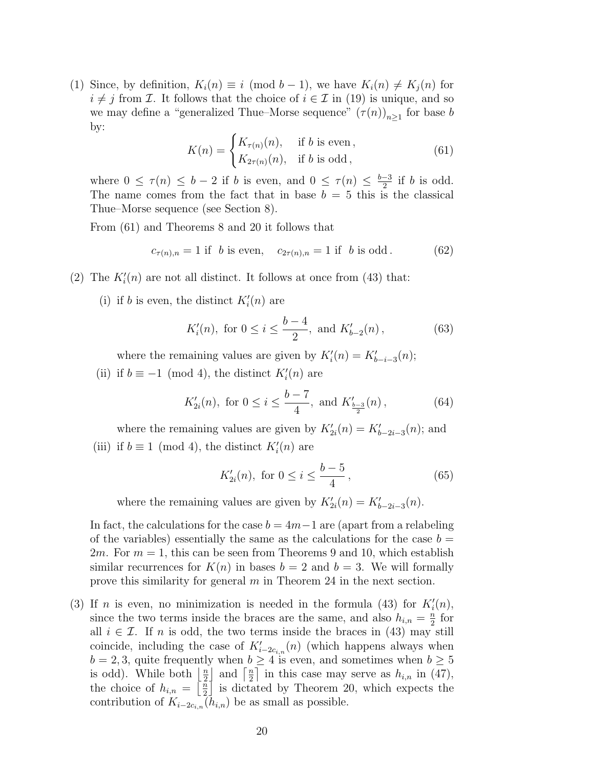(1) Since, by definition,  $K_i(n) \equiv i \pmod{b-1}$ , we have  $K_i(n) \neq K_i(n)$  for  $i \neq j$  from *I*. It follows that the choice of  $i \in I$  in ([19\)](#page-9-2) is unique, and so we may define a "generalized Thue–Morse sequence"  $(\tau(n))_{n\geq 1}$  for base *b* by:

<span id="page-19-0"></span>
$$
K(n) = \begin{cases} K_{\tau(n)}(n), & \text{if } b \text{ is even,} \\ K_{2\tau(n)}(n), & \text{if } b \text{ is odd,} \end{cases}
$$
 (61)

where  $0 \leq \tau(n) \leq b-2$  if *b* is even, and  $0 \leq \tau(n) \leq \frac{b-3}{2}$  if *b* is odd. The name comes from the fact that in base  $b = 5$  this is the classical Thue–Morse sequence (see Section [8\)](#page-25-0).

From [\(61\)](#page-19-0) and Theorems [8](#page-8-1) and [20](#page-18-0) it follows that

$$
c_{\tau(n),n} = 1 \text{ if } b \text{ is even}, \quad c_{2\tau(n),n} = 1 \text{ if } b \text{ is odd}. \tag{62}
$$

- (2) The  $K_i'(n)$  are not all distinct. It follows at once from [\(43\)](#page-14-4) that:
	- (i) if *b* is even, the distinct  $K_i'(n)$  are

<span id="page-19-1"></span>
$$
K'_{i}(n)
$$
, for  $0 \le i \le \frac{b-4}{2}$ , and  $K'_{b-2}(n)$ , (63)

where the remaining values are given by  $K'_{i}(n) = K'_{b-i-3}(n);$ 

(ii) if  $b \equiv -1 \pmod{4}$ , the distinct  $K'_{i}(n)$  are

$$
K'_{2i}(n)
$$
, for  $0 \le i \le \frac{b-7}{4}$ , and  $K'_{\frac{b-3}{2}}(n)$ , (64)

where the remaining values are given by  $K'_{2i}(n) = K'_{b-2i-3}(n)$ ; and (iii) if  $b \equiv 1 \pmod{4}$ , the distinct  $K'_{i}(n)$  are

$$
K'_{2i}(n)
$$
, for  $0 \le i \le \frac{b-5}{4}$ , (65)

where the remaining values are given by  $K'_{2i}(n) = K'_{b-2i-3}(n)$ .

In fact, the calculations for the case  $b = 4m-1$  are (apart from a relabeling of the variables) essentially the same as the calculations for the case  $b =$ 2*m*. For  $m = 1$ , this can be seen from Theorems [9](#page-8-3) and [10,](#page-8-4) which establish similar recurrences for  $K(n)$  in bases  $b = 2$  and  $b = 3$ . We will formally prove this similarity for general *m* in Theorem [24](#page-24-0) in the next section.

(3) If *n* is even, no minimization is needed in the formula ([43\)](#page-14-4) for  $K_i'(n)$ , since the two terms inside the braces are the same, and also  $h_{i,n} = \frac{n}{2}$  $\frac{n}{2}$  for all  $i \in \mathcal{I}$ . If *n* is odd, the two terms inside the braces in ([43\)](#page-14-4) may still coincide, including the case of  $K'_{i-2c_{i,n}}(n)$  (which happens always when  $b = 2, 3$ , quite frequently when  $b \geq 4$  is even, and sometimes when  $b \geq 5$ is odd). While both  $\frac{n}{2}$  $\frac{n}{2}$  and  $\frac{n}{2}$  $\frac{n}{2}$  in this case may serve as  $h_{i,n}$  in [\(47](#page-15-6)), the choice of  $h_{i,n} = \left\lceil \frac{n}{2} \right\rceil$  $\frac{\pi}{2}$  is dictated by Theorem [20,](#page-18-0) which expects the contribution of  $K_{i-2c_{i,n}}(h_{i,n})$  be as small as possible.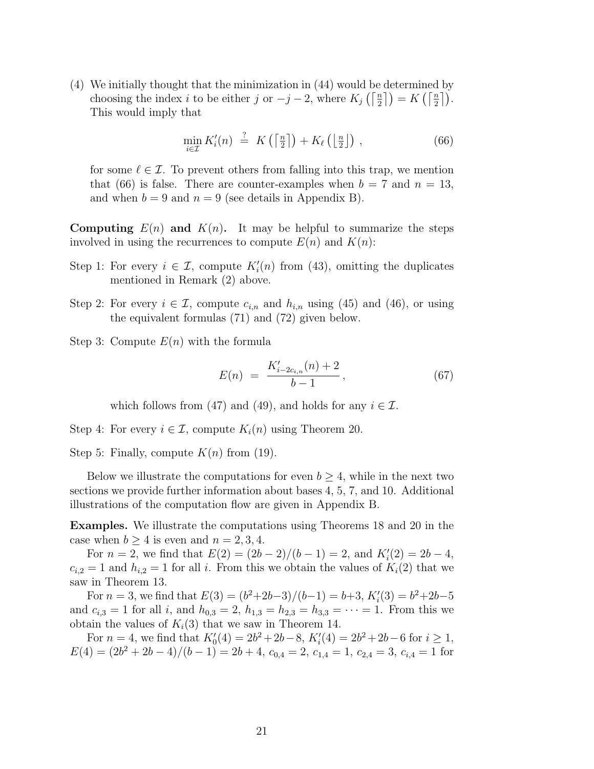(4) We initially thought that the minimization in ([44\)](#page-14-3) would be determined by choosing the index *i* to be either *j* or  $-j-2$ , where  $K_j\left(\left\lceil \frac{n}{2}\right\rceil\right) = K\left(\left\lceil \frac{n}{2}\right\rceil\right)$ . This would imply that

<span id="page-20-0"></span>
$$
\min_{i \in \mathcal{I}} K_i'(n) \stackrel{?}{=} K\left(\left\lceil \frac{n}{2} \right\rceil\right) + K_\ell\left(\left\lfloor \frac{n}{2} \right\rfloor\right) ,\tag{66}
$$

for some  $\ell \in \mathcal{I}$ . To prevent others from falling into this trap, we mention that ([66](#page-20-0)) is false. There are counter-examples when  $b = 7$  and  $n = 13$ , and when  $b = 9$  and  $n = 9$  (see details in [Appendix B](#page-34-0)).

**Computing**  $E(n)$  and  $K(n)$ . It may be helpful to summarize the steps involved in using the recurrences to compute  $E(n)$  and  $K(n)$ :

- Step 1: For every  $i \in \mathcal{I}$ , compute  $K'_{i}(n)$  from [\(43\)](#page-14-4), omitting the duplicates mentioned in Remark (2) above.
- Step 2: For every  $i \in \mathcal{I}$ , compute  $c_{i,n}$  and  $h_{i,n}$  using [\(45\)](#page-14-5) and [\(46\)](#page-15-7), or using the equivalent formulas [\(71](#page-21-0)) and ([72\)](#page-21-1) given below.
- Step 3: Compute *E*(*n*) with the formula

<span id="page-20-1"></span>
$$
E(n) = \frac{K'_{i-2c_{i,n}}(n) + 2}{b-1}, \tag{67}
$$

which follows from ([47](#page-15-6)) and [\(49\)](#page-15-3), and holds for any  $i \in \mathcal{I}$ .

Step 4: For every  $i \in \mathcal{I}$ , compute  $K_i(n)$  using Theorem [20](#page-18-0).

Step 5: Finally, compute  $K(n)$  from [\(19\)](#page-9-2).

Below we illustrate the computations for even  $b \geq 4$ , while in the next two sections we provide further information about bases 4, 5, 7, and 10. Additional illustrations of the computation flow are given in [Appendix B](#page-34-0).

**Examples.** We illustrate the computations using Theorems [18](#page-15-0) and [20](#page-18-0) in the case when  $b \geq 4$  is even and  $n = 2, 3, 4$ .

For  $n = 2$ , we find that  $E(2) = (2b - 2)/(b - 1) = 2$ , and  $K'_{i}(2) = 2b - 4$ ,  $c_{i,2} = 1$  and  $h_{i,2} = 1$  for all *i*. From this we obtain the values of  $K_i(2)$  that we saw in Theorem [13](#page-10-3).

For  $n = 3$ , we find that  $E(3) = (b^2 + 2b - 3)/(b-1) = b+3$ ,  $K'_{i}(3) = b^2 + 2b - 5$ and  $c_{i,3} = 1$  for all *i*, and  $h_{0,3} = 2$ ,  $h_{1,3} = h_{2,3} = h_{3,3} = \cdots = 1$ . From this we obtain the values of  $K_i(3)$  that we saw in Theorem [14.](#page-10-2)

For  $n = 4$ , we find that  $K'_0(4) = 2b^2 + 2b - 8$ ,  $K'_i(4) = 2b^2 + 2b - 6$  for  $i \ge 1$ ,  $E(4) = (2b^2 + 2b - 4)/(b - 1) = 2b + 4$ ,  $c_{0,4} = 2$ ,  $c_{1,4} = 1$ ,  $c_{2,4} = 3$ ,  $c_{i,4} = 1$  for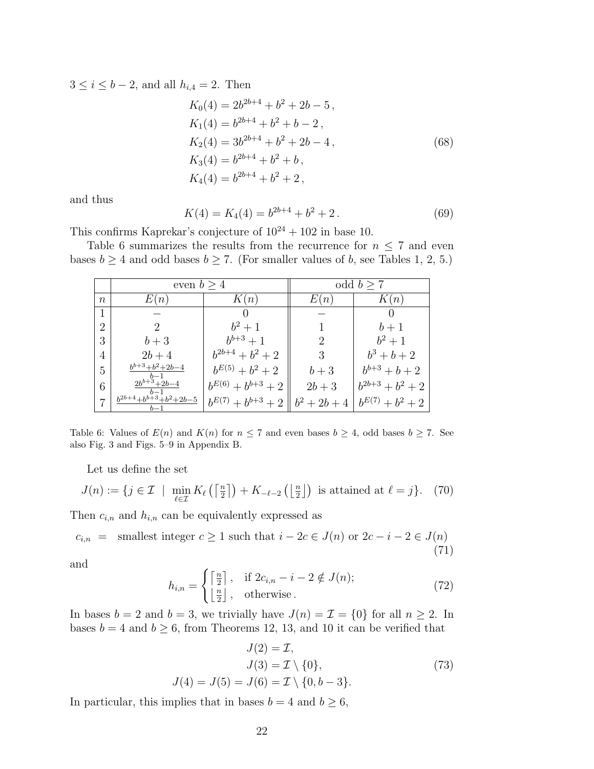3 ≤ *i* ≤ *b* − 2, and all  $h_{i,4} = 2$ . Then

$$
K_0(4) = 2b^{2b+4} + b^2 + 2b - 5,
$$
  
\n
$$
K_1(4) = b^{2b+4} + b^2 + b - 2,
$$
  
\n
$$
K_2(4) = 3b^{2b+4} + b^2 + 2b - 4,
$$
  
\n
$$
K_3(4) = b^{2b+4} + b^2 + b,
$$
  
\n
$$
K_4(4) = b^{2b+4} + b^2 + 2,
$$
\n(68)

and thus

$$
K(4) = K_4(4) = b^{2b+4} + b^2 + 2.
$$
 (69)

This confirms Kaprekar's conjecture of  $10^{24} + 102$  in base 10.

Table [6](#page-21-2) summarizes the results from the recurrence for  $n \leq 7$  and even bases  $b \geq 4$  and odd bases  $b \geq 7$ . (For smaller values of *b*, see Tables [1,](#page-7-1) [2,](#page-7-0) [5.](#page-13-1))

<span id="page-21-2"></span>

|                | even $b > 4$                     |                          |                | odd $b > 7$          |
|----------------|----------------------------------|--------------------------|----------------|----------------------|
| $\it n$        | E(n)                             | K(n)                     | E(n)           | K(n)                 |
| 1              |                                  |                          |                |                      |
| $\overline{2}$ |                                  | $b^2 + 1$                |                | $b+1$                |
| 3              | $b+3$                            | $b^{b+3}+1$              | 2              | $b^2 + 1$            |
| 4              | $2b + 4$                         | $b^{2b+4} + b^2 + 2$     | 3              | $b^3 + b + 2$        |
| 5              | $\displaystyle b^{b+3}+b^2+2b-4$ | $b^{E(5)} + b^2 + 2$     | $b+3$          | $b^{b+3} + b + 2$    |
| 6              | $2b^{b+3}+2b-4$                  | $b^{E(6)} + b^{b+3} + 2$ | $2b + 3$       | $b^{2b+3} + b^2 + 2$ |
| $\overline{ }$ | $b^{2b+4}+b^{b+3}+b^2+2b-5$      | $b^{E(7)} + b^{b+3} + 2$ | $b^2 + 2b + 4$ | $b^{E(7)} + b^2 + 2$ |

Table 6: Values of  $E(n)$  and  $K(n)$  for  $n \leq 7$  and even bases  $b \geq 4$ , odd bases  $b \geq 7$ . See also Fig. [3](#page-36-0) and Figs. [5](#page-38-0)[–9](#page-42-0) in [Appendix B.](#page-34-0)

Let us define the set

<span id="page-21-3"></span>
$$
J(n) := \{ j \in \mathcal{I} \mid \min_{\ell \in \mathcal{I}} K_{\ell} \left( \left\lceil \frac{n}{2} \right\rceil \right) + K_{-\ell-2} \left( \left\lfloor \frac{n}{2} \right\rfloor \right) \text{ is attained at } \ell = j \}. \tag{70}
$$

Then  $c_{i,n}$  and  $h_{i,n}$  can be equivalently expressed as

<span id="page-21-0"></span> $c_{i,n}$  = smallest integer  $c \geq 1$  such that  $i - 2c \in J(n)$  or  $2c - i - 2 \in J(n)$ (71)

and

<span id="page-21-1"></span>
$$
h_{i,n} = \begin{cases} \left\lceil \frac{n}{2} \right\rceil, & \text{if } 2c_{i,n} - i - 2 \notin J(n); \\ \left\lfloor \frac{n}{2} \right\rfloor, & \text{otherwise.} \end{cases}
$$
 (72)

In bases  $b = 2$  and  $b = 3$ , we trivially have  $J(n) = \mathcal{I} = \{0\}$  for all  $n \geq 2$ . In bases  $b = 4$  and  $b \ge 6$ , from Theorems [12](#page-10-1), [13](#page-10-3), and [10](#page-8-4) it can be verified that

$$
J(2) = \mathcal{I},
$$
  
\n
$$
J(3) = \mathcal{I} \setminus \{0\},
$$
  
\n
$$
J(4) = J(5) = J(6) = \mathcal{I} \setminus \{0, b - 3\}.
$$
\n(73)

<span id="page-21-4"></span>In particular, this implies that in bases  $b = 4$  and  $b \ge 6$ ,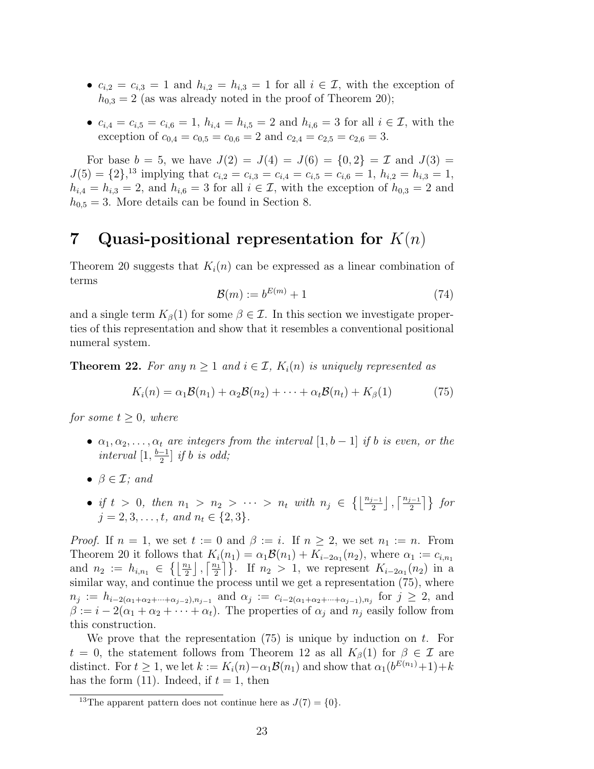- $c_{i,2} = c_{i,3} = 1$  and  $h_{i,2} = h_{i,3} = 1$  for all  $i \in \mathcal{I}$ , with the exception of  $h_{0,3} = 2$  (as was already noted in the proof of Theorem [20\)](#page-18-0);
- $c_{i,4} = c_{i,5} = c_{i,6} = 1$ ,  $h_{i,4} = h_{i,5} = 2$  and  $h_{i,6} = 3$  for all  $i \in \mathcal{I}$ , with the exception of  $c_{0,4} = c_{0,5} = c_{0,6} = 2$  and  $c_{2,4} = c_{2,5} = c_{2,6} = 3$ .

For base  $b = 5$ , we have  $J(2) = J(4) = J(6) = \{0, 2\} = \mathcal{I}$  and  $J(3) =$  $J(5) = \{2\}$ ,<sup>[13](#page-22-0)</sup> implying that  $c_{i,2} = c_{i,3} = c_{i,4} = c_{i,5} = c_{i,6} = 1$ ,  $h_{i,2} = h_{i,3} = 1$ ,  $h_{i,4} = h_{i,3} = 2$ , and  $h_{i,6} = 3$  for all  $i \in \mathcal{I}$ , with the exception of  $h_{0,3} = 2$  and  $h_{0,5} = 3$ . More details can be found in Section [8](#page-25-0).

## **7 Quasi-positional representation for** *K*(*n*)

Theorem [20](#page-18-0) suggests that  $K_i(n)$  can be expressed as a linear combination of terms

$$
\mathcal{B}(m) := b^{E(m)} + 1\tag{74}
$$

and a single term  $K_\beta(1)$  for some  $\beta \in \mathcal{I}$ . In this section we investigate properties of this representation and show that it resembles a conventional positional numeral system.

**Theorem 22.** For any  $n \geq 1$  and  $i \in \mathcal{I}$ ,  $K_i(n)$  is uniquely represented as

<span id="page-22-1"></span>
$$
K_i(n) = \alpha_1 \mathcal{B}(n_1) + \alpha_2 \mathcal{B}(n_2) + \dots + \alpha_t \mathcal{B}(n_t) + K_\beta(1) \tag{75}
$$

*for some*  $t \geq 0$ *, where* 

- $\alpha_1, \alpha_2, \ldots, \alpha_t$  *are integers from the interval*  $[1, b 1]$  *if b is even, or the*  $interval \left[1, \frac{b-1}{2}\right]$  *if b is odd;*
- *• β ∈ I; and*
- if  $t > 0$ , then  $n_1 > n_2 > \cdots > n_t$  with  $n_j \in \{ \left\lfloor \frac{n_{j-1}}{2} \right\rfloor, \left\lceil \frac{n_{j-1}}{2} \right\rceil \}$  for  $j = 2, 3, \ldots, t, \text{ and } n_t \in \{2, 3\}.$

*Proof.* If  $n = 1$ , we set  $t := 0$  and  $\beta := i$ . If  $n \geq 2$ , we set  $n_1 := n$ . From Theorem [20](#page-18-0) it follows that  $K_i(n_1) = \alpha_1 \mathcal{B}(n_1) + K_{i-2\alpha_1}(n_2)$ , where  $\alpha_1 := c_{i,n_1}$ and  $n_2 := h_{i,n_1} \in \{\left\lfloor \frac{n_1}{2} \right\rfloor, \left\lceil \frac{n_1}{2} \right\rceil$  $\left\{\frac{n_1}{2}\right\}$ . If  $n_2 > 1$ , we represent  $K_{i-2\alpha_1}(n_2)$  in a similar way, and continue the process until we get a representation ([75\)](#page-22-1), where  $n_j := h_{i-2(\alpha_1+\alpha_2+\cdots+\alpha_{j-2}),n_{j-1}}$  and  $\alpha_j := c_{i-2(\alpha_1+\alpha_2+\cdots+\alpha_{j-1}),n_j}$  for  $j \geq 2$ , and  $\beta := i - 2(\alpha_1 + \alpha_2 + \cdots + \alpha_t)$ . The properties of  $\alpha_j$  and  $n_j$  easily follow from this construction.

We prove that the representation [\(75](#page-22-1)) is unique by induction on *t*. For *t* = 0, the statement follows from Theorem [12](#page-10-1) as all  $K_\beta(1)$  for  $\beta \in \mathcal{I}$  are distinct. For  $t \geq 1$ , we let  $k := K_i(n) - \alpha_1 \mathcal{B}(n_1)$  and show that  $\alpha_1(b^{E(n_1)}+1) + k$ has the form  $(11)$ . Indeed, if  $t = 1$ , then

<span id="page-22-0"></span><sup>&</sup>lt;sup>13</sup>The apparent pattern does not continue here as  $J(7) = \{0\}.$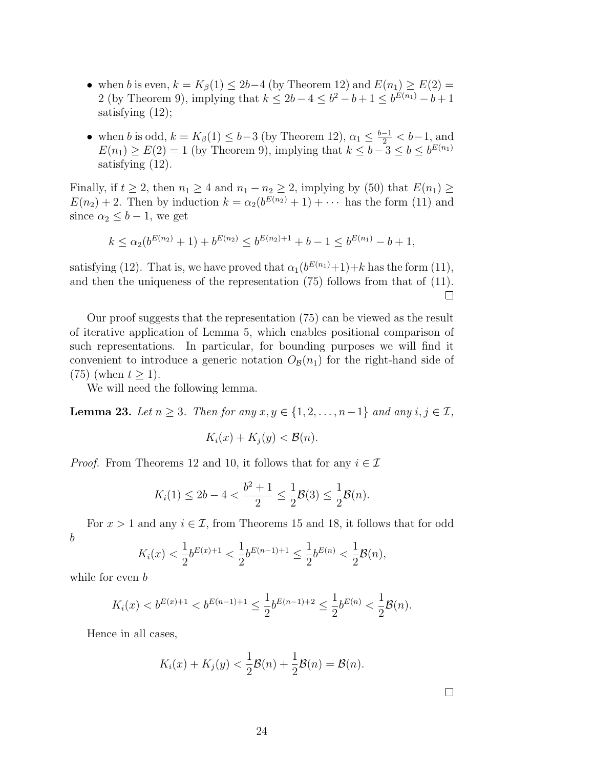- when *b* is even,  $k = K_\beta(1) \leq 2b-4$  (by Theorem [12](#page-10-1)) and  $E(n_1) \geq E(2)$ 2 (by Theorem [9](#page-8-3)), implying that  $k \le 2b - 4 \le b^2 - b + 1 \le b^{E(n_1)} - b + 1$ satisfying [\(12\)](#page-5-4);
- when *b* is odd,  $k = K_{\beta}(1) \leq b-3$  (by Theorem [12](#page-10-1)),  $\alpha_1 \leq \frac{b-1}{2} < b-1$ , and  $E(n_1) \geq E(2) = 1$  (by Theorem [9](#page-8-3)), implying that  $k \leq b-3 \leq b \leq b^{E(n_1)}$ satisfying [\(12\)](#page-5-4).

Finally, if  $t \geq 2$ , then  $n_1 \geq 4$  and  $n_1 - n_2 \geq 2$ , implying by ([50\)](#page-15-4) that  $E(n_1) \geq 2$  $E(n_2) + 2$ . Then by induction  $k = \alpha_2(b^{E(n_2)} + 1) + \cdots$  has the form ([11\)](#page-5-0) and since  $\alpha_2 \leq b-1$ , we get

$$
k \leq \alpha_2(b^{E(n_2)}+1) + b^{E(n_2)} \leq b^{E(n_2)+1} + b - 1 \leq b^{E(n_1)} - b + 1,
$$

satisfying ([12](#page-5-4)). That is, we have proved that  $\alpha_1(b^{E(n_1)}+1)+k$  has the form [\(11](#page-5-0)), and then the uniqueness of the representation ([75\)](#page-22-1) follows from that of [\(11](#page-5-0)).  $\Box$ 

Our proof suggests that the representation ([75](#page-22-1)) can be viewed as the result of iterative application of Lemma [5](#page-5-2), which enables positional comparison of such representations. In particular, for bounding purposes we will find it convenient to introduce a generic notation  $O_B(n_1)$  for the right-hand side of  $(75)$  $(75)$  $(75)$  (when  $t \geq 1$ ).

We will need the following lemma.

<span id="page-23-0"></span>**Lemma 23.** *Let*  $n \geq 3$ *. Then for any*  $x, y \in \{1, 2, \ldots, n-1\}$  *and any*  $i, j \in \mathcal{I}$ *,* 

$$
K_i(x) + K_j(y) < \mathcal{B}(n).
$$

*Proof.* From Theorems [12](#page-10-1) and [10](#page-8-4), it follows that for any  $i \in \mathcal{I}$ 

$$
K_i(1) \le 2b - 4 < \frac{b^2 + 1}{2} \le \frac{1}{2}\mathcal{B}(3) \le \frac{1}{2}\mathcal{B}(n).
$$

For  $x > 1$  and any  $i \in \mathcal{I}$ , from Theorems [15](#page-11-3) and [18,](#page-15-0) it follows that for odd *b*

$$
K_i(x) < \frac{1}{2}b^{E(x)+1} < \frac{1}{2}b^{E(n-1)+1} \le \frac{1}{2}b^{E(n)} < \frac{1}{2}\mathcal{B}(n),
$$

while for even *b*

$$
K_i(x) < b^{E(x)+1} < b^{E(n-1)+1} \leq \frac{1}{2} b^{E(n-1)+2} \leq \frac{1}{2} b^{E(n)} < \frac{1}{2} \mathcal{B}(n).
$$

Hence in all cases,

$$
K_i(x) + K_j(y) < \frac{1}{2}\mathcal{B}(n) + \frac{1}{2}\mathcal{B}(n) = \mathcal{B}(n).
$$

 $\Box$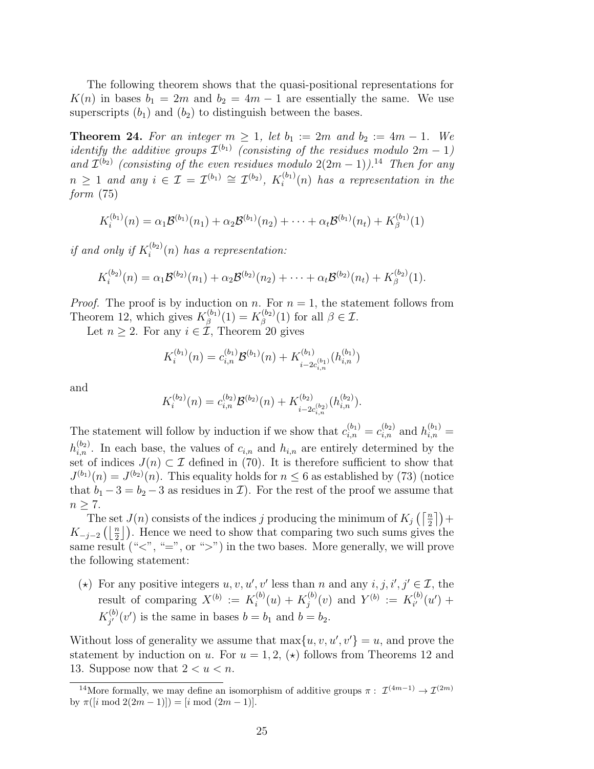The following theorem shows that the quasi-positional representations for  $K(n)$  in bases  $b_1 = 2m$  and  $b_2 = 4m - 1$  are essentially the same. We use superscripts  $(b_1)$  and  $(b_2)$  to distinguish between the bases.

<span id="page-24-0"></span>**Theorem 24.** For an integer  $m \ge 1$ , let  $b_1 := 2m$  and  $b_2 := 4m - 1$ . We *identify the additive groups*  $\mathcal{I}^{(b_1)}$  (*consisting of the residues modulo*  $2m-1$ ) *and*  $\mathcal{I}^{(b_2)}$  (*consisting of the even residues modulo*  $2(2m-1)$ ).<sup>[14](#page-24-1)</sup> *Then for any n* ≥ 1 *and any i* ∈ *I* =  $\mathcal{I}^{(b_1)} \cong \mathcal{I}^{(b_2)}$ ,  $K_i^{(b_1)}$ *i* (*n*) *has a representation in the form* ([75](#page-22-1))

$$
K_i^{(b_1)}(n) = \alpha_1 \mathcal{B}^{(b_1)}(n_1) + \alpha_2 \mathcal{B}^{(b_1)}(n_2) + \cdots + \alpha_t \mathcal{B}^{(b_1)}(n_t) + K_\beta^{(b_1)}(1)
$$

*if and only if*  $K_i^{(b_2)}$ *i* (*n*) *has a representation:*

$$
K_i^{(b_2)}(n) = \alpha_1 \mathcal{B}^{(b_2)}(n_1) + \alpha_2 \mathcal{B}^{(b_2)}(n_2) + \cdots + \alpha_t \mathcal{B}^{(b_2)}(n_t) + K_\beta^{(b_2)}(1).
$$

*Proof.* The proof is by induction on *n*. For  $n = 1$ , the statement follows from Theorem [12](#page-10-1), which gives  $K^{(b_1)}_{\beta}$  $\beta^{(b_1)}(\mathbb{1})=K^{(b_2)}_{\beta}$  $\beta^{\left(\frac{b_2}{2}\right)}(1)$  for all  $\beta \in \mathcal{I}$ .

Let  $n \geq 2$ . For any  $i \in \mathcal{I}$ , Theorem [20](#page-18-0) gives

$$
K_i^{(b_1)}(n) = c_{i,n}^{(b_1)} \mathcal{B}^{(b_1)}(n) + K_{i-2c_{i,n}^{(b_1)}}^{(b_1)}(h_{i,n}^{(b_1)})
$$

and

$$
K_i^{(b_2)}(n) = c_{i,n}^{(b_2)} \mathcal{B}^{(b_2)}(n) + K_{i-2c_{i,n}^{(b_2)}}^{(b_2)}(h_{i,n}^{(b_2)}).
$$

The statement will follow by induction if we show that  $c_{i,n}^{(b_1)} = c_{i,n}^{(b_2)}$  and  $h_{i,n}^{(b_1)} =$  $h_{i,n}^{(b_2)}$ . In each base, the values of  $c_{i,n}$  and  $h_{i,n}$  are entirely determined by the set of indices  $J(n) \subset \mathcal{I}$  defined in ([70](#page-21-3)). It is therefore sufficient to show that  $J^{(b_1)}(n) = J^{(b_2)}(n)$ . This equality holds for  $n \leq 6$  as established by ([73](#page-21-4)) (notice that  $b_1 - 3 = b_2 - 3$  as residues in *I*). For the rest of the proof we assume that  $n \geq 7$ .

The set  $J(n)$  consists of the indices *j* producing the minimum of  $K_j\left(\left\lceil \frac{n}{2}\right\rceil\right)+$  $K_{-j-2}\left(\left\lfloor \frac{n}{2} \right\rfloor\right)$ . Hence we need to show that comparing two such sums gives the same result (" $\langle$ ", "=", or " $\rangle$ ") in the two bases. More generally, we will prove the following statement:

(\*) For any positive integers  $u, v, u', v'$  less than *n* and any  $i, j, i', j' \in \mathcal{I}$ , the result of comparing  $X^{(b)} := K_i^{(b)}$  $\kappa_i^{(b)}(u)+K_j^{(b)}$  $f_j^{(b)}(v)$  and  $Y^{(b)} := K_{i'}^{(b)}$  $a_i^{(0)}(u') +$  $K^{(b)}_{i'}$  $j'$ <sup>(*v*</sup>) is the same in bases  $b = b_1$  and  $b = b_2$ .

Without loss of generality we assume that  $\max\{u, v, u', v'\} = u$ , and prove the statement by induction on *u*. For  $u = 1, 2, \star$  follows from Theorems [12](#page-10-1) and [13.](#page-10-3) Suppose now that  $2 < u < n$ .

<span id="page-24-1"></span><sup>&</sup>lt;sup>14</sup>More formally, we may define an isomorphism of additive groups  $\pi$  :  $\mathcal{I}^{(4m-1)} \to \mathcal{I}^{(2m)}$ by  $\pi([i \mod 2(2m-1)]) = [i \mod (2m-1)].$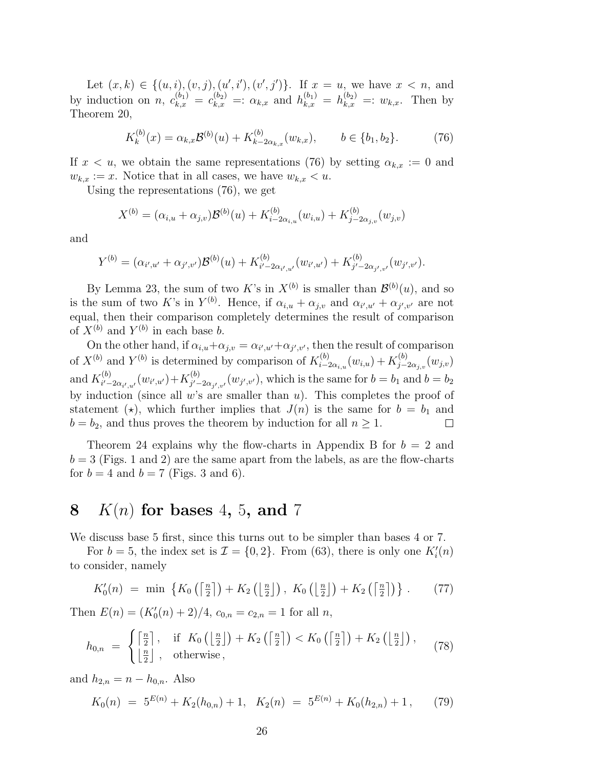Let  $(x, k) \in \{(u, i), (v, j), (u', i'), (v', j')\}$ . If  $x = u$ , we have  $x < n$ , and by induction on *n*,  $c_{k,x}^{(b_1)} = c_{k,x}^{(b_2)} =: \alpha_{k,x}$  and  $h_{k,x}^{(b_1)} = h_{k,x}^{(b_2)} =: w_{k,x}$ . Then by Theorem [20](#page-18-0),

<span id="page-25-1"></span>
$$
K_k^{(b)}(x) = \alpha_{k,x} \mathcal{B}^{(b)}(u) + K_{k-2\alpha_{k,x}}^{(b)}(w_{k,x}), \qquad b \in \{b_1, b_2\}.
$$
 (76)

If  $x < u$ , we obtain the same representations ([76\)](#page-25-1) by setting  $\alpha_{k,x} := 0$  and  $w_{k,x} := x$ . Notice that in all cases, we have  $w_{k,x} < u$ .

Using the representations [\(76\)](#page-25-1), we get

$$
X^{(b)} = (\alpha_{i,u} + \alpha_{j,v})\mathcal{B}^{(b)}(u) + K_{i-2\alpha_{i,u}}^{(b)}(w_{i,u}) + K_{j-2\alpha_{j,v}}^{(b)}(w_{j,v})
$$

and

$$
Y^{(b)} = (\alpha_{i',u'} + \alpha_{j',v'}) \mathcal{B}^{(b)}(u) + K_{i'-2\alpha_{i',u'}}^{(b)}(w_{i',u'}) + K_{j'-2\alpha_{j',v'}}^{(b)}(w_{j',v'}).
$$

By Lemma [23,](#page-23-0) the sum of two K's in  $X^{(b)}$  is smaller than  $\mathcal{B}^{(b)}(u)$ , and so is the sum of two *K*'s in  $Y^{(b)}$ . Hence, if  $\alpha_{i,u} + \alpha_{j,v}$  and  $\alpha_{i',u'} + \alpha_{j',v'}$  are not equal, then their comparison completely determines the result of comparison of  $X^{(b)}$  and  $Y^{(b)}$  in each base *b*.

On the other hand, if  $\alpha_{i,u} + \alpha_{j,v} = \alpha_{i',u'} + \alpha_{j',v'}$ , then the result of comparison of  $X^{(b)}$  and  $Y^{(b)}$  is determined by comparison of  $K_{i-1}^{(b)}$  $K_{i-2\alpha_{i,u}}^{(b)}(w_{i,u})+K_{j-1}^{(b)}$  $\int\limits_{j-2\alpha_{j,v}}^{(0)}(w_{j,v})$ and  $K_{i' -}^{(b)}$  $i'$ <sup>*-*</sup>-2*α*<sub>*i'*</sub></sup>,*u'*</sub> (*w*<sub>*i'*,*u'*</sub>)+*K*<sup>(*b*)</sup><sub>*j′*-</sub>  $j'$ <sup>*-*</sup>-2*α*<sub>*j'*</sub>*,v*</sub><sup>*/*</sup>(*w<sub>j'</sub>,v*<sup>*/*</sup>), which is the same for  $b = b_1$  and  $b = b_2$ by induction (since all *w*'s are smaller than *u*). This completes the proof of statement ( $\star$ ), which further implies that  $J(n)$  is the same for  $b = b_1$  and  $b = b_2$ , and thus proves the theorem by induction for all  $n \geq 1$ .

Theorem [24](#page-24-0) explains why the flow-charts in [Appendix B](#page-34-0) for *b* = 2 and  $b = 3$  (Figs. [1](#page-35-0) and [2\)](#page-36-1) are the same apart from the labels, as are the flow-charts for  $b = 4$  and  $b = 7$  (Figs. [3](#page-36-0) and [6](#page-39-0)).

#### <span id="page-25-0"></span>**8** *K*(*n*) **for bases** 4**,** 5**, and** 7

We discuss base 5 first, since this turns out to be simpler than bases 4 or 7.

For  $b = 5$ , the index set is  $\mathcal{I} = \{0, 2\}$ . From [\(63\)](#page-19-1), there is only one  $K_i'(n)$ to consider, namely

<span id="page-25-2"></span>
$$
K_0'(n) = \min \left\{ K_0\left( \left\lceil \frac{n}{2} \right\rceil \right) + K_2\left( \left\lfloor \frac{n}{2} \right\rfloor \right), K_0\left( \left\lfloor \frac{n}{2} \right\rfloor \right) + K_2\left( \left\lceil \frac{n}{2} \right\rceil \right) \right\}.
$$
 (77)

Then  $E(n) = (K'_0(n) + 2)/4$ ,  $c_{0,n} = c_{2,n} = 1$  for all *n*,

$$
h_{0,n} = \begin{cases} \left\lceil \frac{n}{2} \right\rceil, & \text{if } K_0 \left( \left\lfloor \frac{n}{2} \right\rfloor \right) + K_2 \left( \left\lceil \frac{n}{2} \right\rceil \right) < K_0 \left( \left\lceil \frac{n}{2} \right\rceil \right) + K_2 \left( \left\lfloor \frac{n}{2} \right\rfloor \right), \\ \left\lfloor \frac{n}{2} \right\rfloor, & \text{otherwise} \end{cases} \tag{78}
$$

and  $h_{2,n} = n - h_{0,n}$ . Also

<span id="page-25-3"></span>
$$
K_0(n) = 5^{E(n)} + K_2(h_{0,n}) + 1, \quad K_2(n) = 5^{E(n)} + K_0(h_{2,n}) + 1, \tag{79}
$$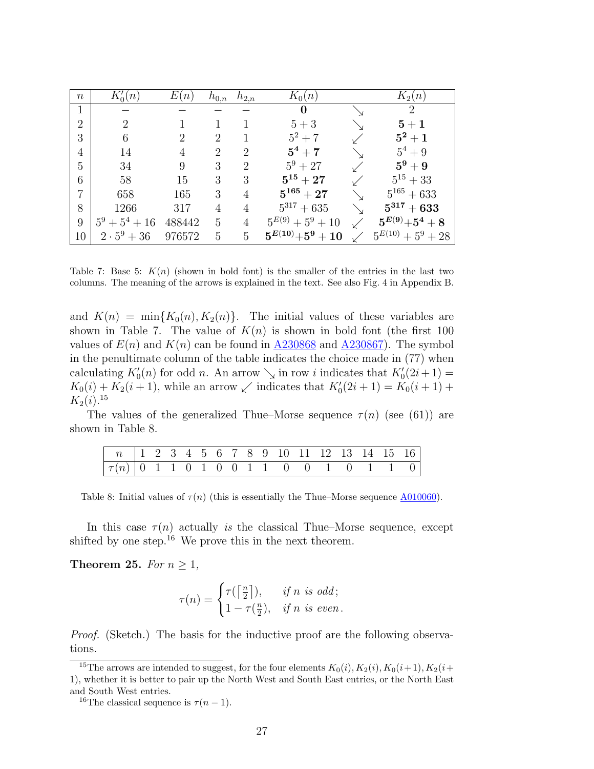<span id="page-26-0"></span>

| $\, n$         | $K_0(n)$           | E(n)   | $h_{0,n}$ | $h_{2,n}$      | $K_0(n)$              | $K_2(n)$                              |
|----------------|--------------------|--------|-----------|----------------|-----------------------|---------------------------------------|
| 1              |                    |        |           |                | $\bf{0}$              | 2                                     |
| $\overline{2}$ | 2                  |        |           |                | $5+3$                 | ${\bf 5}+1$                           |
| 3              | 6                  | 2      | 2         |                | $5^2 + 7$             | $5^2+1$                               |
| 4              | 14                 |        | 2         | 2              | $5^4 + 7$             | $5^4 + 9$                             |
| 5              | 34                 | 9      | 3         | 2              | $5^9 + 27$            | $5^9+9$                               |
| 6              | 58                 | 15     | 3         | 3              | $5^{15}+27$           | $5^{15}+33$                           |
| $\overline{7}$ | 658                | 165    | 3         | 4              | $5^{165}+27$          | $5^{165} + 633$                       |
| 8              | 1266               | 317    | 4         | 4              | $5^{317} + 635$       | $5^{317} + 633$                       |
| 9              | $5^9 + 5^4 + 16$   | 488442 | 5         | 4              | $5^{E(9)} + 5^9 + 10$ | ${\bf 5}^{E(9)} {\bf +5}^4 + {\bf 8}$ |
| 10             | $2 \cdot 5^9 + 36$ | 976572 | 5         | $\overline{5}$ | $5^{E(10)}+5^9+10$    | $5^{E(10)} + 5^9 + 28$                |

Table 7: Base 5:  $K(n)$  (shown in bold font) is the smaller of the entries in the last two columns. The meaning of the arrows is explained in the text. See also Fig. [4](#page-37-0) in [Appendix B](#page-34-0).

and  $K(n) = \min\{K_0(n), K_2(n)\}.$  The initial values of these variables are shown in Table [7](#page-26-0). The value of  $K(n)$  is shown in bold font (the first 100 values of  $E(n)$  and  $K(n)$  can be found in [A230868](http://oeis.org/A230868) and [A230867](http://oeis.org/A230867). The symbol in the penultimate column of the table indicates the choice made in ([77](#page-25-2)) when calculating  $K'_{0}(n)$  for odd *n*. An arrow  $\searrow$  in row *i* indicates that  $K'_{0}(2i+1)$  =  $K_0(i) + K_2(i + 1)$ , while an arrow  $\swarrow$  indicates that  $K'_0(2i + 1) = K_0(i + 1) +$  $K_2(i).^{15}$  $K_2(i).^{15}$  $K_2(i).^{15}$ 

<span id="page-26-2"></span>The values of the generalized Thue–Morse sequence  $\tau(n)$  (see [\(61\)](#page-19-0)) are shown in Table [8](#page-26-2).

| $\boxed{\tau(n)$ 0 1 1 0 1 0 0 1 1 0 0 1 0 1 1 0 $\boxed{1}$ |  |  |  |  |  |  |  |  |
|--------------------------------------------------------------|--|--|--|--|--|--|--|--|

Table 8: Initial values of  $\tau(n)$  (this is essentially the Thue–Morse sequence  $\triangle 010060$ ).

In this case  $\tau(n)$  actually *is* the classical Thue–Morse sequence, except shifted by one step.<sup>[16](#page-26-3)</sup> We prove this in the next theorem.

**Theorem 25.** *For*  $n \geq 1$ *,* 

$$
\tau(n) = \begin{cases} \tau(\lceil \frac{n}{2} \rceil), & \text{if } n \text{ is odd;} \\ 1 - \tau(\frac{n}{2}), & \text{if } n \text{ is even.} \end{cases}
$$

*Proof.* (Sketch.) The basis for the inductive proof are the following observations.

<span id="page-26-1"></span><sup>&</sup>lt;sup>15</sup>The arrows are intended to suggest, for the four elements  $K_0(i)$ ,  $K_2(i)$ ,  $K_0(i+1)$ ,  $K_2(i+1)$ 1), whether it is better to pair up the North West and South East entries, or the North East and South West entries.

<span id="page-26-3"></span><sup>&</sup>lt;sup>16</sup>The classical sequence is  $\tau(n-1)$ .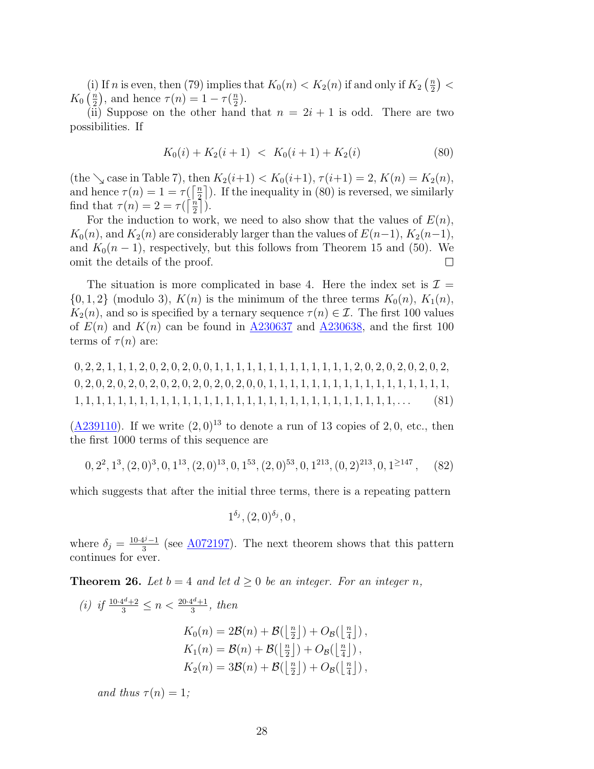(i) If *n* is even, then [\(79\)](#page-25-3) implies that  $K_0(n) < K_2(n)$  if and only if  $K_2\left(\frac{n}{2}\right)$  $\frac{n}{2}$ ) <  $K_0\left(\frac{n}{2}\right)$  $\left(\frac{n}{2}\right)$ , and hence  $\tau(n) = 1 - \tau\left(\frac{n}{2}\right)$  $\frac{n}{2}$ .

(ii) Suppose on the other hand that  $n = 2i + 1$  is odd. There are two possibilities. If

<span id="page-27-1"></span>
$$
K_0(i) + K_2(i+1) < K_0(i+1) + K_2(i) \tag{80}
$$

 $(\text{the }\searrow \text{case in Table 7}), \text{ then } K_2(i+1) < K_0(i+1), \tau(i+1) = 2, K(n) = K_2(n),$  $(\text{the }\searrow \text{case in Table 7}), \text{ then } K_2(i+1) < K_0(i+1), \tau(i+1) = 2, K(n) = K_2(n),$  $(\text{the }\searrow \text{case in Table 7}), \text{ then } K_2(i+1) < K_0(i+1), \tau(i+1) = 2, K(n) = K_2(n),$ and hence  $\tau(n) = 1 = \tau(\frac{n}{2})$  $\left(\frac{n}{2}\right)$ . If the inequality in [\(80\)](#page-27-1) is reversed, we similarly find that  $\tau(n) = 2 = \tau(\int_{0}^{n}$  $\frac{\ln n}{2}$ ).

For the induction to work, we need to also show that the values of  $E(n)$ ,  $K_0(n)$ , and  $K_2(n)$  are considerably larger than the values of  $E(n-1)$ ,  $K_2(n-1)$ , and  $K_0(n-1)$ , respectively, but this follows from Theorem [15](#page-11-3) and ([50\)](#page-15-4). We omit the details of the proof.  $\Box$ 

The situation is more complicated in base 4. Here the index set is  $\mathcal{I} =$  $\{0, 1, 2\}$  (modulo 3),  $K(n)$  is the minimum of the three terms  $K_0(n)$ ,  $K_1(n)$ ,  $K_2(n)$ , and so is specified by a ternary sequence  $\tau(n) \in \mathcal{I}$ . The first 100 values of  $E(n)$  and  $K(n)$  can be found in [A230637](http://oeis.org/A230637) and [A230638](http://oeis.org/A230638), and the first 100 terms of  $\tau(n)$  are:

0*,* 2*,* 2*,* 1*,* 1*,* 1*,* 2*,* 0*,* 2*,* 0*,* 2*,* 0*,* 0*,* 1*,* 1*,* 1*,* 1*,* 1*,* 1*,* 1*,* 1*,* 1*,* 1*,* 1*,* 1*,* 1*,* 2*,* 0*,* 2*,* 0*,* 2*,* 0*,* 2*,* 0*,* 2*,* 0*,* 2*,* 0*,* 2*,* 0*,* 2*,* 0*,* 2*,* 0*,* 2*,* 0*,* 2*,* 0*,* 2*,* 0*,* 2*,* 0*,* 0*,* 1*,* 1*,* 1*,* 1*,* 1*,* 1*,* 1*,* 1*,* 1*,* 1*,* 1*,* 1*,* 1*,* 1*,* 1*,* 1*,* 1*,* 1*,* 1*,* 1*,* 1*,* 1*,* 1*,* 1*,* 1*,* 1*,* 1*,* 1*,* 1*,* 1*,* 1*,* 1*,* 1*,* 1*,* 1*,* 1*,* 1*,* 1*,* 1*,* 1*,* 1*,* 1*,* 1*,* 1*,* 1*,* 1*,* 1*, . . .* (81)

([A239110](http://oeis.org/A239110)). If we write  $(2,0)^{13}$  to denote a run of 13 copies of 2,0, etc., then the first 1000 terms of this sequence are

$$
0, 2^2, 1^3, (2, 0)^3, 0, 1^{13}, (2, 0)^{13}, 0, 1^{53}, (2, 0)^{53}, 0, 1^{213}, (0, 2)^{213}, 0, 1^{\geq 147}, \quad (82)
$$

which suggests that after the initial three terms, there is a repeating pattern

<span id="page-27-0"></span>
$$
1^{\delta_j}, (2,0)^{\delta_j}, 0,
$$

where  $\delta_j = \frac{10 \cdot 4^j - 1}{3}$  (see <u>A072197</u>). The next theorem shows that this pattern continues for ever.

**Theorem 26.** Let  $b = 4$  and let  $d \geq 0$  be an integer. For an integer n,

(i) if 
$$
\frac{10 \cdot 4^d + 2}{3} \le n < \frac{20 \cdot 4^d + 1}{3}
$$
, then  
\n
$$
K_0(n) = 2\mathcal{B}(n) + \mathcal{B}(\lfloor \frac{n}{2} \rfloor) + O_{\mathcal{B}}(\lfloor \frac{n}{4} \rfloor),
$$
\n
$$
K_1(n) = \mathcal{B}(n) + \mathcal{B}(\lfloor \frac{n}{2} \rfloor) + O_{\mathcal{B}}(\lfloor \frac{n}{4} \rfloor),
$$
\n
$$
K_2(n) = 3\mathcal{B}(n) + \mathcal{B}(\lfloor \frac{n}{2} \rfloor) + O_{\mathcal{B}}(\lfloor \frac{n}{4} \rfloor),
$$

*and thus*  $\tau(n) = 1$ ;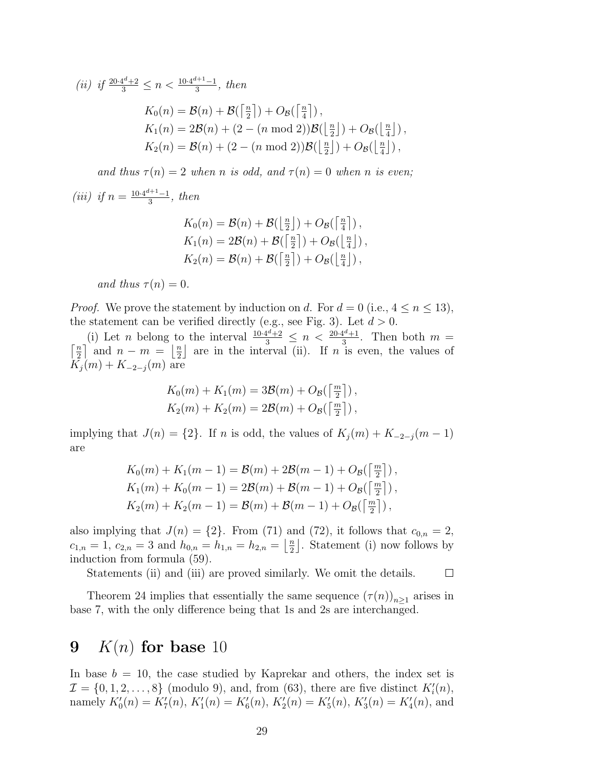(ii) if 
$$
\frac{20 \cdot 4^d + 2}{3} \le n < \frac{10 \cdot 4^{d+1} - 1}{3}
$$
, then\n $K_0(n) = \mathcal{B}(n) + \mathcal{B}(\lceil \frac{n}{2} \rceil) + O_{\mathcal{B}}(\lceil \frac{n}{4} \rceil)$ ,\n $K_1(n) = 2\mathcal{B}(n) + (2 - (n \mod 2))\mathcal{B}(\lfloor \frac{n}{2} \rfloor) + O_{\mathcal{B}}(\lfloor \frac{n}{4} \rfloor)$ ,\n $K_2(n) = \mathcal{B}(n) + (2 - (n \mod 2))\mathcal{B}(\lfloor \frac{n}{2} \rfloor) + O_{\mathcal{B}}(\lfloor \frac{n}{4} \rfloor)$ ,

*and thus*  $\tau(n) = 2$  *when n is odd, and*  $\tau(n) = 0$  *when n is even;* 

(iii) if 
$$
n = \frac{10 \cdot 4^{d+1} - 1}{3}
$$
, then

$$
K_0(n) = \mathcal{B}(n) + \mathcal{B}(\lfloor \frac{n}{2} \rfloor) + O_{\mathcal{B}}(\lceil \frac{n}{4} \rceil),
$$
  
\n
$$
K_1(n) = 2\mathcal{B}(n) + \mathcal{B}(\lceil \frac{n}{2} \rceil) + O_{\mathcal{B}}(\lfloor \frac{n}{4} \rfloor),
$$
  
\n
$$
K_2(n) = \mathcal{B}(n) + \mathcal{B}(\lceil \frac{n}{2} \rceil) + O_{\mathcal{B}}(\lfloor \frac{n}{4} \rfloor),
$$

*and thus*  $\tau(n) = 0$ .

*Proof.* We prove the statement by induction on *d*. For  $d = 0$  (i.e.,  $4 \le n \le 13$ ), the statement can be verified directly (e.g., see Fig. [3](#page-36-0)). Let  $d > 0$ .

(i) Let *n* belong to the interval  $\frac{10 \cdot 4^d + 2}{3} \le n < \frac{20 \cdot 4^d + 1}{3}$ (i) Let *n* belong to the interval  $\frac{10 \cdot 4^{n} + 2}{3} \leq n < \frac{20 \cdot 4^{n} + 1}{3}$ . Then both  $m = \lceil \frac{n}{2} \rceil$  and  $n - m = \lceil \frac{n}{2} \rceil$  are in the interval (ii). If *n* is even, the values of  $\left[\frac{n}{2}\right]$  and  $n-m = \left[\frac{n}{2}\right]$  $\frac{n}{2}$  are in the interval (ii). If *n* is even, the values of  $K_j(m) + K_{-2-j}(m)$  are

$$
K_0(m) + K_1(m) = 3\mathcal{B}(m) + O_{\mathcal{B}}(\left\lceil \frac{m}{2} \right\rceil),
$$
  

$$
K_2(m) + K_2(m) = 2\mathcal{B}(m) + O_{\mathcal{B}}(\left\lceil \frac{m}{2} \right\rceil),
$$

implying that  $J(n) = \{2\}$ . If *n* is odd, the values of  $K_i(m) + K_{-2-i}(m-1)$ are

$$
K_0(m) + K_1(m - 1) = \mathcal{B}(m) + 2\mathcal{B}(m - 1) + O_{\mathcal{B}}(\lceil \frac{m}{2} \rceil),
$$
  
\n
$$
K_1(m) + K_0(m - 1) = 2\mathcal{B}(m) + \mathcal{B}(m - 1) + O_{\mathcal{B}}(\lceil \frac{m}{2} \rceil),
$$
  
\n
$$
K_2(m) + K_2(m - 1) = \mathcal{B}(m) + \mathcal{B}(m - 1) + O_{\mathcal{B}}(\lceil \frac{m}{2} \rceil),
$$

also implying that  $J(n) = \{2\}$ . From [\(71\)](#page-21-0) and [\(72](#page-21-1)), it follows that  $c_{0,n} = 2$ ,  $c_{1,n} = 1, c_{2,n} = 3$  and  $h_{0,n} = h_{1,n} = h_{2,n} = \frac{n}{2}$  $\frac{n}{2}$ . Statement (i) now follows by induction from formula [\(59\)](#page-18-1).

Statements (ii) and (iii) are proved similarly. We omit the details.  $\Box$ 

Theorem [24](#page-24-0) implies that essentially the same sequence  $(\tau(n))_{n\geq 1}$  arises in base 7, with the only difference being that 1s and 2s are interchanged.

### <span id="page-28-0"></span>**9** *K*(*n*) **for base** 10

In base  $b = 10$ , the case studied by Kaprekar and others, the index set is  $\mathcal{I} = \{0, 1, 2, \ldots, 8\}$  (modulo 9), and, from ([63](#page-19-1)), there are five distinct  $K'_{i}(n)$ , namely  $K'_0(n) = K'_7(n)$ ,  $K'_1(n) = K'_6(n)$ ,  $K'_2(n) = K'_5(n)$ ,  $K'_3(n) = K'_4(n)$ , and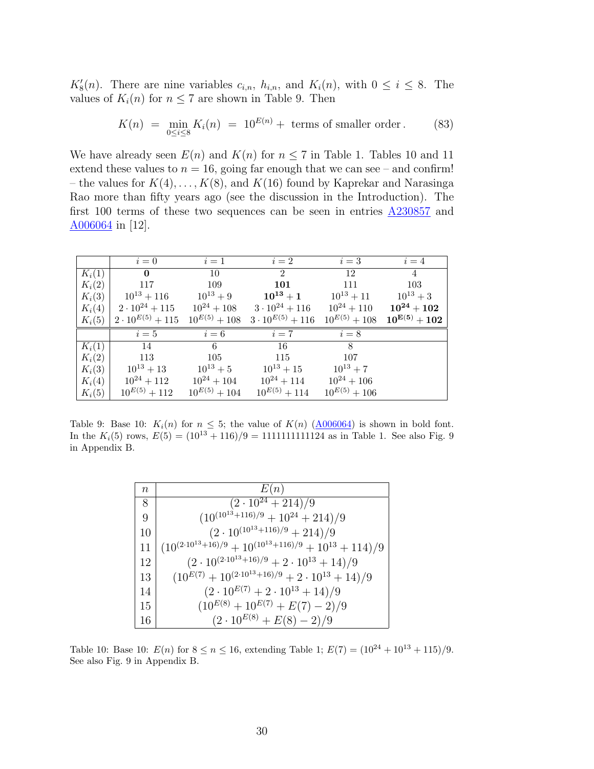$K'_8(n)$ . There are nine variables  $c_{i,n}$ ,  $h_{i,n}$ , and  $K_i(n)$ , with  $0 \leq i \leq 8$ . The values of  $K_i(n)$  for  $n \leq 7$  are shown in Table [9.](#page-29-0) Then

$$
K(n) = \min_{0 \le i \le 8} K_i(n) = 10^{E(n)} + \text{ terms of smaller order.}
$$
 (83)

We have already seen  $E(n)$  and  $K(n)$  for  $n \leq 7$  in Table [1](#page-7-1). Tables [10](#page-29-1) and [11](#page-30-0) extend these values to  $n = 16$ , going far enough that we can see – and confirm! – the values for *K*(4)*, . . . , K*(8), and *K*(16) found by Kaprekar and Narasinga Rao more than fifty years ago (see the discussion in the Introduction). The first 100 terms of these two sequences can be seen in entries  $\triangle 230857$  and [A006064](http://oeis.org/A006064) in [[12](#page-33-9)].

<span id="page-29-0"></span>

|          | $i=0$                    | $i=1$             | $i=2$                     | $i=3$             | $i=4$                      |
|----------|--------------------------|-------------------|---------------------------|-------------------|----------------------------|
| $K_i(1)$ | $\mathbf{0}$             | 10                | $\overline{2}$            | 12                | $\overline{4}$             |
| $K_i(2)$ | 117                      | 109               | 101                       | 111               | 103                        |
| $K_i(3)$ | $10^{13} + 116$          | $10^{13} + 9$     | $10^{13}+1$               | $10^{13} + 11$    | $10^{13}+3$                |
| $K_i(4)$ | $2 \cdot 10^{24} + 115$  | $10^{24} + 108$   | $3 \cdot 10^{24} + 116$   | $10^{24} + 110$   | $10^{24}+102$              |
| $K_i(5)$ | $2\cdot 10^{E(5)} + 115$ | $10^{E(5)} + 108$ | $3 \cdot 10^{E(5)} + 116$ | $10^{E(5)} + 108$ | $10^{\mathbf{E(5)}} + 102$ |
|          | $i=5$                    | $i=6$             | $i=7$                     | $i=8$             |                            |
| $K_i(1)$ | 14                       | 6                 | 16                        | 8                 |                            |
| $K_i(2)$ | 113                      | 105               | 115                       | 107               |                            |
| $K_i(3)$ | $10^{13} + 13$           | $10^{13} + 5$     | $10^{13}+15$              | $10^{13} + 7$     |                            |
| $K_i(4)$ | $10^{24} + 112$          | $10^{24} + 104$   | $10^{24} + 114$           | $10^{24} + 106$   |                            |
| $K_i(5)$ | $10^{E(5)} + 112$        | $10^{E(5)} + 104$ | $10^{E(5)} + 114$         | $10^{E(5)} + 106$ |                            |

<span id="page-29-1"></span>Table 9: Base 10:  $K_i(n)$  for  $n \leq 5$ ; the value of  $K(n)$  [\(A006064](http://oeis.org/A006064)) is shown in bold font. In the  $K_i(5)$  rows,  $E(5) = (10^{13} + 116)/9 = 1111111111124$  $E(5) = (10^{13} + 116)/9 = 1111111111124$  $E(5) = (10^{13} + 116)/9 = 1111111111124$  as in Table [1.](#page-7-1) See also Fig. 9 in [Appendix B](#page-34-0).

| $\boldsymbol{n}$ | E(n)                                                                 |
|------------------|----------------------------------------------------------------------|
| 8                | $\sqrt{(2\cdot 10^{24}+214)/9}$                                      |
| 9                | $(10^{(10^{13}+116)/9}+10^{24}+214)/9$                               |
| 10               | $(2\cdot 10^{(10^{13}+116)/9}+214)/9$                                |
| 11               | $(10^{(2\cdot 10^{13}+16)/9}+10^{(10^{13}+116)/9}+10^{13}+114)/9$    |
| 12               | $(2\cdot 10^{(2\cdot 10^{13}+16)/9}+2\cdot 10^{13}+14)/9$            |
| 13               | $(10^{E(7)} + 10^{(2\cdot 10^{13} + 16)/9} + 2\cdot 10^{13} + 14)/9$ |
| 14               | $(2\cdot 10^{E(7)} + 2\cdot 10^{13} + 14)/9$                         |
| 15               | $(10^{E(8)} + 10^{E(7)} + E(7) - 2)/9$                               |
| 16               | $(2\cdot 10^{E(8)} + E(8) - 2)/9$                                    |

Table 10: Base 10:  $E(n)$  for  $8 \le n \le 16$ , extending Table [1;](#page-7-1)  $E(7) = (10^{24} + 10^{13} + 115)/9$ . See also Fig. [9](#page-42-0) in [Appendix B.](#page-34-0)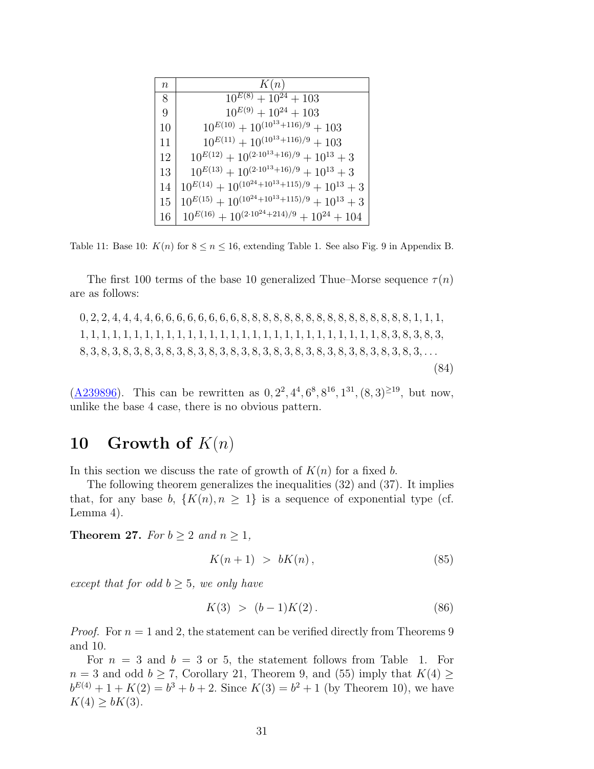<span id="page-30-0"></span>

| $\, n$ | K(n)                                                          |
|--------|---------------------------------------------------------------|
| 8      | $\overline{10}^{E(8)} + 10^{24} + 103$                        |
| 9      | $10^{E(9)} + 10^{24} + 103$                                   |
| 10     | $10^{E(10)} + 10^{(10^{13} + 116)/9} + 103$                   |
| 11     | $10^{E(11)} + 10^{(10^{13} + 116)/9} + 103$                   |
| 12     | $10^{E(12)} + 10^{(2\cdot 10^{13} + 16)/9} + 10^{13} + 3$     |
| 13     | $10^{E(13)} + 10^{(2\cdot 10^{13} + 16)/9} + 10^{13} + 3$     |
| 14     | $10^{E(14)} + 10^{(10^{24} + 10^{13} + 115)/9} + 10^{13} + 3$ |
| 15     | $10^{E(15)} + 10^{(10^{24} + 10^{13} + 115)/9} + 10^{13} + 3$ |
| 16     | $10^{E(16)} + 10^{(2 \cdot 10^{24} + 214)/9} + 10^{24} + 104$ |

Table 11: Base 10:  $K(n)$  for  $8 \le n \le 16$ , extending Table [1.](#page-7-1) See also Fig. [9](#page-42-0) in [Appendix B](#page-34-0).

The first 100 terms of the base 10 generalized Thue–Morse sequence  $\tau(n)$ are as follows:

0*,* 2*,* 2*,* 4*,* 4*,* 4*,* 4*,* 6*,* 6*,* 6*,* 6*,* 6*,* 6*,* 6*,* 6*,* 8*,* 8*,* 8*,* 8*,* 8*,* 8*,* 8*,* 8*,* 8*,* 8*,* 8*,* 8*,* 8*,* 8*,* 8*,* 8*,* 1*,* 1*,* 1*,* 1*,* 1*,* 1*,* 1*,* 1*,* 1*,* 1*,* 1*,* 1*,* 1*,* 1*,* 1*,* 1*,* 1*,* 1*,* 1*,* 1*,* 1*,* 1*,* 1*,* 1*,* 1*,* 1*,* 1*,* 1*,* 1*,* 1*,* 1*,* 8*,* 3*,* 8*,* 3*,* 8*,* 3*,* 8*,* 3*,* 8*,* 3*,* 8*,* 3*,* 8*,* 3*,* 8*,* 3*,* 8*,* 3*,* 8*,* 3*,* 8*,* 3*,* 8*,* 3*,* 8*,* 3*,* 8*,* 3*,* 8*,* 3*,* 8*,* 3*,* 8*,* 3*,* 8*,* 3*,* 8*,* 3*, . . .* (84)

 $(\underline{A}239896)$ . This can be rewritten as  $0, 2^2, 4^4, 6^8, 8^{16}, 1^{31}, (8, 3)^{\geq 19}$ , but now, unlike the base 4 case, there is no obvious pattern.

### <span id="page-30-2"></span>10 Growth of  $K(n)$

In this section we discuss the rate of growth of  $K(n)$  for a fixed *b*.

The following theorem generalizes the inequalities [\(32](#page-12-1)) and ([37](#page-13-3)). It implies that, for any base *b*,  $\{K(n), n \geq 1\}$  is a sequence of exponential type (cf. Lemma [4\)](#page-4-4).

**Theorem 27.** *For*  $b \geq 2$  *and*  $n \geq 1$ *,* 

<span id="page-30-1"></span>
$$
K(n+1) > bK(n), \tag{85}
$$

*except that for odd*  $b \geq 5$ *, we only have* 

$$
K(3) > (b-1)K(2). \tag{86}
$$

*Proof.* For  $n = 1$  and 2, the statement can be verified directly from Theorems [9](#page-8-3) and [10](#page-8-4).

For  $n = 3$  and  $b = 3$  or 5, the statement follows from Table [1.](#page-7-1) For *n* = 3 and odd *b*  $\geq$  7, Corollary [21](#page-18-2), Theorem [9,](#page-8-3) and ([55](#page-16-3)) imply that  $K(4) \geq$  $b^{E(4)} + 1 + K(2) = b^3 + b + 2$ . Since  $K(3) = b^2 + 1$  (by Theorem [10\)](#page-8-4), we have *K*(4)  $≥$  *bK*(3).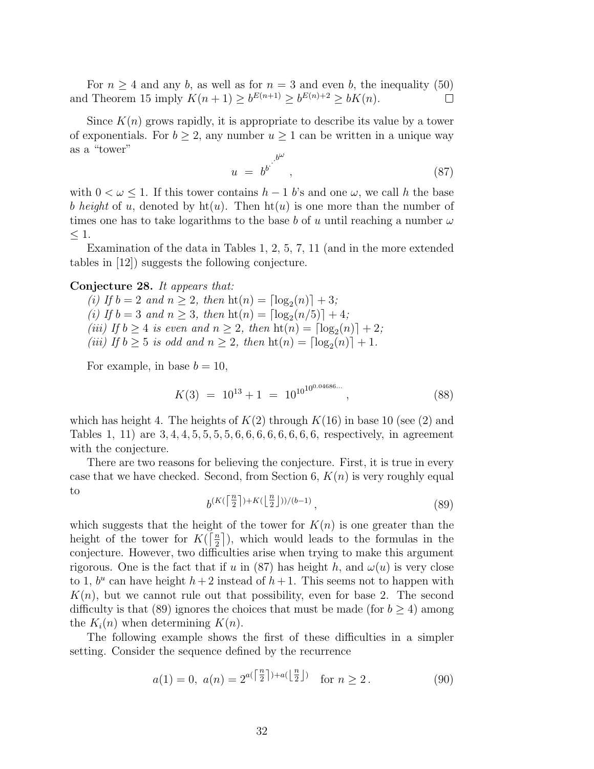For  $n \geq 4$  and any *b*, as well as for  $n = 3$  and even *b*, the inequality ([50](#page-15-4)) and Theorem [15](#page-11-3) imply  $K(n + 1) \ge b^{E(n+1)} \ge b^{E(n)+2} \ge bK(n)$ .  $\Box$ 

Since  $K(n)$  grows rapidly, it is appropriate to describe its value by a tower of exponentials. For  $b \geq 2$ , any number  $u \geq 1$  can be written in a unique way as a "tower"

<span id="page-31-1"></span>
$$
u = b^{b} \cdot \frac{b^{\omega}}{b^{\omega}}, \tag{87}
$$

with  $0 < \omega \leq 1$ . If this tower contains  $h-1$  *b*'s and one  $\omega$ , we call *h* the base *b height* of *u*, denoted by  $\text{ht}(u)$ . Then  $\text{ht}(u)$  is one more than the number of times one has to take logarithms to the base *b* of *u* until reaching a number  $\omega$ *≤* 1.

Examination of the data in Tables [1](#page-7-1), [2,](#page-7-0) [5,](#page-13-1) [7](#page-26-0), [11](#page-30-0) (and in the more extended tables in [[12](#page-33-9)]) suggests the following conjecture.

#### <span id="page-31-0"></span>**Conjecture 28.** *It appears that:*

 $(i)$  If  $b = 2$  and  $n \geq 2$ , then  $\text{ht}(n) = \lceil \log_2(n) \rceil + 3$ ;  $(i)$  If  $b = 3$  and  $n \geq 3$ , then  $\text{ht}(n) = \lceil \log_2(n/5) \rceil + 4$ ;  $(iii)$  If  $b \ge 4$  *is even and*  $n \ge 2$ *, then*  $\text{ht}(n) = \lceil \log_2(n) \rceil + 2$ *; (iii) If*  $b \ge 5$  *is odd and*  $n \ge 2$ *, then*  $\text{ht}(n) = \lceil \log_2(n) \rceil + 1$ *.* 

For example, in base  $b = 10$ ,

$$
K(3) = 10^{13} + 1 = 10^{10^{10^{0.04686...}}},
$$
\n(88)

which has height 4. The heights of  $K(2)$  $K(2)$  $K(2)$  through  $K(16)$  in base 10 (see (2) and Tables [1](#page-7-1), [11](#page-30-0)) are 3*,* 4*,* 4*,* 5*,* 5*,* 5*,* 5*,* 6*,* 6*,* 6*,* 6*,* 6*,* 6*,* 6*,* 6, respectively, in agreement with the conjecture.

There are two reasons for believing the conjecture. First, it is true in every case that we have checked. Second, from Section [6](#page-13-0),  $K(n)$  is very roughly equal to *n n*

<span id="page-31-2"></span>
$$
b^{(K\left(\left\lceil \frac{n}{2}\right\rceil)+K\left(\left\lfloor \frac{n}{2}\right\rfloor\right))/(b-1)},\tag{89}
$$

which suggests that the height of the tower for  $K(n)$  is one greater than the height of the tower for  $K(\lceil \frac{n}{2} \rceil)$  $\frac{n}{2}$ , which would leads to the formulas in the conjecture. However, two difficulties arise when trying to make this argument rigorous. One is the fact that if *u* in ([87\)](#page-31-1) has height *h*, and  $\omega(u)$  is very close to 1,  $b^u$  can have height  $h+2$  instead of  $h+1$ . This seems not to happen with  $K(n)$ , but we cannot rule out that possibility, even for base 2. The second difficulty is that ([89\)](#page-31-2) ignores the choices that must be made (for  $b \geq 4$ ) among the  $K_i(n)$  when determining  $K(n)$ .

The following example shows the first of these difficulties in a simpler setting. Consider the sequence defined by the recurrence

$$
a(1) = 0, \ a(n) = 2^{a(\lceil \frac{n}{2} \rceil) + a(\lfloor \frac{n}{2} \rfloor)}
$$
 for  $n \ge 2$ . (90)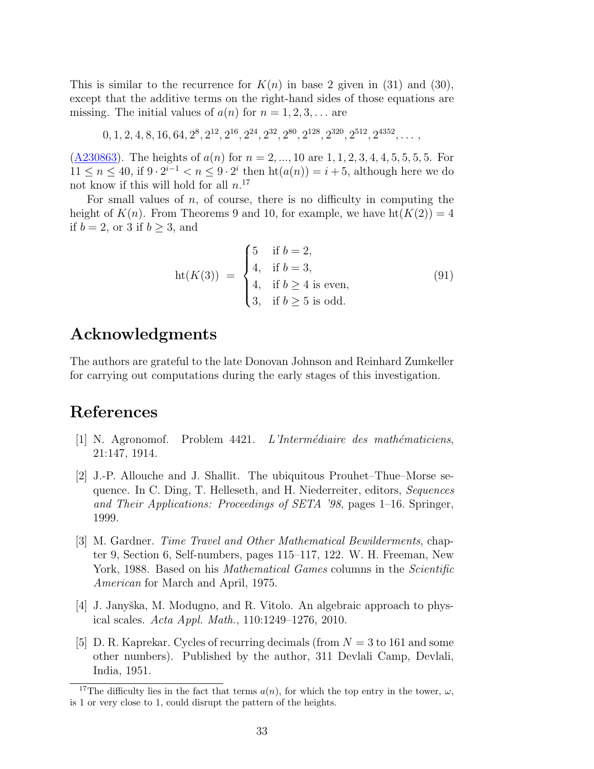This is similar to the recurrence for  $K(n)$  in base 2 given in [\(31\)](#page-12-4) and [\(30](#page-12-3)), except that the additive terms on the right-hand sides of those equations are missing. The initial values of  $a(n)$  for  $n = 1, 2, 3, \ldots$  are

 $0, 1, 2, 4, 8, 16, 64, 2^8, 2^{12}, 2^{16}, 2^{24}, 2^{32}, 2^{80}, 2^{128}, 2^{320}, 2^{512}, 2^{4352}, \ldots,$ 

([A230863](http://oeis.org/A230863)). The heights of  $a(n)$  for  $n = 2, ..., 10$  are 1, 1, 2, 3, 4, 4, 5, 5, 5, 5. For 11 ≤ *n* ≤ 40, if  $9 \cdot 2^{i-1} < n \le 9 \cdot 2^i$  then  $\text{ht}(a(n)) = i + 5$ , although here we do not know if this will hold for all *n*. [17](#page-32-4)

For small values of  $n$ , of course, there is no difficulty in computing the height of  $K(n)$ . From Theorems [9](#page-8-3) and [10,](#page-8-4) for example, we have  $ht(K(2)) = 4$ if  $b = 2$ , or 3 if  $b > 3$ , and

$$
ht(K(3)) = \begin{cases} 5 & \text{if } b = 2, \\ 4, & \text{if } b = 3, \\ 4, & \text{if } b \ge 4 \text{ is even,} \\ 3, & \text{if } b \ge 5 \text{ is odd.} \end{cases}
$$
(91)

## **Acknowledgments**

The authors are grateful to the late Donovan Johnson and Reinhard Zumkeller for carrying out computations during the early stages of this investigation.

## **References**

- <span id="page-32-0"></span>[1] N. Agronomof. Problem 4421. *L'Interm´ediaire des math´ematiciens*, 21:147, 1914.
- <span id="page-32-3"></span>[2] J.-P. Allouche and J. Shallit. The ubiquitous Prouhet–Thue–Morse sequence. In C. Ding, T. Helleseth, and H. Niederreiter, editors, *Sequences and Their Applications: Proceedings of SETA '98*, pages 1–16. Springer, 1999.
- <span id="page-32-2"></span>[3] M. Gardner. *Time Travel and Other Mathematical Bewilderments*, chapter 9, Section 6, Self-numbers, pages 115–117, 122. W. H. Freeman, New York, 1988. Based on his *Mathematical Games* columns in the *Scientific American* for March and April, 1975.
- <span id="page-32-5"></span>[4] J. Janyška, M. Modugno, and R. Vitolo. An algebraic approach to physical scales. *Acta Appl. Math.*, 110:1249–1276, 2010.
- <span id="page-32-1"></span>[5] D. R. Kaprekar. Cycles of recurring decimals (from *N* = 3 to 161 and some other numbers). Published by the author, 311 Devlali Camp, Devlali, India, 1951.

<span id="page-32-4"></span><sup>&</sup>lt;sup>17</sup>The difficulty lies in the fact that terms  $a(n)$ , for which the top entry in the tower,  $\omega$ , is 1 or very close to 1, could disrupt the pattern of the heights.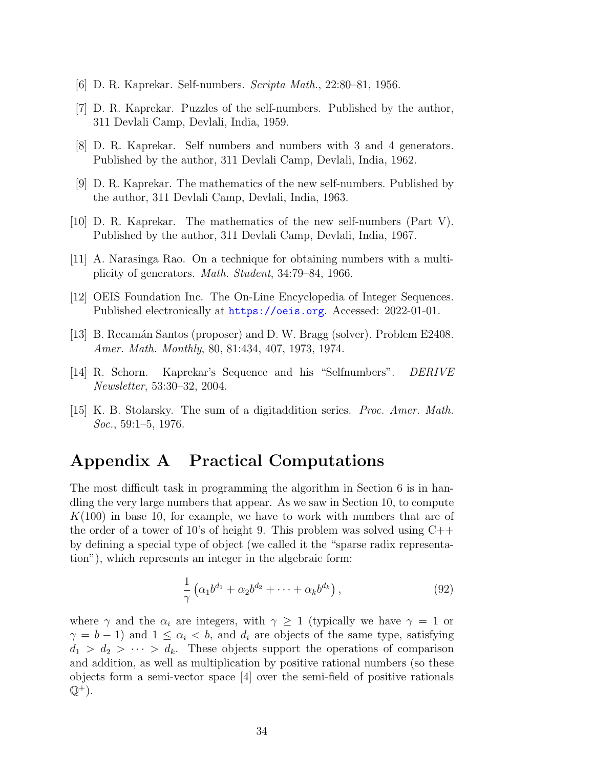- <span id="page-33-5"></span>[6] D. R. Kaprekar. Self-numbers. *Scripta Math.*, 22:80–81, 1956.
- <span id="page-33-1"></span>[7] D. R. Kaprekar. Puzzles of the self-numbers. Published by the author, 311 Devlali Camp, Devlali, India, 1959.
- <span id="page-33-2"></span>[8] D. R. Kaprekar. Self numbers and numbers with 3 and 4 generators. Published by the author, 311 Devlali Camp, Devlali, India, 1962.
- <span id="page-33-3"></span>[9] D. R. Kaprekar. The mathematics of the new self-numbers. Published by the author, 311 Devlali Camp, Devlali, India, 1963.
- <span id="page-33-4"></span>[10] D. R. Kaprekar. The mathematics of the new self-numbers (Part V). Published by the author, 311 Devlali Camp, Devlali, India, 1967.
- <span id="page-33-7"></span>[11] A. Narasinga Rao. On a technique for obtaining numbers with a multiplicity of generators. *Math. Student*, 34:79–84, 1966.
- <span id="page-33-9"></span>[12] OEIS Foundation Inc. The On-Line Encyclopedia of Integer Sequences. Published electronically at <https://oeis.org>. Accessed: 2022-01-01.
- <span id="page-33-6"></span>[13] B. Recamán Santos (proposer) and D. W. Bragg (solver). Problem E2408. *Amer. Math. Monthly*, 80, 81:434, 407, 1973, 1974.
- <span id="page-33-8"></span>[14] R. Schorn. Kaprekar's Sequence and his "Selfnumbers". *DERIVE Newsletter*, 53:30–32, 2004.
- <span id="page-33-0"></span>[15] K. B. Stolarsky. The sum of a digitaddition series. *Proc. Amer. Math. Soc.*, 59:1–5, 1976.

## <span id="page-33-10"></span>**Appendix A Practical Computations**

The most difficult task in programming the algorithm in Section [6](#page-13-0) is in handling the very large numbers that appear. As we saw in Section [10,](#page-30-2) to compute *K*(100) in base 10, for example, we have to work with numbers that are of the order of a tower of 10's of height 9. This problem was solved using  $C++$ by defining a special type of object (we called it the "sparse radix representation"), which represents an integer in the algebraic form:

<span id="page-33-11"></span>
$$
\frac{1}{\gamma} \left( \alpha_1 b^{d_1} + \alpha_2 b^{d_2} + \dots + \alpha_k b^{d_k} \right),\tag{92}
$$

where  $\gamma$  and the  $\alpha_i$  are integers, with  $\gamma \geq 1$  (typically we have  $\gamma = 1$  or  $\gamma = b - 1$ ) and  $1 \leq \alpha_i < b$ , and  $d_i$  are objects of the same type, satisfying  $d_1 > d_2 > \cdots > d_k$ . These objects support the operations of comparison and addition, as well as multiplication by positive rational numbers (so these objects form a semi-vector space [[4\]](#page-32-5) over the semi-field of positive rationals  $\mathbb{Q}^+$ ).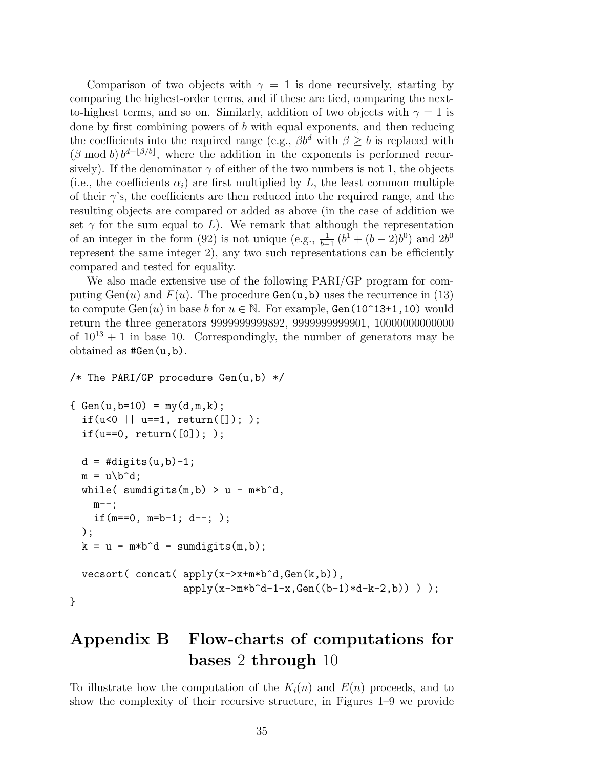Comparison of two objects with  $\gamma = 1$  is done recursively, starting by comparing the highest-order terms, and if these are tied, comparing the nextto-highest terms, and so on. Similarly, addition of two objects with  $\gamma = 1$  is done by first combining powers of *b* with equal exponents, and then reducing the coefficients into the required range (e.g.,  $\beta b^d$  with  $\beta \geq b$  is replaced with  $(\beta \text{ mod } b) b^{d+[\beta/b]}$ , where the addition in the exponents is performed recursively). If the denominator  $\gamma$  of either of the two numbers is not 1, the objects (i.e., the coefficients  $\alpha_i$ ) are first multiplied by *L*, the least common multiple of their  $\gamma$ 's, the coefficients are then reduced into the required range, and the resulting objects are compared or added as above (in the case of addition we set  $\gamma$  for the sum equal to *L*). We remark that although the representation of an integer in the form ([92](#page-33-11)) is not unique (e.g.,  $\frac{1}{b-1}(b^1 + (b-2)b^0)$  and  $2b^0$ represent the same integer 2), any two such representations can be efficiently compared and tested for equality.

We also made extensive use of the following PARI/GP program for computing  $Gen(u)$  and  $F(u)$ . The procedure  $Gen(u,b)$  uses the recurrence in ([13](#page-6-3)) to compute  $Gen(u)$  in base *b* for  $u \in \mathbb{N}$ . For example,  $Gen(10^13+1,10)$  would return the three generators 9999999999892, 9999999999901, 10000000000000 of  $10^{13} + 1$  in base 10. Correspondingly, the number of generators may be obtained as #Gen(u,b).

```
/* The PARI/GP procedure Gen(u,b) */
```

```
\{ Gen(u, b=10) = my(d, m, k);if(u<0 || u==1, return([]); );
  if(u==0, return([0]); ;
  d = # digits(u, b) - 1;m = u\cdot d;while( sumdigits(m,b) > u - m*b^d,
    m--:
    if(m==0, m=b-1; d--; );
  );
  k = u - m*b^d - sumdigits(m,b);\text{vector} (concat (apply(x->x+m*b^d,Gen(k,b)),
                    apply(x->m*b^d-1-x, Gen((b-1)*d-k-2,b)) );
```
}

# <span id="page-34-0"></span>**Appendix B Flow-charts of computations for bases** 2 **through** 10

To illustrate how the computation of the  $K_i(n)$  and  $E(n)$  proceeds, and to show the complexity of their recursive structure, in Figures [1](#page-35-0)[–9](#page-42-0) we provide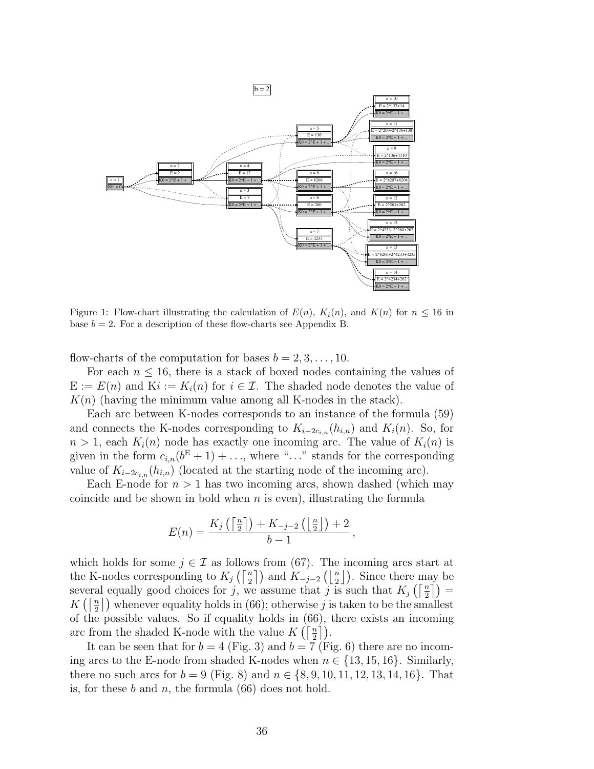<span id="page-35-0"></span>

Figure 1: Flow-chart illustrating the calculation of  $E(n)$ ,  $K_i(n)$ , and  $K(n)$  for  $n \le 16$  in base  $b = 2$ . For a description of these flow-charts see [Appendix B](#page-34-0).

flow-charts of the computation for bases  $b = 2, 3, \ldots, 10$ .

For each  $n \leq 16$ , there is a stack of boxed nodes containing the values of  $E := E(n)$  and  $Ki := K_i(n)$  for  $i \in \mathcal{I}$ . The shaded node denotes the value of  $K(n)$  (having the minimum value among all K-nodes in the stack).

Each arc between K-nodes corresponds to an instance of the formula ([59](#page-18-1)) and connects the K-nodes corresponding to  $K_{i-2c_i,n}(h_{i,n})$  and  $K_i(n)$ . So, for  $n > 1$ , each  $K_i(n)$  node has exactly one incoming arc. The value of  $K_i(n)$  is given in the form  $c_{i,n}(b^{\text{E}}+1)+\ldots$ , where " $\ldots$ " stands for the corresponding value of  $K_{i-2c_i,n}(h_{i,n})$  (located at the starting node of the incoming arc).

Each E-node for  $n > 1$  has two incoming arcs, shown dashed (which may coincide and be shown in bold when *n* is even), illustrating the formula

$$
E(n) = \frac{K_j\left(\left\lceil \frac{n}{2} \right\rceil\right) + K_{-j-2}\left(\left\lfloor \frac{n}{2} \right\rfloor\right) + 2}{b-1},
$$

which holds for some  $j \in \mathcal{I}$  as follows from ([67\)](#page-20-1). The incoming arcs start at the K-nodes corresponding to  $K_j\left(\left\lceil \frac{n}{2} \right\rceil\right)$  and  $K_{-j-2}\left(\left\lfloor \frac{n}{2} \right\rfloor\right)$ . Since there may be several equally good choices for *j*, we assume that *j* is such that  $K_j(\lceil \frac{n}{2} \rceil) =$  $K\left(\left\lceil \frac{n}{2} \right\rceil\right)$  whenever equality holds in [\(66\)](#page-20-0); otherwise *j* is taken to be the smallest of the possible values. So if equality holds in ([66\)](#page-20-0), there exists an incoming arc from the shaded K-node with the value  $K(\lceil \frac{n}{2} \rceil)$ .

It can be seen that for  $b = 4$  (Fig. [3](#page-36-0)) and  $b = 7$  (Fig. [6\)](#page-39-0) there are no incoming arcs to the E-node from shaded K-nodes when  $n \in \{13, 15, 16\}$ . Similarly, there no such arcs for  $b = 9$  (Fig. [8\)](#page-41-0) and  $n \in \{8, 9, 10, 11, 12, 13, 14, 16\}$ . That is, for these *b* and *n*, the formula [\(66](#page-20-0)) does not hold.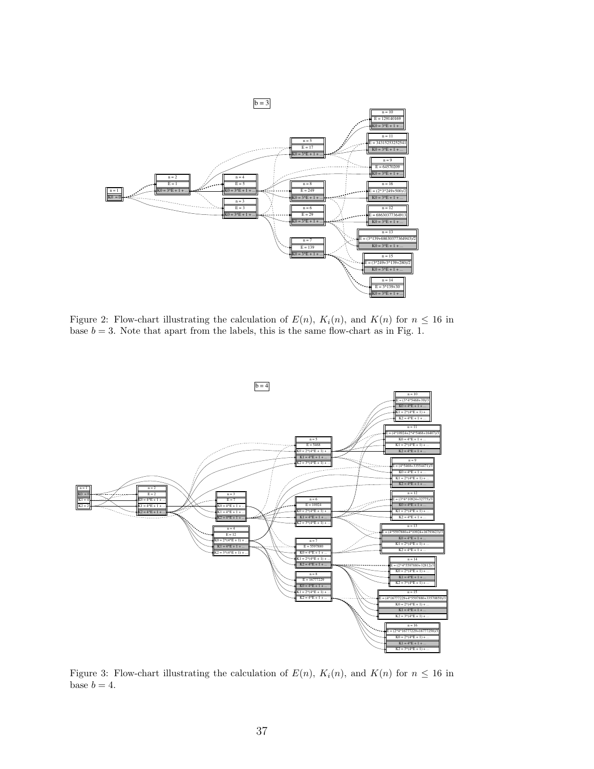<span id="page-36-1"></span>

Figure 2: Flow-chart illustrating the calculation of  $E(n)$ ,  $K_i(n)$ , and  $K(n)$  for  $n \leq 16$  in base  $b = 3$ . Note that apart from the labels, this is the same flow-chart as in Fig. [1.](#page-35-0)

<span id="page-36-0"></span>

Figure 3: Flow-chart illustrating the calculation of  $E(n)$ ,  $K_i(n)$ , and  $K(n)$  for  $n \leq 16$  in base  $b = 4$ .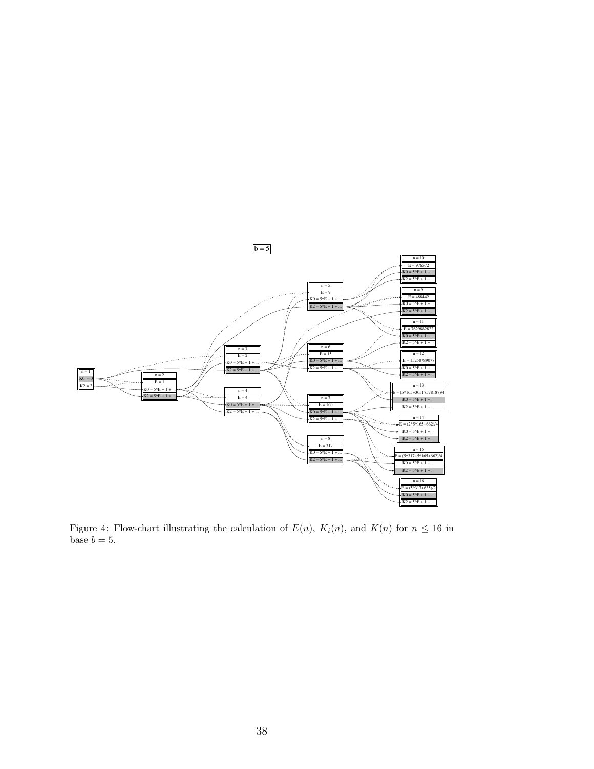<span id="page-37-0"></span>

Figure 4: Flow-chart illustrating the calculation of  $E(n)$ ,  $K_i(n)$ , and  $K(n)$  for  $n \leq 16$  in base  $b = 5$ .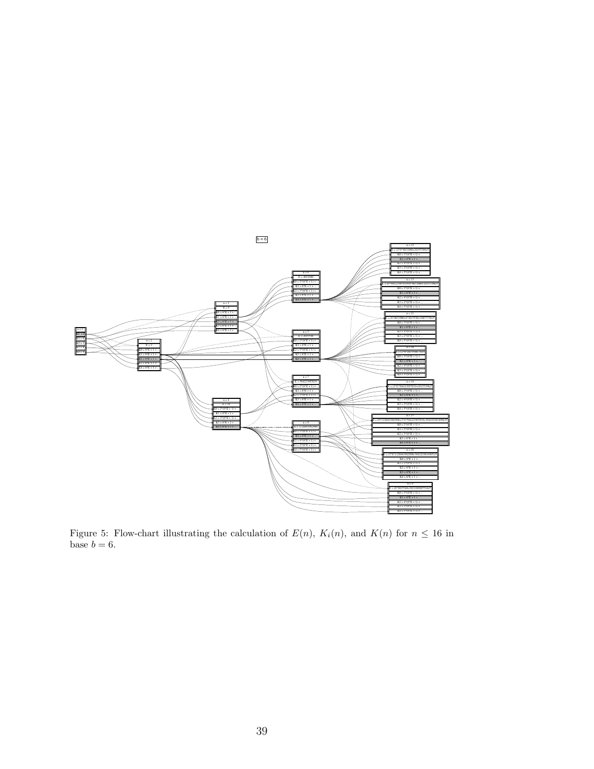<span id="page-38-0"></span>

Figure 5: Flow-chart illustrating the calculation of  $E(n)$ ,  $K_i(n)$ , and  $K(n)$  for  $n \leq 16$  in base  $b = 6$ .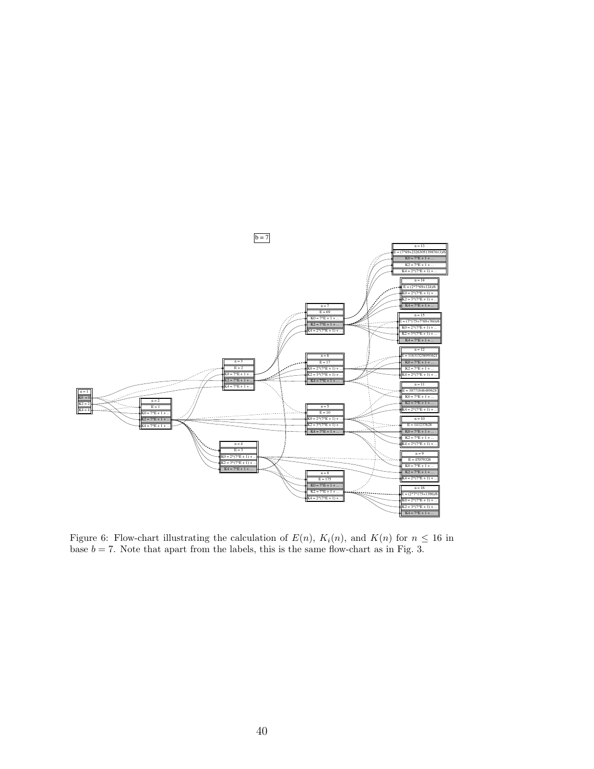<span id="page-39-0"></span>

Figure 6: Flow-chart illustrating the calculation of  $E(n)$ ,  $K_i(n)$ , and  $K(n)$  for  $n \leq 16$  in base  $b = 7$ . Note that apart from the labels, this is the same flow-chart as in Fig. [3.](#page-36-0)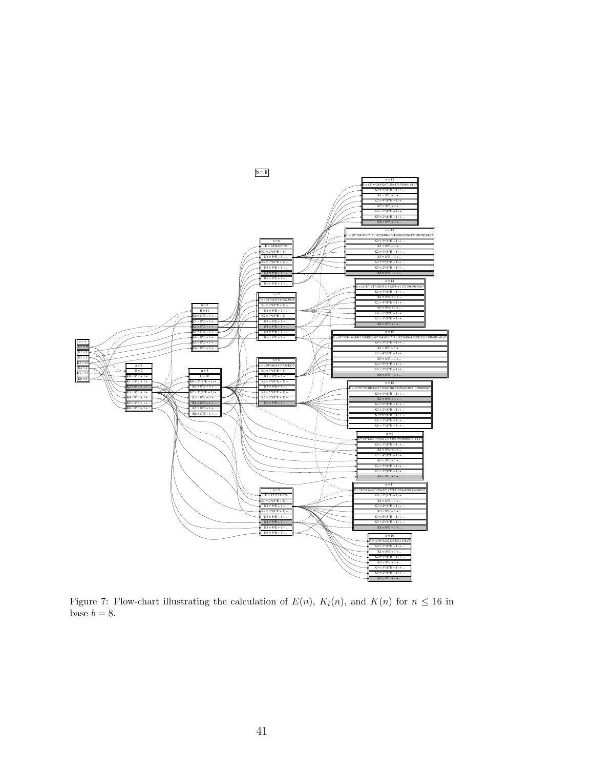

Figure 7: Flow-chart illustrating the calculation of  $E(n)$ ,  $K_i(n)$ , and  $K(n)$  for  $n \leq 16$  in base  $b = 8$ .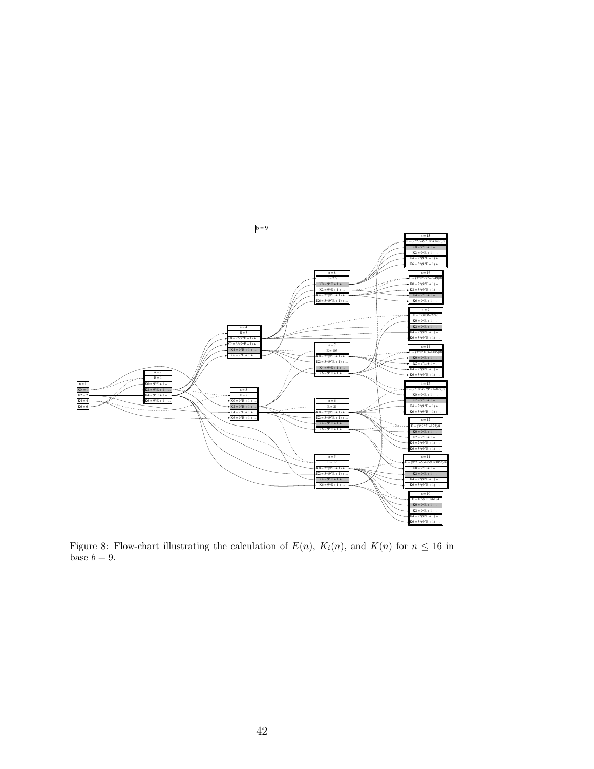<span id="page-41-0"></span>

Figure 8: Flow-chart illustrating the calculation of  $E(n)$ ,  $K_i(n)$ , and  $K(n)$  for  $n \leq 16$  in base  $b = 9$ .